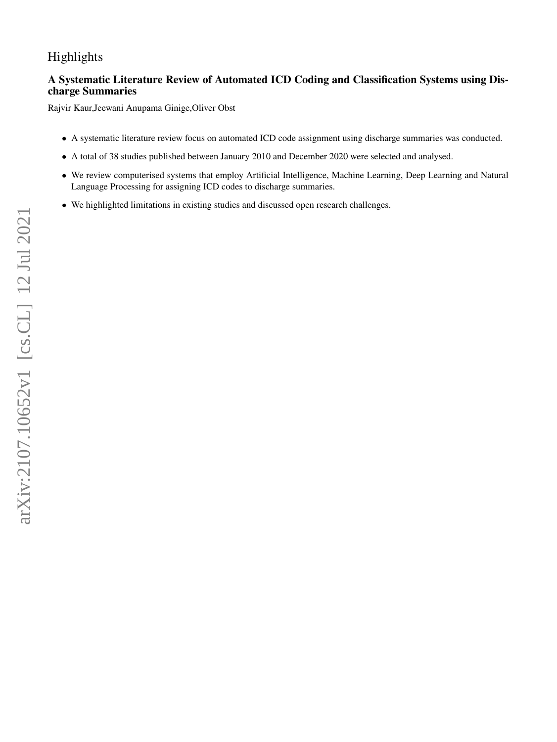# Highlights

## **A Systematic Literature Review of Automated ICD Coding and Classification Systems using Discharge Summaries**

Rajvir Kaur,Jeewani Anupama Ginige,Oliver Obst

- A systematic literature review focus on automated ICD code assignment using discharge summaries was conducted.
- A total of 38 studies published between January 2010 and December 2020 were selected and analysed.
- We review computerised systems that employ Artificial Intelligence, Machine Learning, Deep Learning and Natural Language Processing for assigning ICD codes to discharge summaries.
- We highlighted limitations in existing studies and discussed open research challenges.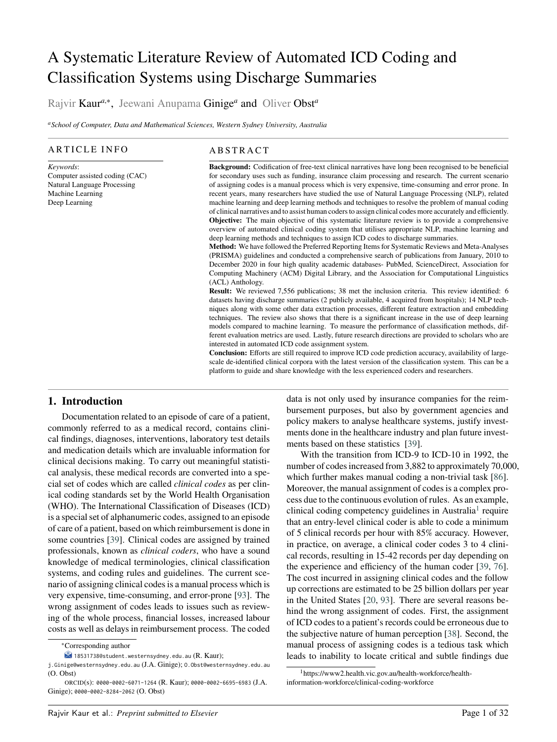# A Systematic Literature Review of Automated ICD Coding and Classification Systems using Discharge Summaries

Rajvir Kaur<sup>a,∗</sup>, Jeewani Anupama Ginige<sup>a</sup> and Oliver Obst<sup>a</sup>

*<sup>a</sup>School of Computer, Data and Mathematical Sciences, Western Sydney University, Australia*

#### ARTICLE INFO

*Keywords*: Computer assisted coding (CAC) Natural Language Processing Machine Learning Deep Learning

#### **ABSTRACT**

**Background:** Codification of free-text clinical narratives have long been recognised to be beneficial for secondary uses such as funding, insurance claim processing and research. The current scenario of assigning codes is a manual process which is very expensive, time-consuming and error prone. In recent years, many researchers have studied the use of Natural Language Processing (NLP), related machine learning and deep learning methods and techniques to resolve the problem of manual coding of clinical narratives and to assist human coders to assign clinical codes more accurately and efficiently. **Objective:** The main objective of this systematic literature review is to provide a comprehensive overview of automated clinical coding system that utilises appropriate NLP, machine learning and deep learning methods and techniques to assign ICD codes to discharge summaries.

**Method:** We have followed the Preferred Reporting Items for Systematic Reviews and Meta-Analyses (PRISMA) guidelines and conducted a comprehensive search of publications from January, 2010 to December 2020 in four high quality academic databases- PubMed, ScienceDirect, Association for Computing Machinery (ACM) Digital Library, and the Association for Computational Linguistics (ACL) Anthology.

**Result:** We reviewed 7,556 publications; 38 met the inclusion criteria. This review identified: 6 datasets having discharge summaries (2 publicly available, 4 acquired from hospitals); 14 NLP techniques along with some other data extraction processes, different feature extraction and embedding techniques. The review also shows that there is a significant increase in the use of deep learning models compared to machine learning. To measure the performance of classification methods, different evaluation metrics are used. Lastly, future research directions are provided to scholars who are interested in automated ICD code assignment system.

**Conclusion:** Efforts are still required to improve ICD code prediction accuracy, availability of largescale de-identified clinical corpora with the latest version of the classification system. This can be a platform to guide and share knowledge with the less experienced coders and researchers.

## **1. Introduction**

Documentation related to an episode of care of a patient, commonly referred to as a medical record, contains clinical findings, diagnoses, interventions, laboratory test details and medication details which are invaluable information for clinical decisions making. To carry out meaningful statistical analysis, these medical records are converted into a special set of codes which are called *clinical codes* as per clinical coding standards set by the World Health Organisation (WHO). The International Classification of Diseases (ICD) is a special set of alphanumeric codes, assigned to an episode of care of a patient, based on which reimbursement is done in some countries [\[39\]](#page-29-0). Clinical codes are assigned by trained professionals, known as *clinical coders*, who have a sound knowledge of medical terminologies, clinical classification systems, and coding rules and guidelines. The current scenario of assigning clinical codes is a manual process which is very expensive, time-consuming, and error-prone [\[93\]](#page-31-0). The wrong assignment of codes leads to issues such as reviewing of the whole process, financial losses, increased labour costs as well as delays in reimbursement process. The coded

data is not only used by insurance companies for the reimbursement purposes, but also by government agencies and policy makers to analyse healthcare systems, justify investments done in the healthcare industry and plan future investments based on these statistics [\[39\]](#page-29-0).

With the transition from ICD-9 to ICD-10 in 1992, the number of codes increased from 3,882 to approximately 70,000, which further makes manual coding a non-trivial task [\[86\]](#page-31-1). Moreover, the manual assignment of codes is a complex process due to the continuous evolution of rules. As an example, clinical coding competency guidelines in Australia<sup>[1](#page-1-0)</sup> require that an entry-level clinical coder is able to code a minimum of 5 clinical records per hour with 85% accuracy. However, in practice, on average, a clinical coder codes 3 to 4 clinical records, resulting in 15-42 records per day depending on the experience and efficiency of the human coder [\[39,](#page-29-0) [76\]](#page-31-2). The cost incurred in assigning clinical codes and the follow up corrections are estimated to be 25 billion dollars per year in the United States [\[20,](#page-29-1) [93\]](#page-31-0). There are several reasons behind the wrong assignment of codes. First, the assignment of ICD codes to a patient's records could be erroneous due to the subjective nature of human perception [\[38\]](#page-29-2). Second, the manual process of assigning codes is a tedious task which leads to inability to locate critical and subtle findings due

<sup>∗</sup>Corresponding author

 $\blacktriangleright$  18531738@student.westernsydney.edu.au (R. Kaur);

j.Ginige@westernsydney.edu.au (J.A. Ginige); O.Obst@westernsydney.edu.au (O. Obst)

ORCID(s): 0000-0002-6071-1264 (R. Kaur); 0000-0002-6695-6983 (J.A. Ginige); 0000-0002-8284-2062 (O. Obst)

<span id="page-1-0"></span><sup>1</sup>https://www2.health.vic.gov.au/health-workforce/healthinformation-workforce/clinical-coding-workforce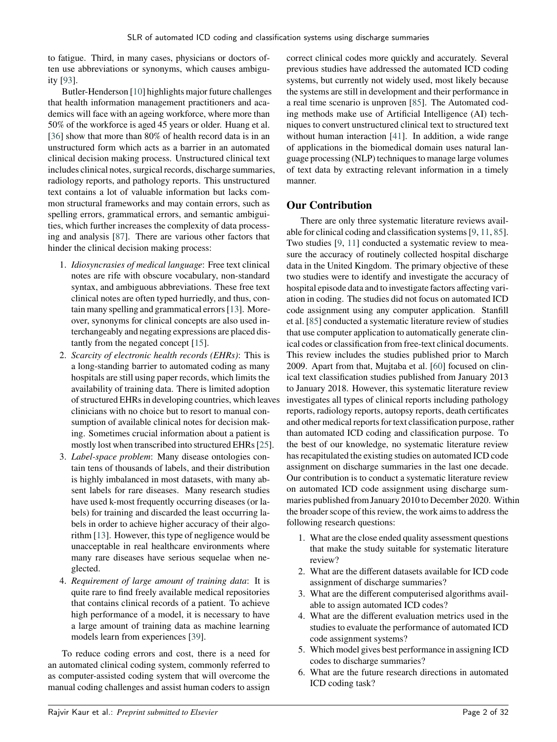to fatigue. Third, in many cases, physicians or doctors often use abbreviations or synonyms, which causes ambiguity [\[93\]](#page-31-0).

Butler-Henderson [\[10\]](#page-28-0) highlights major future challenges that health information management practitioners and academics will face with an ageing workforce, where more than 50% of the workforce is aged 45 years or older. Huang et al. [\[36\]](#page-29-3) show that more than 80% of health record data is in an unstructured form which acts as a barrier in an automated clinical decision making process. Unstructured clinical text includes clinical notes, surgical records, discharge summaries, radiology reports, and pathology reports. This unstructured text contains a lot of valuable information but lacks common structural frameworks and may contain errors, such as spelling errors, grammatical errors, and semantic ambiguities, which further increases the complexity of data processing and analysis [\[87\]](#page-31-3). There are various other factors that hinder the clinical decision making process:

- 1. *Idiosyncrasies of medical language*: Free text clinical notes are rife with obscure vocabulary, non-standard syntax, and ambiguous abbreviations. These free text clinical notes are often typed hurriedly, and thus, contain many spelling and grammatical errors [\[13\]](#page-28-1). Moreover, synonyms for clinical concepts are also used interchangeably and negating expressions are placed distantly from the negated concept [\[15\]](#page-29-4).
- 2. *Scarcity of electronic health records (EHRs)*: This is a long-standing barrier to automated coding as many hospitals are still using paper records, which limits the availability of training data. There is limited adoption of structured EHRs in developing countries, which leaves clinicians with no choice but to resort to manual consumption of available clinical notes for decision making. Sometimes crucial information about a patient is mostly lost when transcribed into structured EHRs [\[25\]](#page-29-5).
- 3. *Label-space problem*: Many disease ontologies contain tens of thousands of labels, and their distribution is highly imbalanced in most datasets, with many absent labels for rare diseases. Many research studies have used k-most frequently occurring diseases (or labels) for training and discarded the least occurring labels in order to achieve higher accuracy of their algorithm [\[13\]](#page-28-1). However, this type of negligence would be unacceptable in real healthcare environments where many rare diseases have serious sequelae when neglected.
- 4. *Requirement of large amount of training data*: It is quite rare to find freely available medical repositories that contains clinical records of a patient. To achieve high performance of a model, it is necessary to have a large amount of training data as machine learning models learn from experiences [\[39\]](#page-29-0).

To reduce coding errors and cost, there is a need for an automated clinical coding system, commonly referred to as computer-assisted coding system that will overcome the manual coding challenges and assist human coders to assign

correct clinical codes more quickly and accurately. Several previous studies have addressed the automated ICD coding systems, but currently not widely used, most likely because the systems are still in development and their performance in a real time scenario is unproven [\[85\]](#page-31-4). The Automated coding methods make use of Artificial Intelligence (AI) techniques to convert unstructured clinical text to structured text without human interaction [\[41\]](#page-29-6). In addition, a wide range of applications in the biomedical domain uses natural language processing (NLP) techniques to manage large volumes of text data by extracting relevant information in a timely manner.

## **Our Contribution**

There are only three systematic literature reviews available for clinical coding and classification systems [\[9,](#page-28-2) [11,](#page-28-3) [85\]](#page-31-4). Two studies [\[9,](#page-28-2) [11\]](#page-28-3) conducted a systematic review to measure the accuracy of routinely collected hospital discharge data in the United Kingdom. The primary objective of these two studies were to identify and investigate the accuracy of hospital episode data and to investigate factors affecting variation in coding. The studies did not focus on automated ICD code assignment using any computer application. Stanfill et al. [\[85\]](#page-31-4) conducted a systematic literature review of studies that use computer application to automatically generate clinical codes or classification from free-text clinical documents. This review includes the studies published prior to March 2009. Apart from that, Mujtaba et al. [\[60\]](#page-30-0) focused on clinical text classification studies published from January 2013 to January 2018. However, this systematic literature review investigates all types of clinical reports including pathology reports, radiology reports, autopsy reports, death certificates and other medical reports for text classification purpose, rather than automated ICD coding and classification purpose. To the best of our knowledge, no systematic literature review has recapitulated the existing studies on automated ICD code assignment on discharge summaries in the last one decade. Our contribution is to conduct a systematic literature review on automated ICD code assignment using discharge summaries published from January 2010 to December 2020. Within the broader scope of this review, the work aims to address the following research questions:

- 1. What are the close ended quality assessment questions that make the study suitable for systematic literature review?
- 2. What are the different datasets available for ICD code assignment of discharge summaries?
- 3. What are the different computerised algorithms available to assign automated ICD codes?
- 4. What are the different evaluation metrics used in the studies to evaluate the performance of automated ICD code assignment systems?
- 5. Which model gives best performance in assigning ICD codes to discharge summaries?
- 6. What are the future research directions in automated ICD coding task?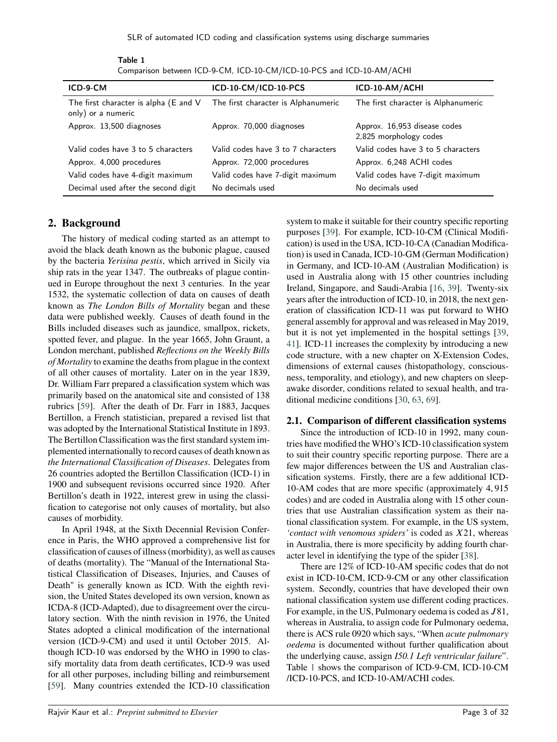<span id="page-3-0"></span>

| ICD-9-CM                                                    | ICD-10-CM/ICD-10-PCS                | ICD-10-AM/ACHI                                         |
|-------------------------------------------------------------|-------------------------------------|--------------------------------------------------------|
| The first character is alpha (E and V<br>only) or a numeric | The first character is Alphanumeric | The first character is Alphanumeric                    |
| Approx. 13,500 diagnoses                                    | Approx. 70,000 diagnoses            | Approx. 16,953 disease codes<br>2,825 morphology codes |
| Valid codes have 3 to 5 characters                          | Valid codes have 3 to 7 characters  | Valid codes have 3 to 5 characters                     |
| Approx. 4,000 procedures                                    | Approx. 72,000 procedures           | Approx. 6,248 ACHI codes                               |
| Valid codes have 4-digit maximum                            | Valid codes have 7-digit maximum    | Valid codes have 7-digit maximum                       |
| Decimal used after the second digit                         | No decimals used                    | No decimals used                                       |

Table 1 Comparison between ICD-9-CM, ICD-10-CM/ICD-10-PCS and ICD-10-AM/ACHI

## **2. Background**

The history of medical coding started as an attempt to avoid the black death known as the bubonic plague, caused by the bacteria *Yerisina pestis*, which arrived in Sicily via ship rats in the year 1347. The outbreaks of plague continued in Europe throughout the next 3 centuries. In the year 1532, the systematic collection of data on causes of death known as *The London Bills of Mortality* began and these data were published weekly. Causes of death found in the Bills included diseases such as jaundice, smallpox, rickets, spotted fever, and plague. In the year 1665, John Graunt, a London merchant, published *Reflections on the Weekly Bills of Mortality* to examine the deaths from plague in the context of all other causes of mortality. Later on in the year 1839, Dr. William Farr prepared a classification system which was primarily based on the anatomical site and consisted of 138 rubrics [\[59\]](#page-30-1). After the death of Dr. Farr in 1883, Jacques Bertillon, a French statistician, prepared a revised list that was adopted by the International Statistical Institute in 1893. The Bertillon Classification was the first standard system implemented internationally to record causes of death known as *the International Classification of Diseases*. Delegates from 26 countries adopted the Bertillon Classification (ICD-1) in 1900 and subsequent revisions occurred since 1920. After Bertillon's death in 1922, interest grew in using the classification to categorise not only causes of mortality, but also causes of morbidity.

In April 1948, at the Sixth Decennial Revision Conference in Paris, the WHO approved a comprehensive list for classification of causes of illness (morbidity), as well as causes of deaths (mortality). The "Manual of the International Statistical Classification of Diseases, Injuries, and Causes of Death" is generally known as ICD. With the eighth revision, the United States developed its own version, known as ICDA-8 (ICD-Adapted), due to disagreement over the circulatory section. With the ninth revision in 1976, the United States adopted a clinical modification of the international version (ICD-9-CM) and used it until October 2015. Although ICD-10 was endorsed by the WHO in 1990 to classify mortality data from death certificates, ICD-9 was used for all other purposes, including billing and reimbursement [\[59\]](#page-30-1). Many countries extended the ICD-10 classification

system to make it suitable for their country specific reporting purposes [\[39\]](#page-29-0). For example, ICD-10-CM (Clinical Modification) is used in the USA, ICD-10-CA (Canadian Modification) is used in Canada, ICD-10-GM (German Modification) in Germany, and ICD-10-AM (Australian Modification) is used in Australia along with 15 other countries including Ireland, Singapore, and Saudi-Arabia [\[16,](#page-29-7) [39\]](#page-29-0). Twenty-six years after the introduction of ICD-10, in 2018, the next generation of classification ICD-11 was put forward to WHO general assembly for approval and was released in May 2019, but it is not yet implemented in the hospital settings [\[39,](#page-29-0) [41\]](#page-29-6). ICD-11 increases the complexity by introducing a new code structure, with a new chapter on X-Extension Codes, dimensions of external causes (histopathology, consciousness, temporality, and etiology), and new chapters on sleepawake disorder, conditions related to sexual health, and traditional medicine conditions [\[30,](#page-29-8) [63,](#page-30-2) [69\]](#page-30-3).

#### **2.1. Comparison of different classification systems**

Since the introduction of ICD-10 in 1992, many countries have modified the WHO's ICD-10 classification system to suit their country specific reporting purpose. There are a few major differences between the US and Australian classification systems. Firstly, there are a few additional ICD-10-AM codes that are more specific (approximately 4*,* 915 codes) and are coded in Australia along with 15 other countries that use Australian classification system as their national classification system. For example, in the US system, *'contact with venomous spiders'* is coded as *X*21, whereas in Australia, there is more specificity by adding fourth character level in identifying the type of the spider [\[38\]](#page-29-2).

There are 12% of ICD-10-AM specific codes that do not exist in ICD-10-CM, ICD-9-CM or any other classification system. Secondly, countries that have developed their own national classification system use different coding practices. For example, in the US, Pulmonary oedema is coded as  $J81$ , whereas in Australia, to assign code for Pulmonary oedema, there is ACS rule 0920 which says, "When *acute pulmonary oedema* is documented without further qualification about the underlying cause, assign *I50.1 Left ventricular failure*". Table [1](#page-3-0) shows the comparison of ICD-9-CM, ICD-10-CM /ICD-10-PCS, and ICD-10-AM/ACHI codes.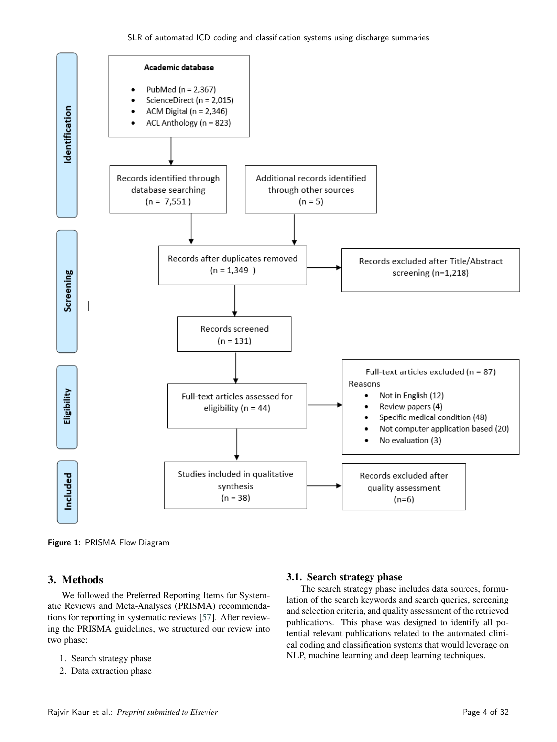

Figure 1: PRISMA Flow Diagram

## **3. Methods**

We followed the Preferred Reporting Items for Systematic Reviews and Meta-Analyses (PRISMA) recommendations for reporting in systematic reviews [\[57\]](#page-30-4). After reviewing the PRISMA guidelines, we structured our review into two phase:

- 1. Search strategy phase
- 2. Data extraction phase

#### **3.1. Search strategy phase**

The search strategy phase includes data sources, formulation of the search keywords and search queries, screening and selection criteria, and quality assessment of the retrieved publications. This phase was designed to identify all potential relevant publications related to the automated clinical coding and classification systems that would leverage on NLP, machine learning and deep learning techniques.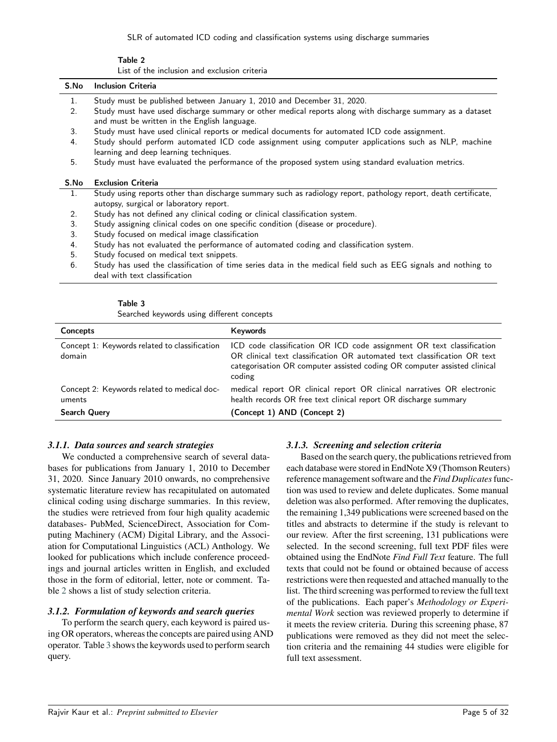SLR of automated ICD coding and classification systems using discharge summaries

Table 2 List of the inclusion and exclusion criteria

<span id="page-5-0"></span>

| S.No | <b>Inclusion Criteria</b>                                                                                                                                  |
|------|------------------------------------------------------------------------------------------------------------------------------------------------------------|
| 1.   | Study must be published between January 1, 2010 and December 31, 2020.                                                                                     |
| 2.   | Study must have used discharge summary or other medical reports along with discharge summary as a dataset<br>and must be written in the English language.  |
| 3.   | Study must have used clinical reports or medical documents for automated ICD code assignment.                                                              |
| 4.   | Study should perform automated ICD code assignment using computer applications such as NLP, machine<br>learning and deep learning techniques.              |
| 5.   | Study must have evaluated the performance of the proposed system using standard evaluation metrics.                                                        |
| S.No | <b>Exclusion Criteria</b>                                                                                                                                  |
| 1.   | Study using reports other than discharge summary such as radiology report, pathology report, death certificate,<br>autopsy, surgical or laboratory report. |
| 2.   | Study has not defined any clinical coding or clinical classification system.                                                                               |
| 3.   | Study assigning clinical codes on one specific condition (disease or procedure).                                                                           |
| 3.   | Study focused on medical image classification                                                                                                              |
| 4.   | Study has not evaluated the performance of automated coding and classification system.                                                                     |
| 5.   | Study focused on medical text snippets.                                                                                                                    |
| 6.   | Study has used the classification of time series data in the medical field such as EEG signals and nothing to<br>deal with text classification             |
|      |                                                                                                                                                            |

#### Table 3

Searched keywords using different concepts

<span id="page-5-1"></span>

| Concepts                                                                     | Keywords                                                                                                                                                                                                                                |
|------------------------------------------------------------------------------|-----------------------------------------------------------------------------------------------------------------------------------------------------------------------------------------------------------------------------------------|
| Concept 1: Keywords related to classification<br>domain                      | ICD code classification OR ICD code assignment OR text classification<br>OR clinical text classification OR automated text classification OR text<br>categorisation OR computer assisted coding OR computer assisted clinical<br>coding |
| Concept 2: Keywords related to medical doc-<br>uments<br><b>Search Query</b> | medical report OR clinical report OR clinical narratives OR electronic<br>health records OR free text clinical report OR discharge summary<br>(Concept 1) AND (Concept 2)                                                               |

## *3.1.1. Data sources and search strategies*

We conducted a comprehensive search of several databases for publications from January 1, 2010 to December 31, 2020. Since January 2010 onwards, no comprehensive systematic literature review has recapitulated on automated clinical coding using discharge summaries. In this review, the studies were retrieved from four high quality academic databases- PubMed, ScienceDirect, Association for Computing Machinery (ACM) Digital Library, and the Association for Computational Linguistics (ACL) Anthology. We looked for publications which include conference proceedings and journal articles written in English, and excluded those in the form of editorial, letter, note or comment. Table [2](#page-5-0) shows a list of study selection criteria.

## *3.1.2. Formulation of keywords and search queries*

To perform the search query, each keyword is paired using OR operators, whereas the concepts are paired using AND operator. Table [3](#page-5-1) shows the keywords used to perform search query.

## *3.1.3. Screening and selection criteria*

Based on the search query, the publications retrieved from each database were stored in EndNote X9 (Thomson Reuters) reference management software and the *Find Duplicates*function was used to review and delete duplicates. Some manual deletion was also performed. After removing the duplicates, the remaining 1,349 publications were screened based on the titles and abstracts to determine if the study is relevant to our review. After the first screening, 131 publications were selected. In the second screening, full text PDF files were obtained using the EndNote *Find Full Text* feature. The full texts that could not be found or obtained because of access restrictions were then requested and attached manually to the list. The third screening was performed to review the full text of the publications. Each paper's *Methodology or Experimental Work* section was reviewed properly to determine if it meets the review criteria. During this screening phase, 87 publications were removed as they did not meet the selection criteria and the remaining 44 studies were eligible for full text assessment.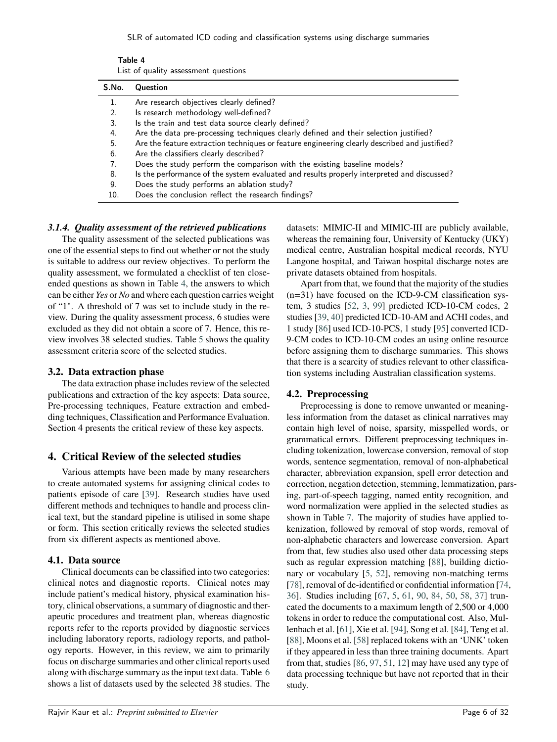SLR of automated ICD coding and classification systems using discharge summaries

| Table 4 |                                      |
|---------|--------------------------------------|
|         | List of quality assessment questions |

<span id="page-6-0"></span>

| S.No. | <b>Question</b>                                                                               |
|-------|-----------------------------------------------------------------------------------------------|
|       | Are research objectives clearly defined?                                                      |
| 2.    | Is research methodology well-defined?                                                         |
| 3.    | Is the train and test data source clearly defined?                                            |
| 4.    | Are the data pre-processing techniques clearly defined and their selection justified?         |
| 5.    | Are the feature extraction techniques or feature engineering clearly described and justified? |
| 6.    | Are the classifiers clearly described?                                                        |
| 7.    | Does the study perform the comparison with the existing baseline models?                      |
| 8.    | Is the performance of the system evaluated and results properly interpreted and discussed?    |
| 9.    | Does the study performs an ablation study?                                                    |
| 10.   | Does the conclusion reflect the research findings?                                            |

## *3.1.4. Quality assessment of the retrieved publications*

The quality assessment of the selected publications was one of the essential steps to find out whether or not the study is suitable to address our review objectives. To perform the quality assessment, we formulated a checklist of ten closeended questions as shown in Table [4,](#page-6-0) the answers to which can be either *Yes* or *No* and where each question carries weight of "1". A threshold of 7 was set to include study in the review. During the quality assessment process, 6 studies were excluded as they did not obtain a score of 7. Hence, this review involves 38 selected studies. Table [5](#page-7-0) shows the quality assessment criteria score of the selected studies.

## **3.2. Data extraction phase**

The data extraction phase includes review of the selected publications and extraction of the key aspects: Data source, Pre-processing techniques, Feature extraction and embedding techniques, Classification and Performance Evaluation. Section 4 presents the critical review of these key aspects.

## **4. Critical Review of the selected studies**

Various attempts have been made by many researchers to create automated systems for assigning clinical codes to patients episode of care [\[39\]](#page-29-0). Research studies have used different methods and techniques to handle and process clinical text, but the standard pipeline is utilised in some shape or form. This section critically reviews the selected studies from six different aspects as mentioned above.

## **4.1. Data source**

Clinical documents can be classified into two categories: clinical notes and diagnostic reports. Clinical notes may include patient's medical history, physical examination history, clinical observations, a summary of diagnostic and therapeutic procedures and treatment plan, whereas diagnostic reports refer to the reports provided by diagnostic services including laboratory reports, radiology reports, and pathology reports. However, in this review, we aim to primarily focus on discharge summaries and other clinical reports used along with discharge summary as the input text data. Table [6](#page-8-0) shows a list of datasets used by the selected 38 studies. The

datasets: MIMIC-II and MIMIC-III are publicly available, whereas the remaining four, University of Kentucky (UKY) medical centre, Australian hospital medical records, NYU Langone hospital, and Taiwan hospital discharge notes are private datasets obtained from hospitals.

Apart from that, we found that the majority of the studies  $(n=31)$  have focused on the ICD-9-CM classification system, 3 studies [\[52,](#page-30-5) [3,](#page-28-4) [99\]](#page-32-0) predicted ICD-10-CM codes, 2 studies [\[39,](#page-29-0) [40\]](#page-29-9) predicted ICD-10-AM and ACHI codes, and 1 study [\[86\]](#page-31-1) used ICD-10-PCS, 1 study [\[95\]](#page-31-5) converted ICD-9-CM codes to ICD-10-CM codes an using online resource before assigning them to discharge summaries. This shows that there is a scarcity of studies relevant to other classification systems including Australian classification systems.

## **4.2. Preprocessing**

Preprocessing is done to remove unwanted or meaningless information from the dataset as clinical narratives may contain high level of noise, sparsity, misspelled words, or grammatical errors. Different preprocessing techniques including tokenization, lowercase conversion, removal of stop words, sentence segmentation, removal of non-alphabetical character, abbreviation expansion, spell error detection and correction, negation detection, stemming, lemmatization, parsing, part-of-speech tagging, named entity recognition, and word normalization were applied in the selected studies as shown in Table [7.](#page-9-0) The majority of studies have applied tokenization, followed by removal of stop words, removal of non-alphabetic characters and lowercase conversion. Apart from that, few studies also used other data processing steps such as regular expression matching [\[88\]](#page-31-6), building dictionary or vocabulary [\[5,](#page-28-5) [52\]](#page-30-5), removing non-matching terms [\[78\]](#page-31-7), removal of de-identified or confidential information [\[74,](#page-31-8) [36\]](#page-29-3). Studies including [\[67,](#page-30-6) [5,](#page-28-5) [61,](#page-30-7) [90,](#page-31-9) [84,](#page-31-10) [50,](#page-30-8) [58,](#page-30-9) [37\]](#page-29-10) truncated the documents to a maximum length of 2,500 or 4,000 tokens in order to reduce the computational cost. Also, Mullenbach et al. [\[61\]](#page-30-7), Xie et al. [\[94\]](#page-31-11), Song et al. [\[84\]](#page-31-10), Teng et al. [\[88\]](#page-31-6), Moons et al. [\[58\]](#page-30-9) replaced tokens with an 'UNK' token if they appeared in less than three training documents. Apart from that, studies [\[86,](#page-31-1) [97,](#page-32-1) [51,](#page-30-10) [12\]](#page-28-6) may have used any type of data processing technique but have not reported that in their study.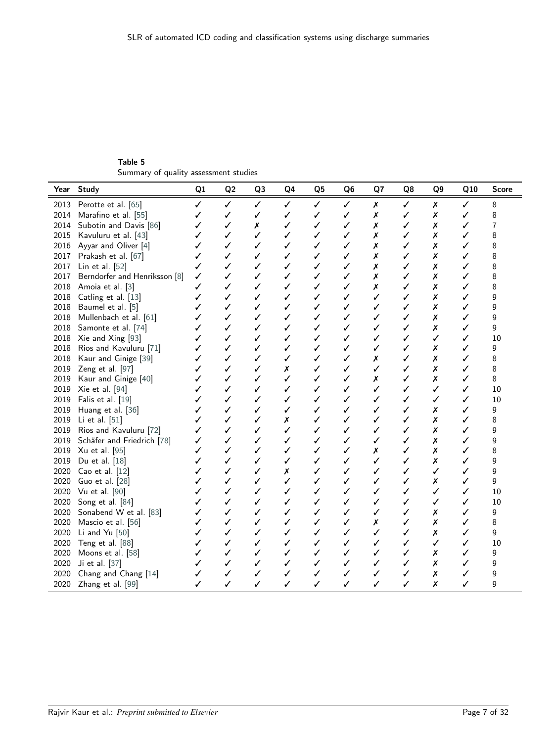Table 5 Summary of quality assessment studies

<span id="page-7-0"></span>

| Year | <b>Study</b>                  | Q1 | Q2 | Q3 | Q4           | Q5 | Q <sub>6</sub> | Q7 | Q8 | Q9 | Q10          | <b>Score</b> |
|------|-------------------------------|----|----|----|--------------|----|----------------|----|----|----|--------------|--------------|
| 2013 | Perotte et al. [65]           | ✓  | ✓  | ✓  | ✓            | ✓  | ✓              | Х  | ✓  | Х  | ✓            | 8            |
| 2014 | Marafino et al. [55]          | ✓  | ✓  | ✓  | ✓            | ✓  | ✓              | Х  | ✓  | Х  | ✓            | 8            |
| 2014 | Subotin and Davis [86]        | ✓  | ✓  | Х  | ✓            | ✓  | ✓              | Х  | ✓  | Х  | ✓            | 7            |
| 2015 | Kavuluru et al. [43]          | ✓  | ✓  | ✓  | ✓            | ✓  | ✓              | Х  | ✓  | Х  | ✓            | 8            |
|      | 2016 Ayyar and Oliver [4]     | ✓  | ✓  | ✓  | ✓            | ✓  | ✓              | Х  | ✓  | Х  |              | 8            |
| 2017 | Prakash et al. [67]           | ✓  | ✓  | ✓  | ✓            | ✓  | ✓              | Х  | ✓  | Х  | ✓            | 8            |
| 2017 | Lin et al. [52]               | ✓  | ✓  | ✓  | ✓            | ✓  | ✓              | Х  | ✓  | Х  | ✓            | 8            |
| 2017 | Berndorfer and Henriksson [8] | ✓  | ✓  | ✓  | ✓            | ✓  | ✓              | Х  | ✓  | Х  | ✓            | 8            |
| 2018 | Amoia et al. [3]              | ✓  | ✓  | ✓  | ✓            | ✓  | ✓              | Х  | ✓  | Х  | $\checkmark$ | 8            |
| 2018 | Catling et al. [13]           | ✓  | ✓  | ✓  | ✓            | ✓  | ✓              | ✓  | ✓  | Х  | ✓            | 9            |
| 2018 | Baumel et al. [5]             | ✓  | ✓  | ✓  | ✓            | ✓  | ✓              | ✓  | ✓  | Х  | ✓            | 9            |
| 2018 | Mullenbach et al. [61]        | ✓  | ✓  | ✓  | ✓            | ✓  | ✓              | ✓  | ✓  | Х  | ✓            | 9            |
| 2018 | Samonte et al. [74]           | ✓  | ✓  | ✓  | ✓            | ✓  | ✓              | ✓  | ✓  | Х  | ✓            | 9            |
|      | 2018 Xie and Xing [93]        | ✓  | ✓  | ✓  | ✓            | ✓  | ✓              | ✓  | ✓  | ✓  | ✓            | 10           |
| 2018 | Rios and Kavuluru [71]        | ✓  | ✓  | ✓  | ✓            | ✓  | ✓              | ✓  | ✓  | Х  | ✓            | 9            |
| 2018 | Kaur and Ginige [39]          | ✓  | ✓  | ✓  | ✓            | ✓  | ✓              | Х  | ✓  | Х  | ✓            | 8            |
| 2019 | Zeng et al. [97]              | ✓  | ✓  | ✓  | Х            | ✓  | ✓              | ✓  | ✓  | Х  | ✓            | 8            |
| 2019 | Kaur and Ginige [40]          | ✓  | ✓  | ✓  | ✓            | ✓  | ✓              | Х  | ✓  | Х  | ✓            | 8            |
| 2019 | Xie et al. [94]               | ✓  | ✓  | ✓  | ✓            | ✓  | ✓              | ✓  | ✓  | ✓  | ✓            | 10           |
| 2019 | Falis et al. [19]             | ✓  | ✓  | ✓  | ✓            | ✓  | ✓              | ✓  | ✓  | ✓  | ✓            | 10           |
| 2019 | Huang et al. [36]             | ✓  | ✓  | ✓  | ✓            | ✓  | ✓              | ✓  | ✓  | Х  | ✓            | 9            |
| 2019 | Li et al. [51]                | ✓  | ✓  | ✓  | Х            | ✓  | ✓              | ✓  | ✓  | Х  | ✓            | 8            |
| 2019 | Rios and Kavuluru [72]        | ✓  | ✓  | ✓  | ✓            | ✓  | ✓              | ✓  | ✓  | Х  | ✓            | 9            |
| 2019 | Schäfer and Friedrich [78]    | ✓  | ✓  | ✓  | ✓            | ✓  | ✓              | ✓  | ✓  | Х  | ✓            | 9            |
| 2019 | Xu et al. [95]                | ✓  | ✓  | ✓  | ✓            | ✓  | ✓              | Х  | ✓  | Х  |              | 8            |
| 2019 | Du et al. [18]                | ✓  | ✓  | ✓  | ✓            | ✓  | ✓              | ✓  | ✓  | Х  | ✓            | 9            |
| 2020 | Cao et al. [12]               | ✓  | ✓  | ✓  | Х            | ✓  | ✓              | ✓  | ✓  | ✓  | ✓            | 9            |
| 2020 | Guo et al. [28]               | ✓  | ✓  | ✓  | ✓            | ✓  | ✓              | ✓  | ✓  | Х  | ✓            | 9            |
| 2020 | Vu et al. [90]                | ✓  | ✓  | ✓  | ✓            | ✓  | ✓              | ✓  | ✓  | ✓  | ✓            | 10           |
| 2020 | Song et al. [84]              | ✓  | ✓  | ✓  | ✓            | ✓  | ✓              | ✓  | ✓  | ✓  | ✓            | 10           |
| 2020 | Sonabend W et al. [83]        | ✓  | ✓  | ✓  | ✓            | ✓  | ✓              | ✓  | ✓  | Х  | ✓            | 9            |
| 2020 | Mascio et al. [56]            | ✓  | ✓  | ✓  | ✓            | ✓  | ✓              | Х  | ✓  | Х  | ✓            | 8            |
| 2020 | Li and Yu [50]                | ✓  | ✓  | ✓  | $\checkmark$ | ✓  | ✓              | ✓  | ✓  | Х  | ✓            | 9            |
| 2020 | Teng et al. [88]              | ✓  | ✓  | ✓  | ✓            | ✓  | ✓              | ✓  | ✓  | ✓  | ✓            | 10           |
| 2020 | Moons et al. [58]             | ✓  | ✓  | ✓  | ✓            | ✓  | ✓              | ✓  | ✓  | Х  | ✓            | 9            |
| 2020 | Ji et al. [37]                | ✓  | ✓  | ✓  | ✓            | ✓  | ✓              | ✓  | ✓  | Х  | ✓            | 9            |
| 2020 | Chang and Chang [14]          | ✓  | ✓  | √  | ✓            | √  | √              | ✓  | √  | Х  | ✓            | 9            |
| 2020 | Zhang et al. [99]             | ✓  | ✓  | ✓  | ✓            | ✓  | ✓              | ✓  | ✓  | Х  | ✓            | 9            |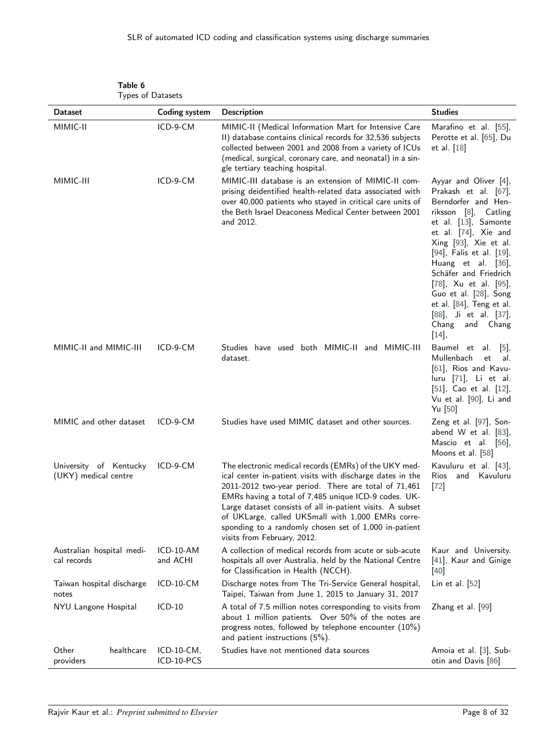<span id="page-8-0"></span>

| Types of Datasets                              |                          |                                                                                                                                                                                                                                                                                                                                                                                                                                              |                                                                                                                                                                                                                                                                                                                                                                                         |
|------------------------------------------------|--------------------------|----------------------------------------------------------------------------------------------------------------------------------------------------------------------------------------------------------------------------------------------------------------------------------------------------------------------------------------------------------------------------------------------------------------------------------------------|-----------------------------------------------------------------------------------------------------------------------------------------------------------------------------------------------------------------------------------------------------------------------------------------------------------------------------------------------------------------------------------------|
| <b>Dataset</b>                                 | <b>Coding system</b>     | <b>Description</b>                                                                                                                                                                                                                                                                                                                                                                                                                           | <b>Studies</b>                                                                                                                                                                                                                                                                                                                                                                          |
| MIMIC-II                                       | ICD-9-CM                 | MIMIC-II (Medical Information Mart for Intensive Care<br>II) database contains clinical records for 32,536 subjects<br>collected between 2001 and 2008 from a variety of ICUs<br>(medical, surgical, coronary care, and neonatal) in a sin-<br>gle tertiary teaching hospital.                                                                                                                                                               | Marafino et al. [55],<br>Perotte et al. [65], Du<br>et al. $[18]$                                                                                                                                                                                                                                                                                                                       |
| MIMIC-III                                      | ICD-9-CM                 | MIMIC-III database is an extension of MIMIC-II com-<br>prising deidentified health-related data associated with<br>over 40,000 patients who stayed in critical care units of<br>the Beth Israel Deaconess Medical Center between 2001<br>and 2012.                                                                                                                                                                                           | Ayyar and Oliver [4],<br>Prakash et al. [67],<br>Berndorfer and Hen-<br>riksson [8], Catling<br>et al. [13], Samonte<br>et al. [74], Xie and<br>Xing [93], Xie et al.<br>[94], Falis et al. [19],<br>Huang et al. [36],<br>Schäfer and Friedrich<br>[78], Xu et al. [95],<br>Guo et al. [28], Song<br>et al. [84], Teng et al.<br>[88], Ji et al. [37],<br>Chang<br>and Chang<br>$[14]$ |
| MIMIC-II and MIMIC-III                         | ICD-9-CM                 | Studies have used both MIMIC-II and MIMIC-III<br>dataset.                                                                                                                                                                                                                                                                                                                                                                                    | Baumel et al. [5],<br>Mullenbach<br>et<br>al.<br>[61], Rios and Kavu-<br>luru [71], Li et al.<br>[51], Cao et al. [12],<br>Vu et al. [90], Li and<br>Yu $[50]$                                                                                                                                                                                                                          |
| MIMIC and other dataset                        | ICD-9-CM                 | Studies have used MIMIC dataset and other sources.                                                                                                                                                                                                                                                                                                                                                                                           | Zeng et al. [97], Son-<br>abend W et al. [83],<br>Mascio et al. [56],<br>Moons et al. [58]                                                                                                                                                                                                                                                                                              |
| University of Kentucky<br>(UKY) medical centre | ICD-9-CM                 | The electronic medical records (EMRs) of the UKY med-<br>ical center in-patient visits with discharge dates in the<br>2011-2012 two-year period. There are total of 71,461<br>EMRs having a total of 7,485 unique ICD-9 codes. UK-<br>Large dataset consists of all in-patient visits. A subset<br>of UKLarge, called UKSmall with 1,000 EMRs corre-<br>sponding to a randomly chosen set of 1,000 in-patient<br>visits from February, 2012. | Kavuluru et al. [43],<br>Rios<br>and<br>Kavuluru<br>$[72]$                                                                                                                                                                                                                                                                                                                              |
| Australian hospital medi-<br>cal records       | $ICD-10-AM$<br>and ACHI  | A collection of medical records from acute or sub-acute<br>hospitals all over Australia, held by the National Centre<br>for Classification in Health (NCCH).                                                                                                                                                                                                                                                                                 | Kaur and University.<br>[41], Kaur and Ginige<br>$[40]$                                                                                                                                                                                                                                                                                                                                 |
| Taiwan hospital discharge<br>notes             | ICD-10-CM                | Discharge notes from The Tri-Service General hospital,<br>Taipei, Taiwan from June 1, 2015 to January 31, 2017                                                                                                                                                                                                                                                                                                                               | Lin et al. [52]                                                                                                                                                                                                                                                                                                                                                                         |
| NYU Langone Hospital                           | $ICD-10$                 | A total of 7.5 million notes corresponding to visits from<br>about 1 million patients. Over 50% of the notes are<br>progress notes, followed by telephone encounter (10%)<br>and patient instructions (5%).                                                                                                                                                                                                                                  | Zhang et al. [99]                                                                                                                                                                                                                                                                                                                                                                       |
| healthcare<br>Other<br>providers               | ICD-10-CM,<br>ICD-10-PCS | Studies have not mentioned data sources                                                                                                                                                                                                                                                                                                                                                                                                      | Amoia et al. [3], Sub-<br>otin and Davis [86]                                                                                                                                                                                                                                                                                                                                           |

| Table 6 |                  |
|---------|------------------|
|         | Types of Dataset |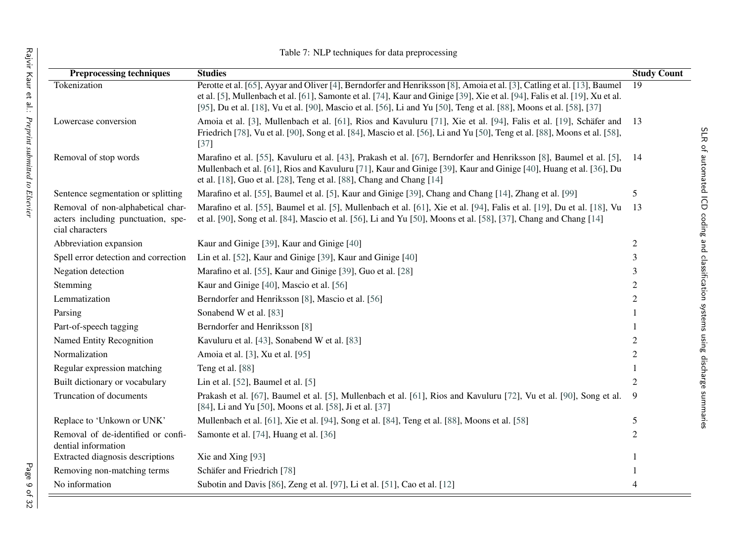<span id="page-9-0"></span>

|                                                                                            | Table 7: NLP techniques for data preprocessing                                                                                                                                                                                                                                                                                                                                 |                    |
|--------------------------------------------------------------------------------------------|--------------------------------------------------------------------------------------------------------------------------------------------------------------------------------------------------------------------------------------------------------------------------------------------------------------------------------------------------------------------------------|--------------------|
| <b>Preprocessing techniques</b>                                                            | <b>Studies</b>                                                                                                                                                                                                                                                                                                                                                                 | <b>Study Count</b> |
| Tokenization                                                                               | Perotte et al. [65], Ayyar and Oliver [4], Berndorfer and Henriksson [8], Amoia et al. [3], Catling et al. [13], Baumel<br>et al. [5], Mullenbach et al. [61], Samonte et al. [74], Kaur and Ginige [39], Xie et al. [94], Falis et al. [19], Xu et al.<br>[95], Du et al. [18], Vu et al. [90], Mascio et al. [56], Li and Yu [50], Teng et al. [88], Moons et al. [58], [37] | 19                 |
| Lowercase conversion                                                                       | Amoia et al. [3], Mullenbach et al. [61], Rios and Kavuluru [71], Xie et al. [94], Falis et al. [19], Schäfer and<br>Friedrich [78], Vu et al. [90], Song et al. [84], Mascio et al. [56], Li and Yu [50], Teng et al. [88], Moons et al. [58],<br>$[37]$                                                                                                                      | 13                 |
| Removal of stop words                                                                      | Marafino et al. [55], Kavuluru et al. [43], Prakash et al. [67], Berndorfer and Henriksson [8], Baumel et al. [5],<br>Mullenbach et al. [61], Rios and Kavuluru [71], Kaur and Ginige [39], Kaur and Ginige [40], Huang et al. [36], Du<br>et al. [18], Guo et al. [28], Teng et al. [88], Chang and Chang [14]                                                                | 14                 |
| Sentence segmentation or splitting                                                         | Marafino et al. [55], Baumel et al. [5], Kaur and Ginige [39], Chang and Chang [14], Zhang et al. [99]                                                                                                                                                                                                                                                                         | 5                  |
| Removal of non-alphabetical char-<br>acters including punctuation, spe-<br>cial characters | Marafino et al. [55], Baumel et al. [5], Mullenbach et al. [61], Xie et al. [94], Falis et al. [19], Du et al. [18], Vu<br>et al. [90], Song et al. [84], Mascio et al. [56], Li and Yu [50], Moons et al. [58], [37], Chang and Chang [14]                                                                                                                                    | 13                 |
| Abbreviation expansion                                                                     | Kaur and Ginige [39], Kaur and Ginige [40]                                                                                                                                                                                                                                                                                                                                     | $\overline{c}$     |
| Spell error detection and correction                                                       | Lin et al. [52], Kaur and Ginige [39], Kaur and Ginige [40]                                                                                                                                                                                                                                                                                                                    | 3                  |
| Negation detection                                                                         | Marafino et al. [55], Kaur and Ginige [39], Guo et al. [28]                                                                                                                                                                                                                                                                                                                    | 3                  |
| Stemming                                                                                   | Kaur and Ginige [40], Mascio et al. [56]                                                                                                                                                                                                                                                                                                                                       | 2                  |
| Lemmatization                                                                              | Berndorfer and Henriksson [8], Mascio et al. [56]                                                                                                                                                                                                                                                                                                                              | $\overline{c}$     |
| Parsing                                                                                    | Sonabend W et al. [83]                                                                                                                                                                                                                                                                                                                                                         |                    |
| Part-of-speech tagging                                                                     | Berndorfer and Henriksson [8]                                                                                                                                                                                                                                                                                                                                                  |                    |
| <b>Named Entity Recognition</b>                                                            | Kavuluru et al. [43], Sonabend W et al. [83]                                                                                                                                                                                                                                                                                                                                   | 2                  |
| Normalization                                                                              | Amoia et al. [3], Xu et al. [95]                                                                                                                                                                                                                                                                                                                                               | 2                  |
| Regular expression matching                                                                | Teng et al. [88]                                                                                                                                                                                                                                                                                                                                                               | $\mathbf{1}$       |
| Built dictionary or vocabulary                                                             | Lin et al. [52], Baumel et al. [5]                                                                                                                                                                                                                                                                                                                                             | 2                  |
| Truncation of documents                                                                    | Prakash et al. [67], Baumel et al. [5], Mullenbach et al. [61], Rios and Kavuluru [72], Vu et al. [90], Song et al.<br>[84], Li and Yu [50], Moons et al. [58], Ji et al. [37]                                                                                                                                                                                                 | 9                  |
| Replace to 'Unkown or UNK'                                                                 | Mullenbach et al. [61], Xie et al. [94], Song et al. [84], Teng et al. [88], Moons et al. [58]                                                                                                                                                                                                                                                                                 | 5                  |
| Removal of de-identified or confi-<br>dential information                                  | Samonte et al. [74], Huang et al. [36]                                                                                                                                                                                                                                                                                                                                         | 2                  |
| Extracted diagnosis descriptions                                                           | Xie and Xing [93]                                                                                                                                                                                                                                                                                                                                                              |                    |
| Removing non-matching terms                                                                | Schäfer and Friedrich [78]                                                                                                                                                                                                                                                                                                                                                     |                    |
| No information                                                                             | Subotin and Davis [86], Zeng et al. [97], Li et al. [51], Cao et al. [12]                                                                                                                                                                                                                                                                                                      | $\overline{4}$     |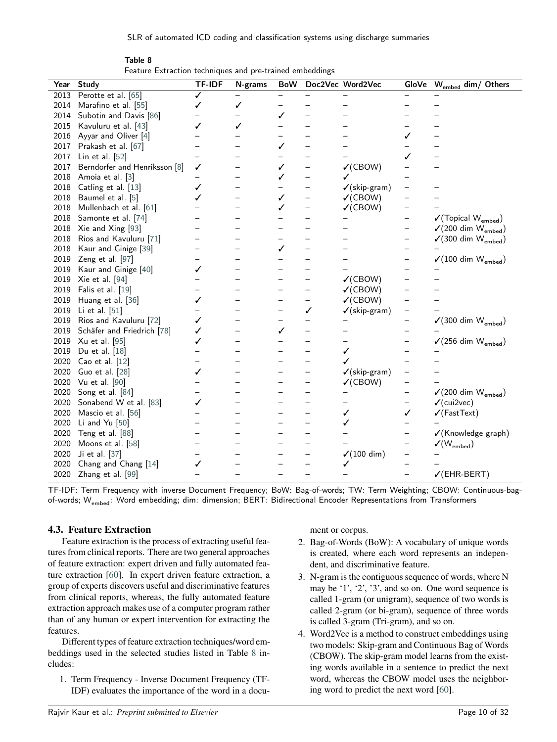| Table 8                                                  |  |
|----------------------------------------------------------|--|
| Feature Extraction techniques and pre-trained embeddings |  |

<span id="page-10-0"></span>

| Year | <b>Study</b>                  | <b>TF-IDF</b>            | N-grams                  | <b>BoW</b> |                          | Doc2Vec Word2Vec         | <b>GloVe</b>             | W <sub>embed</sub> dim/ Others             |
|------|-------------------------------|--------------------------|--------------------------|------------|--------------------------|--------------------------|--------------------------|--------------------------------------------|
| 2013 | Perotte et al. [65]           | ✓                        |                          |            |                          |                          |                          |                                            |
| 2014 | Marafino et al. [55]          | ✓                        | ✓                        |            |                          |                          |                          |                                            |
| 2014 | Subotin and Davis [86]        |                          |                          |            |                          |                          |                          |                                            |
| 2015 | Kavuluru et al. [43]          | ✓                        | ✓                        |            |                          |                          |                          |                                            |
| 2016 | Ayyar and Oliver [4]          |                          |                          |            |                          |                          | ✓                        |                                            |
| 2017 | Prakash et al. [67]           |                          |                          | ✓          |                          |                          |                          |                                            |
| 2017 | Lin et al. [52]               |                          |                          |            |                          |                          | ✓                        |                                            |
| 2017 | Berndorfer and Henriksson [8] | ✓                        |                          | ✓          |                          | V(CBOW)                  |                          |                                            |
| 2018 | Amoia et al. [3]              | —                        |                          | ✓          | $\overline{\phantom{0}}$ | ✓                        |                          |                                            |
| 2018 | Catling et al. [13]           | ✓                        |                          |            | —                        | $\checkmark$ (skip-gram) |                          |                                            |
| 2018 | Baumel et al. [5]             | ✓                        | $\overline{\phantom{0}}$ | ✓          | $\overline{\phantom{0}}$ | $\checkmark$ (CBOW)      |                          |                                            |
| 2018 | Mullenbach et al. [61]        |                          |                          | ✓          | $\overline{\phantom{0}}$ | $\checkmark$ (CBOW)      |                          |                                            |
| 2018 | Samonte et al. [74]           |                          |                          |            |                          | $\overline{\phantom{0}}$ | $\overline{\phantom{0}}$ | $\sqrt{\text{(Topical W}_{embed)}}$        |
| 2018 | Xie and Xing [93]             |                          |                          |            |                          |                          |                          | $\checkmark$ (200 dim W <sub>embed</sub> ) |
| 2018 | Rios and Kavuluru [71]        |                          | $\overline{\phantom{0}}$ |            | -                        |                          | —                        | $\sqrt{(300 \dim W_{embed})}$              |
| 2018 | Kaur and Ginige [39]          |                          |                          | ✓          | -                        |                          |                          |                                            |
| 2019 | Zeng et al. [97]              |                          |                          |            |                          |                          |                          | $\checkmark$ (100 dim W <sub>embed</sub> ) |
| 2019 | Kaur and Ginige [40]          | ✓                        |                          |            |                          |                          |                          |                                            |
| 2019 | Xie et al. [94]               |                          | —                        |            |                          | V(CBOW)                  |                          |                                            |
| 2019 | Falis et al. [19]             | —                        | —                        |            | —                        | V(CBOW)                  |                          |                                            |
| 2019 | Huang et al. [36]             | ✓                        |                          |            | —                        | $\checkmark$ (CBOW)      |                          |                                            |
| 2019 | Li et al. [51]                |                          |                          |            | ✓                        | $\checkmark$ (skip-gram) |                          |                                            |
| 2019 | Rios and Kavuluru [72]        | ✓                        |                          |            |                          |                          |                          | $\sqrt{(300 \dim W_{embed})}$              |
| 2019 | Schäfer and Friedrich [78]    | ✓                        |                          | ✓          | —                        |                          |                          |                                            |
| 2019 | Xu et al. [95]                | ✓                        |                          |            |                          |                          |                          | $\sqrt{(256 \dim W_{embed})}$              |
| 2019 | Du et al. [18]                |                          |                          |            |                          | ✓                        |                          |                                            |
| 2020 | Cao et al. [12]               |                          |                          |            |                          | ✓                        |                          |                                            |
| 2020 | Guo et al. [28]               | ✓                        |                          |            |                          | $\checkmark$ (skip-gram) |                          |                                            |
| 2020 | Vu et al. [90]                |                          |                          |            |                          | $\checkmark$ (CBOW)      |                          |                                            |
| 2020 | Song et al. [84]              |                          |                          |            |                          |                          |                          | $\checkmark$ (200 dim W <sub>embed</sub> ) |
| 2020 | Sonabend W et al. [83]        | ✓                        |                          |            | -                        |                          |                          | $\checkmark$ (cui2vec)                     |
| 2020 | Mascio et al. [56]            |                          |                          |            | $\overline{\phantom{0}}$ | ✓                        | ✓                        | $\checkmark$ (FastText)                    |
| 2020 | Li and Yu [50]                |                          |                          |            | $\overline{\phantom{0}}$ | ✓                        |                          |                                            |
| 2020 | Teng et al. [88]              |                          |                          |            |                          |                          |                          | √(Knowledge graph)                         |
| 2020 | Moons et al. [58]             |                          |                          |            |                          |                          |                          | $\checkmark(\mathsf{W}_{\mathsf{embed}})$  |
| 2020 | Ji et al. [37]                |                          |                          |            |                          | $\checkmark(100 \dim)$   |                          |                                            |
| 2020 | Chang and Chang [14]          | ✓                        |                          |            |                          | ✓                        |                          |                                            |
| 2020 | Zhang et al. [99]             | $\overline{\phantom{0}}$ | $\overline{\phantom{0}}$ |            |                          |                          |                          | $\checkmark$ (EHR-BERT)                    |

TF-IDF: Term Frequency with inverse Document Frequency; BoW: Bag-of-words; TW: Term Weighting; CBOW: Continuous-bagof-words; W<sub>embed</sub>: Word embedding; dim: dimension; BERT: Bidirectional Encoder Representations from Transformers

#### **4.3. Feature Extraction**

Feature extraction is the process of extracting useful features from clinical reports. There are two general approaches of feature extraction: expert driven and fully automated feature extraction [\[60\]](#page-30-0). In expert driven feature extraction, a group of experts discovers useful and discriminative features from clinical reports, whereas, the fully automated feature extraction approach makes use of a computer program rather than of any human or expert intervention for extracting the features.

Different types of feature extraction techniques/word embeddings used in the selected studies listed in Table [8](#page-10-0) includes:

1. Term Frequency - Inverse Document Frequency (TF-IDF) evaluates the importance of the word in a document or corpus.

- 2. Bag-of-Words (BoW): A vocabulary of unique words is created, where each word represents an independent, and discriminative feature.
- 3. N-gram is the contiguous sequence of words, where N may be '1', '2', '3', and so on. One word sequence is called 1-gram (or unigram), sequence of two words is called 2-gram (or bi-gram), sequence of three words is called 3-gram (Tri-gram), and so on.
- 4. Word2Vec is a method to construct embeddings using two models: Skip-gram and Continuous Bag of Words (CBOW). The skip-gram model learns from the existing words available in a sentence to predict the next word, whereas the CBOW model uses the neighboring word to predict the next word [\[60\]](#page-30-0).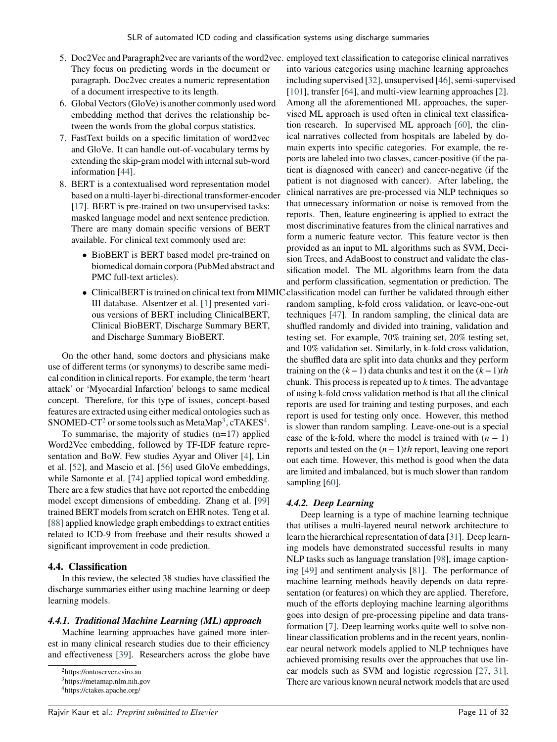- 5. Doc2Vec and Paragraph2vec are variants of the word2vec. employed text classification to categorise clinical narratives They focus on predicting words in the document or paragraph. Doc2vec creates a numeric representation of a document irrespective to its length.
- 6. Global Vectors (GloVe) is another commonly used word embedding method that derives the relationship between the words from the global corpus statistics.
- 7. FastText builds on a specific limitation of word2vec and GloVe. It can handle out-of-vocabulary terms by extending the skip-gram model with internal sub-word information [\[44\]](#page-30-23).
- 8. BERT is a contextualised word representation model based on a multi-layer bi-directional transformer-encoder [\[17\]](#page-29-23). BERT is pre-trained on two unsupervised tasks: masked language model and next sentence prediction. There are many domain specific versions of BERT available. For clinical text commonly used are:
	- BioBERT is BERT based model pre-trained on biomedical domain corpora (PubMed abstract and PMC full-text articles).
	- III database. Alsentzer et al. [\[1\]](#page-28-17) presented various versions of BERT including ClinicalBERT, Clinical BioBERT, Discharge Summary BERT, and Discharge Summary BioBERT.

On the other hand, some doctors and physicians make use of different terms (or synonyms) to describe same medical condition in clinical reports. For example, the term 'heart attack' or 'Myocardial Infarction' belongs to same medical concept. Therefore, for this type of issues, concept-based features are extracted using either medical ontologies such as SNOMED-CT<sup>[2](#page-11-0)</sup> or some tools such as MetaMap<sup>[3](#page-11-1)</sup>, cTAKES<sup>[4](#page-11-2)</sup>.

To summarise, the majority of studies  $(n=17)$  applied Word2Vec embedding, followed by TF-IDF feature representation and BoW. Few studies Ayyar and Oliver [\[4\]](#page-28-7), Lin et al. [\[52\]](#page-30-5), and Mascio et al. [\[56\]](#page-30-13) used GloVe embeddings, while Samonte et al. [\[74\]](#page-31-8) applied topical word embedding. There are a few studies that have not reported the embedding model except dimensions of embedding. Zhang et al. [\[99\]](#page-32-0) trained BERT models from scratch on EHR notes. Teng et al. [\[88\]](#page-31-6) applied knowledge graph embeddings to extract entities related to ICD-9 from freebase and their results showed a significant improvement in code prediction.

#### **4.4. Classification**

In this review, the selected 38 studies have classified the discharge summaries either using machine learning or deep learning models.

#### *4.4.1. Traditional Machine Learning (ML) approach*

Machine learning approaches have gained more interest in many clinical research studies due to their efficiency and effectiveness [\[39\]](#page-29-0). Researchers across the globe have

• ClinicalBERT is trained on clinical text from MIMIC classification model can further be validated through either into various categories using machine learning approaches including supervised [\[32\]](#page-29-24), unsupervised [\[46\]](#page-30-24), semi-supervised [\[101\]](#page-32-4), transfer [\[64\]](#page-30-25), and multi-view learning approaches [\[2\]](#page-28-18). Among all the aforementioned ML approaches, the supervised ML approach is used often in clinical text classification research. In supervised ML approach [\[60\]](#page-30-0), the clinical narratives collected from hospitals are labeled by domain experts into specific categories. For example, the reports are labeled into two classes, cancer-positive (if the patient is diagnosed with cancer) and cancer-negative (if the patient is not diagnosed with cancer). After labeling, the clinical narratives are pre-processed via NLP techniques so that unnecessary information or noise is removed from the reports. Then, feature engineering is applied to extract the most discriminative features from the clinical narratives and form a numeric feature vector. This feature vector is then provided as an input to ML algorithms such as SVM, Decision Trees, and AdaBoost to construct and validate the classification model. The ML algorithms learn from the data and perform classification, segmentation or prediction. The random sampling, k-fold cross validation, or leave-one-out techniques [\[47\]](#page-30-26). In random sampling, the clinical data are shuffled randomly and divided into training, validation and testing set. For example, 70% training set, 20% testing set, and 10% validation set. Similarly, in k-fold cross validation, the shuffled data are split into data chunks and they perform training on the  $(k-1)$  data chunks and test it on the  $(k-1)$ *th* chunk. This process is repeated up to *k* times. The advantage of using k-fold cross validation method is that all the clinical reports are used for training and testing purposes, and each report is used for testing only once. However, this method is slower than random sampling. Leave-one-out is a special case of the k-fold, where the model is trained with  $(n - 1)$ reports and tested on the (*𝑛*− 1)*𝑡ℎ* report, leaving one report out each time. However, this method is good when the data are limited and imbalanced, but is much slower than random sampling [\[60\]](#page-30-0).

## *4.4.2. Deep Learning*

Deep learning is a type of machine learning technique that utilises a multi-layered neural network architecture to learn the hierarchical representation of data [\[31\]](#page-29-25). Deep learning models have demonstrated successful results in many NLP tasks such as language translation [\[98\]](#page-32-5), image captioning [\[49\]](#page-30-27) and sentiment analysis [\[81\]](#page-31-27). The performance of machine learning methods heavily depends on data representation (or features) on which they are applied. Therefore, much of the efforts deploying machine learning algorithms goes into design of pre-processing pipeline and data transformation [\[7\]](#page-28-19). Deep learning works quite well to solve nonlinear classification problems and in the recent years, nonlinear neural network models applied to NLP techniques have achieved promising results over the approaches that use linear models such as SVM and logistic regression [\[27,](#page-29-26) [31\]](#page-29-25). There are various known neural network models that are used

<span id="page-11-0"></span><sup>2</sup>https://ontoserver.csiro.au

<span id="page-11-1"></span><sup>3</sup>https://metamap.nlm.nih.gov

<span id="page-11-2"></span><sup>4</sup>https://ctakes.apache.org/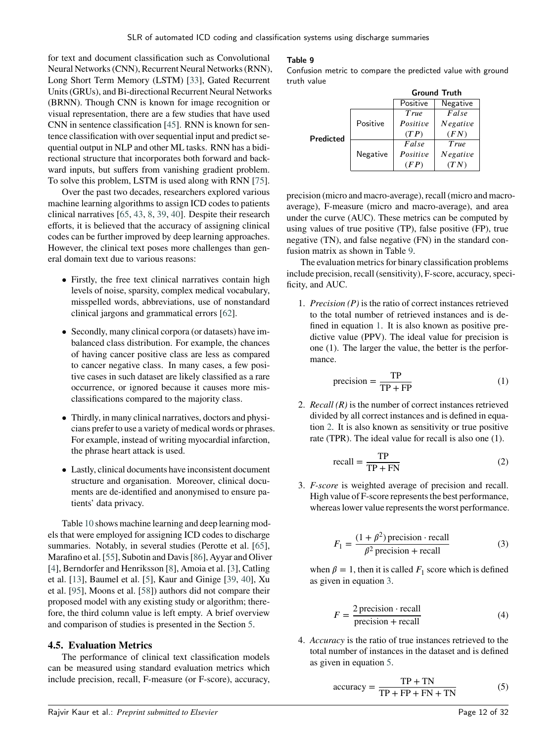for text and document classification such as Convolutional Neural Networks (CNN), Recurrent Neural Networks (RNN), Long Short Term Memory (LSTM) [\[33\]](#page-29-27), Gated Recurrent Units (GRUs), and Bi-directional Recurrent Neural Networks (BRNN). Though CNN is known for image recognition or visual representation, there are a few studies that have used CNN in sentence classification [\[45\]](#page-30-28). RNN is known for sentence classification with over sequential input and predict sequential output in NLP and other ML tasks. RNN has a bidirectional structure that incorporates both forward and backward inputs, but suffers from vanishing gradient problem. To solve this problem, LSTM is used along with RNN [\[75\]](#page-31-28).

Over the past two decades, researchers explored various machine learning algorithms to assign ICD codes to patients clinical narratives [\[65,](#page-30-11) [43,](#page-29-11) [8,](#page-28-8) [39,](#page-29-0) [40\]](#page-29-9). Despite their research efforts, it is believed that the accuracy of assigning clinical codes can be further improved by deep learning approaches. However, the clinical text poses more challenges than general domain text due to various reasons:

- Firstly, the free text clinical narratives contain high levels of noise, sparsity, complex medical vocabulary, misspelled words, abbreviations, use of nonstandard clinical jargons and grammatical errors [\[62\]](#page-30-29).
- Secondly, many clinical corpora (or datasets) have imbalanced class distribution. For example, the chances of having cancer positive class are less as compared to cancer negative class. In many cases, a few positive cases in such dataset are likely classified as a rare occurrence, or ignored because it causes more misclassifications compared to the majority class.
- Thirdly, in many clinical narratives, doctors and physicians prefer to use a variety of medical words or phrases. For example, instead of writing myocardial infarction, the phrase heart attack is used.
- Lastly, clinical documents have inconsistent document structure and organisation. Moreover, clinical documents are de-identified and anonymised to ensure patients' data privacy.

Table [10](#page-14-0) shows machine learning and deep learning models that were employed for assigning ICD codes to discharge summaries. Notably, in several studies (Perotte et al. [\[65\]](#page-30-11), Marafino et al. [\[55\]](#page-30-12), Subotin and Davis [\[86\]](#page-31-1), Ayyar and Oliver [\[4\]](#page-28-7), Berndorfer and Henriksson [\[8\]](#page-28-8), Amoia et al. [\[3\]](#page-28-4), Catling et al. [\[13\]](#page-28-1), Baumel et al. [\[5\]](#page-28-5), Kaur and Ginige [\[39,](#page-29-0) [40\]](#page-29-9), Xu et al. [\[95\]](#page-31-5), Moons et al. [\[58\]](#page-30-9)) authors did not compare their proposed model with any existing study or algorithm; therefore, the third column value is left empty. A brief overview and comparison of studies is presented in the Section [5.](#page-17-0)

#### **4.5. Evaluation Metrics**

The performance of clinical text classification models can be measured using standard evaluation metrics which include precision, recall, F-measure (or F-score), accuracy,

#### <span id="page-12-0"></span>Table 9

Confusion metric to compare the predicted value with ground truth value

|           |          | <b>Ground Truth</b> |          |  |  |  |  |  |
|-----------|----------|---------------------|----------|--|--|--|--|--|
|           |          | Positive            | Negative |  |  |  |  |  |
|           |          | True                | False    |  |  |  |  |  |
| Predicted | Positive | Positive            | Negative |  |  |  |  |  |
|           |          | (TP)                | (FN)     |  |  |  |  |  |
|           |          | False               | True     |  |  |  |  |  |
|           | Negative | Positive            | Negative |  |  |  |  |  |
|           |          | (FP)                | (TN)     |  |  |  |  |  |

precision (micro and macro-average), recall (micro and macroaverage), F-measure (micro and macro-average), and area under the curve (AUC). These metrics can be computed by using values of true positive (TP), false positive (FP), true negative (TN), and false negative (FN) in the standard confusion matrix as shown in Table [9.](#page-12-0)

The evaluation metrics for binary classification problems include precision, recall (sensitivity), F-score, accuracy, specificity, and AUC.

1. *Precision (P)* is the ratio of correct instances retrieved to the total number of retrieved instances and is defined in equation [1.](#page-12-1) It is also known as positive predictive value (PPV). The ideal value for precision is one (1). The larger the value, the better is the performance.

<span id="page-12-1"></span>
$$
precision = \frac{TP}{TP + FP}
$$
 (1)

2. *Recall (R)* is the number of correct instances retrieved divided by all correct instances and is defined in equation [2.](#page-12-2) It is also known as sensitivity or true positive rate (TPR). The ideal value for recall is also one (1).

<span id="page-12-2"></span>
$$
recall = \frac{TP}{TP + FN}
$$
 (2)

<span id="page-12-3"></span>3. *F-score* is weighted average of precision and recall. High value of F-score represents the best performance, whereas lower value represents the worst performance.

$$
F_1 = \frac{(1 + \beta^2) \text{ precision} \cdot \text{recall}}{\beta^2 \text{ precision} + \text{recall}}
$$
 (3)

when  $\beta = 1$ , then it is called  $F_1$  score which is defined as given in equation [3.](#page-12-3)

$$
F = \frac{2 \text{ precision} \cdot \text{recall}}{\text{precision} + \text{recall}}
$$
 (4)

4. *Accuracy* is the ratio of true instances retrieved to the total number of instances in the dataset and is defined as given in equation [5.](#page-12-4)

<span id="page-12-4"></span>
$$
accuracy = \frac{TP + TN}{TP + FP + FN + TN}
$$
 (5)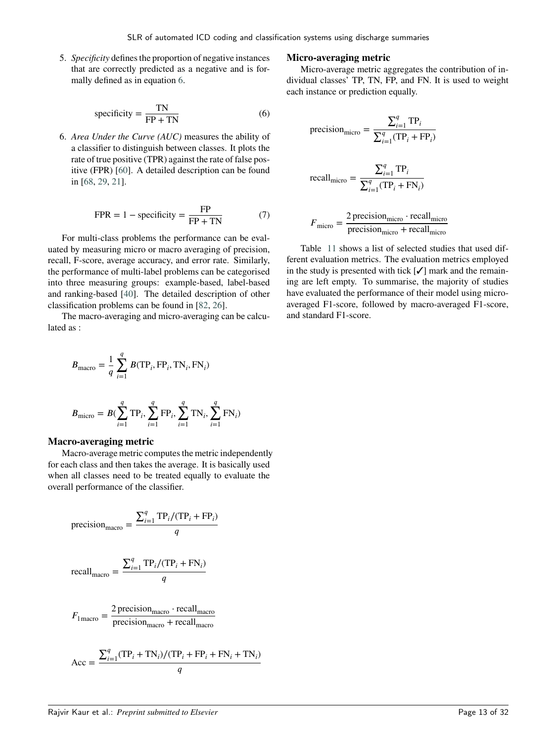<span id="page-13-0"></span>5. *Specificity* defines the proportion of negative instances that are correctly predicted as a negative and is formally defined as in equation [6.](#page-13-0)

specificity = 
$$
\frac{TN}{FP + TN}
$$
 (6)

6. *Area Under the Curve (AUC)* measures the ability of a classifier to distinguish between classes. It plots the rate of true positive (TPR) against the rate of false positive (FPR) [\[60\]](#page-30-0). A detailed description can be found in [\[68,](#page-30-30) [29,](#page-29-28) [21\]](#page-29-29).

$$
FPR = 1 - \text{specificity} = \frac{FP}{FP + TN} \tag{7}
$$

For multi-class problems the performance can be evaluated by measuring micro or macro averaging of precision, recall, F-score, average accuracy, and error rate. Similarly, the performance of multi-label problems can be categorised into three measuring groups: example-based, label-based and ranking-based [\[40\]](#page-29-9). The detailed description of other classification problems can be found in [\[82,](#page-31-29) [26\]](#page-29-30).

The macro-averaging and micro-averaging can be calculated as :

$$
B_{\text{macro}} = \frac{1}{q} \sum_{i=1}^{q} B(\text{TP}_i, \text{FP}_i, \text{TN}_i, \text{FN}_i)
$$

$$
B_{\text{micro}} = B(\sum_{i=1}^{q} \text{TP}_i, \sum_{i=1}^{q} \text{FP}_i, \sum_{i=1}^{q} \text{TN}_i, \sum_{i=1}^{q} \text{FN}_i)
$$

#### **Macro-averaging metric**

Macro-average metric computes the metric independently for each class and then takes the average. It is basically used when all classes need to be treated equally to evaluate the overall performance of the classifier.

$$
\text{precision}_{\text{macro}} = \frac{\sum_{i=1}^{q} \text{TP}_i / (\text{TP}_i + \text{FP}_i)}{q}
$$

$$
\text{recall}_{\text{macro}} = \frac{\sum_{i=1}^{q} \text{TP}_i / (\text{TP}_i + \text{FN}_i)}{q}
$$

$$
F_{1\text{macro}} = \frac{2 \text{ precision}_{\text{macro}} \cdot \text{recall}_{\text{macro}}}{\text{precision}_{\text{macro}} + \text{recall}_{\text{macro}}}
$$

$$
Acc = \frac{\sum_{i=1}^{q} (TP_i + TN_i)/(TP_i + FP_i + FN_i + TN_i)}{q}
$$

#### **Micro-averaging metric**

Micro-average metric aggregates the contribution of individual classes' TP, TN, FP, and FN. It is used to weight each instance or prediction equally.

$$
\text{precision}_{\text{micro}} = \frac{\sum_{i=1}^{q} \text{TP}_i}{\sum_{i=1}^{q} (\text{TP}_i + \text{FP}_i)}
$$

$$
\text{recall}_{\text{micro}} = \frac{\sum_{i=1}^{q} \text{TP}_i}{\sum_{i=1}^{q} (\text{TP}_i + \text{FN}_i)}
$$

$$
F_{\text{micro}} = \frac{2 \text{ precision}_{\text{micro}} \cdot \text{recall}_{\text{micro}}}{\text{precision}_{\text{micro}} + \text{recall}_{\text{micro}}}
$$

Table [11](#page-16-0) shows a list of selected studies that used different evaluation metrics. The evaluation metrics employed in the study is presented with tick  $[\checkmark]$  mark and the remaining are left empty. To summarise, the majority of studies have evaluated the performance of their model using microaveraged F1-score, followed by macro-averaged F1-score, and standard F1-score.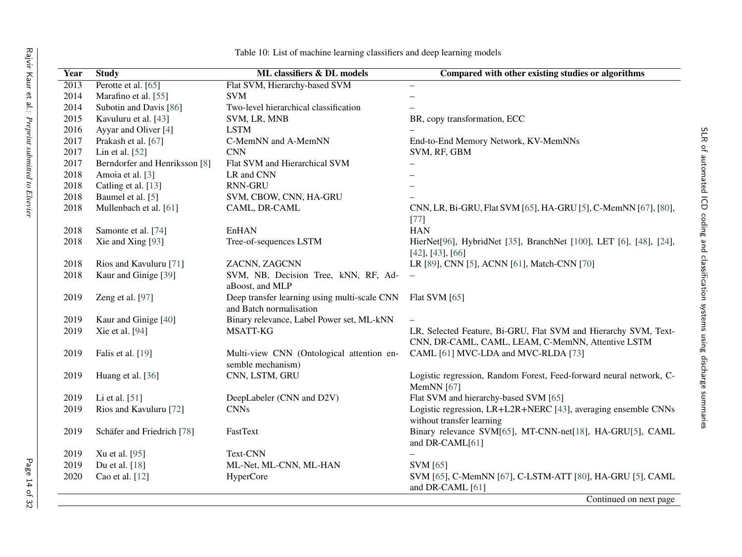<span id="page-14-0"></span>

| Year              | <b>Study</b>                  | ML classifiers & DL models                                              | Compared with other existing studies or algorithms                                                                   |
|-------------------|-------------------------------|-------------------------------------------------------------------------|----------------------------------------------------------------------------------------------------------------------|
| $\overline{2013}$ | Perotte et al. [65]           | Flat SVM, Hierarchy-based SVM                                           | $\overline{\phantom{0}}$                                                                                             |
| 2014              | Marafino et al. [55]          | <b>SVM</b>                                                              |                                                                                                                      |
| 2014              | Subotin and Davis [86]        | Two-level hierarchical classification                                   |                                                                                                                      |
| 2015              | Kavuluru et al. [43]          | SVM, LR, MNB                                                            | BR, copy transformation, ECC                                                                                         |
| 2016              | Ayyar and Oliver [4]          | <b>LSTM</b>                                                             |                                                                                                                      |
| 2017              | Prakash et al. [67]           | C-MemNN and A-MemNN                                                     | End-to-End Memory Network, KV-MemNNs                                                                                 |
| 2017              | Lin et al. $[52]$             | <b>CNN</b>                                                              | SVM, RF, GBM                                                                                                         |
| 2017              | Berndorfer and Henriksson [8] | Flat SVM and Hierarchical SVM                                           |                                                                                                                      |
| 2018              | Amoia et al. [3]              | LR and CNN                                                              |                                                                                                                      |
| 2018              | Catling et al. [13]           | <b>RNN-GRU</b>                                                          |                                                                                                                      |
| 2018              | Baumel et al. [5]             | SVM, CBOW, CNN, HA-GRU                                                  |                                                                                                                      |
| 2018              | Mullenbach et al. [61]        | CAML, DR-CAML                                                           | CNN, LR, Bi-GRU, Flat SVM [65], HA-GRU [5], C-MemNN [67], [80],<br>$[77]$                                            |
| 2018              | Samonte et al. [74]           | EnHAN                                                                   | <b>HAN</b>                                                                                                           |
| 2018              | Xie and Xing [93]             | Tree-of-sequences LSTM                                                  | HierNet[96], HybridNet [35], BranchNet [100], LET [6], [48], [24],<br>$[42]$ , $[43]$ , $[66]$                       |
| 2018              | Rios and Kavuluru [71]        | ZACNN, ZAGCNN                                                           | LR [89], CNN [5], ACNN [61], Match-CNN [70]                                                                          |
| 2018              | Kaur and Ginige [39]          | SVM, NB, Decision Tree, kNN, RF, Ad-<br>aBoost, and MLP                 | $\overline{\phantom{m}}$                                                                                             |
| 2019              | Zeng et al. [97]              | Deep transfer learning using multi-scale CNN<br>and Batch normalisation | Flat SVM $[65]$                                                                                                      |
| 2019              | Kaur and Ginige [40]          | Binary relevance, Label Power set, ML-kNN                               |                                                                                                                      |
| 2019              | Xie et al. [94]               | MSATT-KG                                                                | LR, Selected Feature, Bi-GRU, Flat SVM and Hierarchy SVM, Text-<br>CNN, DR-CAML, CAML, LEAM, C-MemNN, Attentive LSTM |
| 2019              | Falis et al. [19]             | Multi-view CNN (Ontological attention en-<br>semble mechanism)          | CAML [61] MVC-LDA and MVC-RLDA [73]                                                                                  |
| 2019              | Huang et al. [36]             | CNN, LSTM, GRU                                                          | Logistic regression, Random Forest, Feed-forward neural network, C-<br>MemNN [67]                                    |
| 2019              | Li et al. [51]                | DeepLabeler (CNN and D2V)                                               | Flat SVM and hierarchy-based SVM [65]                                                                                |
| 2019              | Rios and Kavuluru [72]        | <b>CNNs</b>                                                             | Logistic regression, LR+L2R+NERC [43], averaging ensemble CNNs<br>without transfer learning                          |
| 2019              | Schäfer and Friedrich [78]    | FastText                                                                | Binary relevance SVM[65], MT-CNN-net[18], HA-GRU[5], CAML<br>and DR-CAML[61]                                         |
| 2019              | Xu et al. [95]                | Text-CNN                                                                |                                                                                                                      |
| 2019              | Du et al. [18]                | ML-Net, ML-CNN, ML-HAN                                                  | <b>SVM</b> [65]                                                                                                      |
| 2020              | Cao et al. [12]               | HyperCore                                                               | SVM [65], C-MemNN [67], C-LSTM-ATT [80], HA-GRU [5], CAML<br>and DR-CAML [61]                                        |
|                   |                               |                                                                         | Continued on next page                                                                                               |

Table 10: List of machine learning classifiers and deep learning models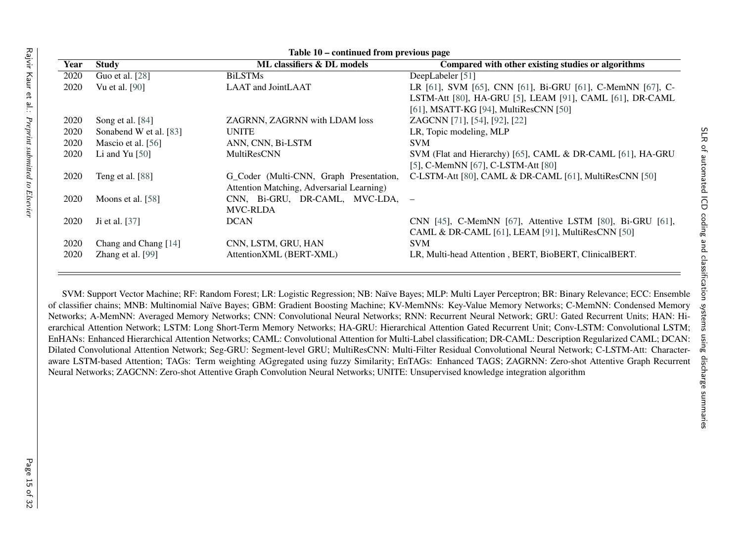|      | Table 10 – continued from previous page |                                           |                                                            |  |  |  |  |  |  |  |  |
|------|-----------------------------------------|-------------------------------------------|------------------------------------------------------------|--|--|--|--|--|--|--|--|
| Year | <b>Study</b>                            | ML classifiers & DL models                | Compared with other existing studies or algorithms         |  |  |  |  |  |  |  |  |
| 2020 | Guo et al. [28]                         | <b>BiLSTMs</b>                            | DeepLabeler [51]                                           |  |  |  |  |  |  |  |  |
| 2020 | <b>Vu</b> et al. [90]                   | LAAT and JointLAAT                        | LR [61], SVM [65], CNN [61], Bi-GRU [61], C-MemNN [67], C- |  |  |  |  |  |  |  |  |
|      |                                         |                                           | LSTM-Att [80], HA-GRU [5], LEAM [91], CAML [61], DR-CAML   |  |  |  |  |  |  |  |  |
|      |                                         |                                           | [61], MSATT-KG [94], MultiResCNN [50]                      |  |  |  |  |  |  |  |  |
| 2020 | Song et al. [84]                        | ZAGRNN, ZAGRNN with LDAM loss             | <b>ZAGCNN</b> [71], [54], [92], [22]                       |  |  |  |  |  |  |  |  |
| 2020 | Sonabend W et al. [83]                  | <b>UNITE</b>                              | LR, Topic modeling, MLP                                    |  |  |  |  |  |  |  |  |
| 2020 | Mascio et al. [56]                      | ANN, CNN, Bi-LSTM                         | <b>SVM</b>                                                 |  |  |  |  |  |  |  |  |
| 2020 | Li and Yu $[50]$                        | <b>MultiResCNN</b>                        | SVM (Flat and Hierarchy) [65], CAML & DR-CAML [61], HA-GRU |  |  |  |  |  |  |  |  |
|      |                                         |                                           | [5], C-MemNN [67], C-LSTM-Att [80]                         |  |  |  |  |  |  |  |  |
| 2020 | Teng et al. [88]                        | G_Coder (Multi-CNN, Graph Presentation,   | C-LSTM-Att [80], CAML & DR-CAML [61], MultiResCNN [50]     |  |  |  |  |  |  |  |  |
|      |                                         | Attention Matching, Adversarial Learning) |                                                            |  |  |  |  |  |  |  |  |
| 2020 | Moons et al. [58]                       | CNN, Bi-GRU, DR-CAML, MVC-LDA, –          |                                                            |  |  |  |  |  |  |  |  |
|      |                                         | <b>MVC-RLDA</b>                           |                                                            |  |  |  |  |  |  |  |  |
| 2020 | Ji et al. [37]                          | <b>DCAN</b>                               | CNN [45], C-MemNN [67], Attentive LSTM [80], Bi-GRU [61],  |  |  |  |  |  |  |  |  |
|      |                                         |                                           | CAML & DR-CAML [61], LEAM [91], MultiResCNN [50]           |  |  |  |  |  |  |  |  |
| 2020 | Chang and Chang [14]                    | CNN, LSTM, GRU, HAN                       | <b>SVM</b>                                                 |  |  |  |  |  |  |  |  |
| 2020 | Zhang et al. [99]                       | AttentionXML (BERT-XML)                   | LR, Multi-head Attention, BERT, BioBERT, ClinicalBERT.     |  |  |  |  |  |  |  |  |
|      |                                         |                                           |                                                            |  |  |  |  |  |  |  |  |

SVM: Support Vector Machine; RF: Random Forest; LR: Logistic Regression; NB: Naïve Bayes; MLP: Multi Layer Perceptron; BR: Binary Relevance; ECC: Ensemble of classifier chains; MNB: Multinomial Naïve Bayes; GBM: Gradient Boosting Machine; KV-MemNNs: Key-Value Memory Networks; C-MemNN: Condensed Memory Networks; A-MemNN: Averaged Memory Networks; CNN: Convolutional Neural Networks; RNN: Recurrent Neural Network; GRU: Gated Recurrent Units; HAN: Hierarchical Attention Network; LSTM: Long Short-Term Memory Networks; HA-GRU: Hierarchical Attention Gated Recurrent Unit; Conv-LSTM: Convolutional LSTM; EnHANs: Enhanced Hierarchical Attention Networks; CAML: Convolutional Attention for Multi-Label classification; DR-CAML: Description Regularized CAML; DCAN: Dilated Convolutional Attention Network; Seg-GRU: Segment-level GRU; MultiResCNN: Multi-Filter Residual Convolutional Neural Network; C-LSTM-Att: Characteraware LSTM-based Attention; TAGs: Term weighting AGgregated using fuzzy Similarity; EnTAGs: Enhanced TAGS; ZAGRNN: Zero-shot Attentive Graph RecurrentNeural Networks; ZAGCNN: Zero-shot Attentive Graph Convolution Neural Networks; UNITE: Unsupervised knowledge integration algorithm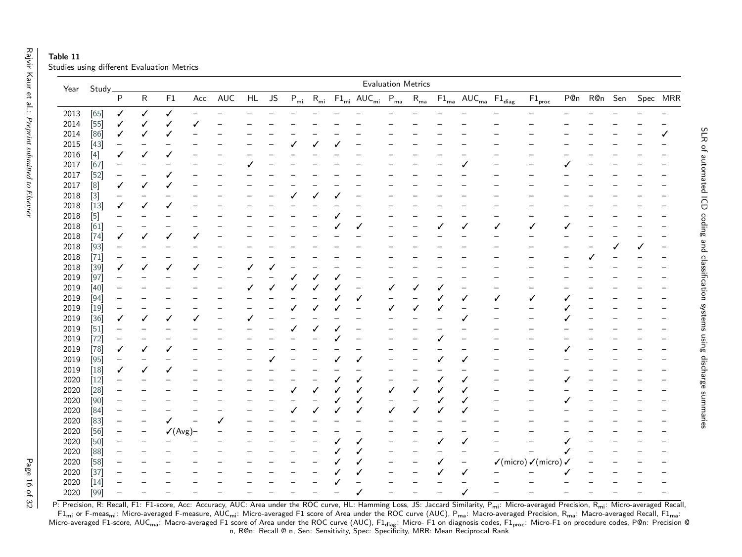| Table 11                                   |  |  |
|--------------------------------------------|--|--|
| Studies using different Evaluation Metrics |  |  |

|      | Year Study        |                   |                          |                     |     |                          |    |           |   |                          |   |                                                 | <b>Evaluation Metrics</b> |                                  |   |                                                                                  |                   |                                                        |             |   |   |          |
|------|-------------------|-------------------|--------------------------|---------------------|-----|--------------------------|----|-----------|---|--------------------------|---|-------------------------------------------------|---------------------------|----------------------------------|---|----------------------------------------------------------------------------------|-------------------|--------------------------------------------------------|-------------|---|---|----------|
|      |                   | $\overline{P}$    | ${\sf R}$                | ${\sf F1}$          | Acc | AUC                      | HL | <b>JS</b> |   |                          |   | $P_{mi}$ $R_{mi}$ $F1_{mi}$ $AUC_{mi}$ $P_{ma}$ |                           | $R_{\underline{m}\underline{a}}$ |   | $\mathsf{F1}_\mathsf{ma}$ $\mathsf{AUC}_\mathsf{ma}$ $\mathsf{F1}_\mathsf{diag}$ |                   | $F1_{\text{proc}}$                                     | P@n R@n Sen |   |   | Spec MRR |
| 2013 | $[65]$            | ✓                 | ✓                        | ✓                   |     |                          |    |           |   |                          |   |                                                 |                           |                                  |   |                                                                                  |                   |                                                        |             |   |   |          |
| 2014 | $\overline{[}55$  | $\checkmark$      | ✓                        | ✓                   |     |                          |    |           |   |                          |   |                                                 |                           |                                  |   |                                                                                  |                   |                                                        |             |   |   |          |
| 2014 | [86]              | ✓                 |                          | ✓                   |     |                          |    |           |   |                          |   |                                                 |                           |                                  |   |                                                                                  |                   |                                                        |             |   |   | ✓        |
| 2015 | $[43]$            | $\qquad \qquad -$ | -                        |                     |     |                          |    |           |   | ✓                        | J |                                                 |                           |                                  |   |                                                                                  |                   |                                                        |             |   |   |          |
| 2016 | $[4]$             | √                 |                          | ✓                   |     |                          |    |           |   |                          |   |                                                 |                           |                                  |   |                                                                                  |                   |                                                        |             |   |   |          |
| 2017 | [67]              |                   |                          |                     |     |                          |    |           |   |                          |   |                                                 |                           |                                  |   |                                                                                  |                   |                                                        |             |   |   |          |
| 2017 | $[52]$            |                   | $\overline{\phantom{0}}$ |                     |     |                          |    |           |   |                          |   |                                                 |                           |                                  |   |                                                                                  |                   |                                                        |             |   |   |          |
| 2017 | $\left[ 8\right]$ | ✓                 | ✓                        | ✓                   |     |                          |    |           |   |                          |   |                                                 |                           |                                  |   |                                                                                  |                   |                                                        |             |   |   |          |
| 2018 |                   | $\qquad \qquad -$ |                          |                     |     |                          |    |           |   | ✓                        |   |                                                 |                           |                                  |   |                                                                                  |                   |                                                        |             |   |   |          |
| 2018 | $[13]$            | ✓                 | ✓                        | √                   |     |                          |    |           |   |                          |   |                                                 |                           |                                  |   |                                                                                  |                   |                                                        |             |   |   |          |
| 2018 |                   |                   |                          |                     |     |                          |    |           |   |                          |   |                                                 |                           |                                  |   |                                                                                  |                   |                                                        |             |   |   |          |
| 2018 | [61]              | -                 |                          |                     |     |                          |    |           |   |                          |   |                                                 |                           |                                  |   | ✓                                                                                | ✓                 |                                                        |             |   |   |          |
| 2018 | $[74]$            | ✓                 |                          | ✓                   |     |                          |    |           |   |                          |   |                                                 |                           |                                  |   |                                                                                  |                   |                                                        |             |   |   |          |
| 2018 | $[93]$            |                   |                          |                     |     |                          |    |           |   |                          |   |                                                 |                           |                                  |   |                                                                                  |                   |                                                        |             | √ | ✓ |          |
| 2018 | $[71]$            | -                 | -                        | —                   |     | $\qquad \qquad -$        |    |           |   |                          |   |                                                 |                           |                                  |   |                                                                                  |                   |                                                        | ✓           |   |   |          |
| 2018 | $[39]$            | ✓                 | ✓                        | ✓                   | ✓   | $\qquad \qquad -$        | ✓  |           |   |                          |   |                                                 |                           |                                  |   |                                                                                  |                   |                                                        |             |   |   |          |
| 2019 | [97]              |                   |                          |                     |     |                          |    |           | ✓ | ✓                        |   |                                                 |                           |                                  |   |                                                                                  |                   |                                                        |             |   |   |          |
| 2019 | $[40]$            |                   |                          |                     |     |                          |    |           |   | ✓                        |   |                                                 | $\checkmark$              |                                  |   |                                                                                  |                   |                                                        |             |   |   |          |
| 2019 | $[94]$            |                   |                          |                     |     |                          |    |           |   |                          |   | ✓                                               | $\qquad \qquad -$         |                                  | ✓ | √                                                                                | ✓                 | √                                                      |             |   |   |          |
| 2019 | $[19]$            | -                 |                          |                     |     |                          |    |           | ✓ | ✓                        |   |                                                 | ✓                         | ✓                                | ✓ | $\overline{\phantom{0}}$                                                         |                   |                                                        |             |   |   |          |
| 2019 | $[36]$            | ✓                 | ✓                        | ✓                   | ✓   | $\overline{\phantom{0}}$ |    |           |   |                          |   |                                                 |                           |                                  |   |                                                                                  |                   |                                                        |             |   |   |          |
| 2019 | $[51]$            |                   |                          |                     |     |                          |    |           |   |                          |   |                                                 |                           |                                  |   |                                                                                  |                   |                                                        |             |   |   |          |
| 2019 | $[72]$            |                   |                          |                     |     |                          |    |           |   |                          |   |                                                 |                           |                                  |   |                                                                                  |                   |                                                        |             |   |   |          |
| 2019 | $[78]$            |                   |                          |                     |     |                          |    |           |   |                          |   |                                                 |                           |                                  |   |                                                                                  |                   |                                                        |             |   |   |          |
| 2019 | $[95]$            | $\qquad \qquad -$ |                          |                     |     |                          |    |           |   |                          |   | ✓                                               |                           |                                  | ✓ |                                                                                  |                   |                                                        |             |   |   |          |
| 2019 | [18]              | ✓                 |                          | ✓                   |     |                          |    |           |   |                          |   |                                                 |                           |                                  |   |                                                                                  |                   |                                                        |             |   |   |          |
| 2020 | $[12]$            |                   |                          |                     |     |                          |    |           |   | $\overline{\phantom{0}}$ | ✓ |                                                 |                           |                                  | ✓ |                                                                                  |                   |                                                        |             |   |   |          |
| 2020 | $[28]$            |                   |                          |                     |     |                          |    |           | ✓ | $\checkmark$             |   | ✓                                               | ✓                         | ✓                                | √ |                                                                                  |                   |                                                        |             |   |   |          |
| 2020 | $[90]$            |                   |                          |                     |     |                          |    |           |   | $\overline{\phantom{0}}$ |   | ✓                                               | $\overline{\phantom{0}}$  |                                  |   |                                                                                  |                   |                                                        |             |   |   |          |
| 2020 | [84]              |                   |                          |                     |     |                          |    |           |   | ✓                        |   |                                                 | ✓                         | ✓                                |   |                                                                                  |                   |                                                        |             |   |   |          |
| 2020 | [83]              | $\qquad \qquad -$ | $\overline{\phantom{0}}$ | ✓                   |     |                          |    |           |   |                          |   |                                                 |                           |                                  |   |                                                                                  |                   |                                                        |             |   |   |          |
| 2020 | $[56]$            |                   | -                        | $\checkmark$ (Avg)- |     |                          |    |           |   |                          |   |                                                 |                           |                                  |   |                                                                                  |                   |                                                        |             |   |   |          |
| 2020 | $[50]$            |                   |                          |                     |     |                          |    |           |   |                          |   |                                                 |                           |                                  | ✓ | ✓                                                                                |                   |                                                        |             |   |   |          |
| 2020 | [88]              |                   |                          |                     |     |                          |    |           |   |                          |   |                                                 |                           |                                  |   |                                                                                  |                   | $\overline{a}$                                         |             |   |   |          |
| 2020 | $[58]$            |                   |                          |                     |     |                          |    |           |   |                          |   |                                                 |                           |                                  | ✓ | $\overline{\phantom{0}}$                                                         |                   | $\checkmark$ (micro) $\checkmark$ (micro) $\checkmark$ |             |   |   |          |
| 2020 | $[37]$            |                   |                          |                     |     |                          |    |           |   |                          |   |                                                 |                           |                                  | ✓ | ✓                                                                                |                   |                                                        |             |   |   |          |
| 2020 | $[14]$            |                   |                          |                     |     |                          |    |           |   |                          |   | $\overline{\phantom{0}}$                        |                           |                                  |   |                                                                                  |                   |                                                        |             |   |   |          |
| 2020 | [99]              |                   |                          |                     |     |                          |    |           |   |                          |   | ✓                                               |                           |                                  |   | ✓                                                                                | $\qquad \qquad -$ |                                                        |             |   |   |          |

SLR of automated ICD coding and classification systems using discharge summaries

SLR of automated ICD coding and classification systems using discharge summaries

<span id="page-16-0"></span>P: Precision, R: Recall, F1: F1-score, Acc: Accuracy, AUC: Area under the ROC curve, HL: Hamming Loss, JS: Jaccard Similarity, P<sub>mi</sub>: Micro-averaged Precision, R<sub>mi</sub>: Micro-averaged Recall,<br>F1<sub>mi</sub> or F-meas<sub>mi</sub>: Micro-ave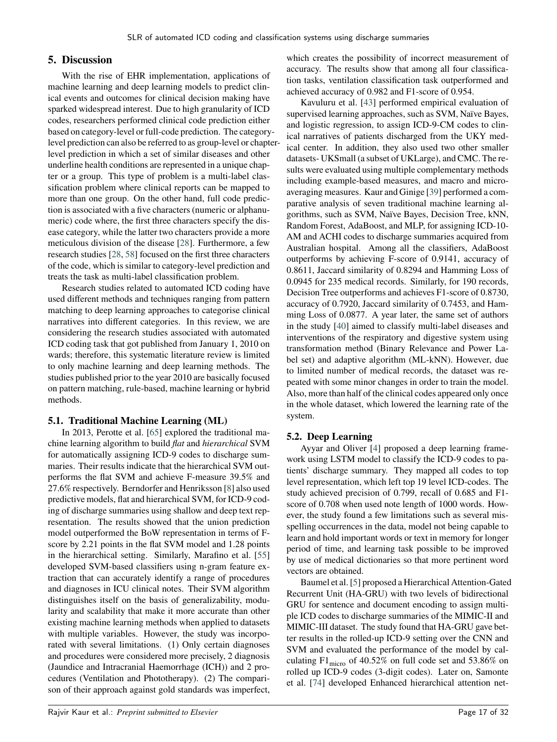## <span id="page-17-0"></span>**5. Discussion**

With the rise of EHR implementation, applications of machine learning and deep learning models to predict clinical events and outcomes for clinical decision making have sparked widespread interest. Due to high granularity of ICD codes, researchers performed clinical code prediction either based on category-level or full-code prediction. The categorylevel prediction can also be referred to as group-level or chapterlevel prediction in which a set of similar diseases and other underline health conditions are represented in a unique chapter or a group. This type of problem is a multi-label classification problem where clinical reports can be mapped to more than one group. On the other hand, full code prediction is associated with a five characters (numeric or alphanumeric) code where, the first three characters specify the disease category, while the latter two characters provide a more meticulous division of the disease [\[28\]](#page-29-14). Furthermore, a few research studies [\[28,](#page-29-14) [58\]](#page-30-9) focused on the first three characters of the code, which is similar to category-level prediction and treats the task as multi-label classification problem.

Research studies related to automated ICD coding have used different methods and techniques ranging from pattern matching to deep learning approaches to categorise clinical narratives into different categories. In this review, we are considering the research studies associated with automated ICD coding task that got published from January 1, 2010 on wards; therefore, this systematic literature review is limited to only machine learning and deep learning methods. The studies published prior to the year 2010 are basically focused on pattern matching, rule-based, machine learning or hybrid methods.

## **5.1. Traditional Machine Learning (ML)**

In 2013, Perotte et al. [\[65\]](#page-30-11) explored the traditional machine learning algorithm to build *flat* and *hierarchical* SVM for automatically assigning ICD-9 codes to discharge summaries. Their results indicate that the hierarchical SVM outperforms the flat SVM and achieve F-measure 39.5% and 27.6% respectively. Berndorfer and Henriksson [\[8\]](#page-28-8) also used predictive models, flat and hierarchical SVM, for ICD-9 coding of discharge summaries using shallow and deep text representation. The results showed that the union prediction model outperformed the BoW representation in terms of Fscore by 2.21 points in the flat SVM model and 1.28 points in the hierarchical setting. Similarly, Marafino et al. [\[55\]](#page-30-12) developed SVM-based classifiers using n-gram feature extraction that can accurately identify a range of procedures and diagnoses in ICU clinical notes. Their SVM algorithm distinguishes itself on the basis of generalizability, modularity and scalability that make it more accurate than other existing machine learning methods when applied to datasets with multiple variables. However, the study was incorporated with several limitations. (1) Only certain diagnoses and procedures were considered more precisely, 2 diagnosis (Jaundice and Intracranial Haemorrhage (ICH)) and 2 procedures (Ventilation and Phototherapy). (2) The comparison of their approach against gold standards was imperfect,

which creates the possibility of incorrect measurement of accuracy. The results show that among all four classification tasks, ventilation classification task outperformed and achieved accuracy of 0.982 and F1-score of 0.954.

Kavuluru et al. [\[43\]](#page-29-11) performed empirical evaluation of supervised learning approaches, such as SVM, Naïve Bayes, and logistic regression, to assign ICD-9-CM codes to clinical narratives of patients discharged from the UKY medical center. In addition, they also used two other smaller datasets- UKSmall (a subset of UKLarge), and CMC. The results were evaluated using multiple complementary methods including example-based measures, and macro and microaveraging measures. Kaur and Ginige [\[39\]](#page-29-0) performed a comparative analysis of seven traditional machine learning algorithms, such as SVM, Naïve Bayes, Decision Tree, kNN, Random Forest, AdaBoost, and MLP, for assigning ICD-10- AM and ACHI codes to discharge summaries acquired from Australian hospital. Among all the classifiers, AdaBoost outperforms by achieving F-score of 0.9141, accuracy of 0.8611, Jaccard similarity of 0.8294 and Hamming Loss of 0.0945 for 235 medical records. Similarly, for 190 records, Decision Tree outperforms and achieves F1-score of 0.8730, accuracy of 0.7920, Jaccard similarity of 0.7453, and Hamming Loss of 0.0877. A year later, the same set of authors in the study [\[40\]](#page-29-9) aimed to classify multi-label diseases and interventions of the respiratory and digestive system using transformation method (Binary Relevance and Power Label set) and adaptive algorithm (ML-kNN). However, due to limited number of medical records, the dataset was repeated with some minor changes in order to train the model. Also, more than half of the clinical codes appeared only once in the whole dataset, which lowered the learning rate of the system.

## **5.2. Deep Learning**

Ayyar and Oliver [\[4\]](#page-28-7) proposed a deep learning framework using LSTM model to classify the ICD-9 codes to patients' discharge summary. They mapped all codes to top level representation, which left top 19 level ICD-codes. The study achieved precision of 0.799, recall of 0.685 and F1 score of 0.708 when used note length of 1000 words. However, the study found a few limitations such as several misspelling occurrences in the data, model not being capable to learn and hold important words or text in memory for longer period of time, and learning task possible to be improved by use of medical dictionaries so that more pertinent word vectors are obtained.

Baumel et al. [\[5\]](#page-28-5) proposed a Hierarchical Attention-Gated Recurrent Unit (HA-GRU) with two levels of bidirectional GRU for sentence and document encoding to assign multiple ICD codes to discharge summaries of the MIMIC-II and MIMIC-III dataset. The study found that HA-GRU gave better results in the rolled-up ICD-9 setting over the CNN and SVM and evaluated the performance of the model by calculating F1micro of 40.52% on full code set and 53.86% on rolled up ICD-9 codes (3-digit codes). Later on, Samonte et al. [\[74\]](#page-31-8) developed Enhanced hierarchical attention net-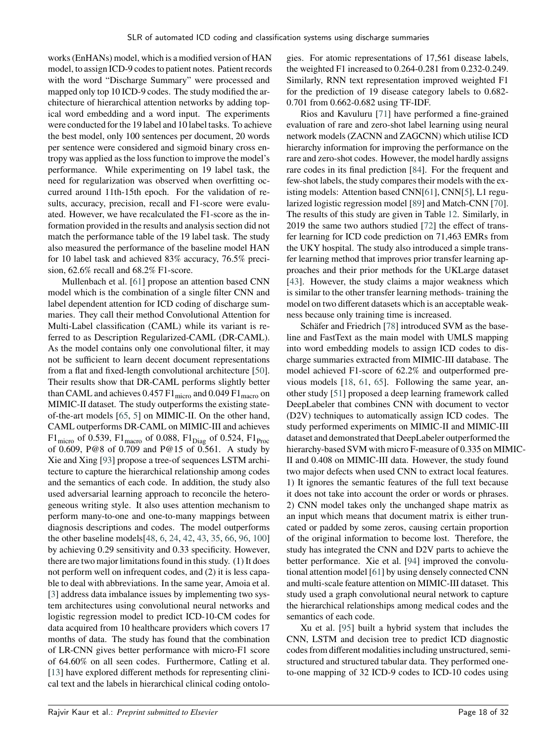works (EnHANs) model, which is a modified version of HAN model, to assign ICD-9 codes to patient notes. Patient records with the word "Discharge Summary" were processed and mapped only top 10 ICD-9 codes. The study modified the architecture of hierarchical attention networks by adding topical word embedding and a word input. The experiments were conducted for the 19 label and 10 label tasks. To achieve the best model, only 100 sentences per document, 20 words per sentence were considered and sigmoid binary cross entropy was applied as the loss function to improve the model's performance. While experimenting on 19 label task, the need for regularization was observed when overfitting occurred around 11th-15th epoch. For the validation of results, accuracy, precision, recall and F1-score were evaluated. However, we have recalculated the F1-score as the information provided in the results and analysis section did not match the performance table of the 19 label task. The study also measured the performance of the baseline model HAN for 10 label task and achieved 83% accuracy, 76.5% precision, 62.6% recall and 68.2% F1-score.

Mullenbach et al. [\[61\]](#page-30-7) propose an attention based CNN model which is the combination of a single filter CNN and label dependent attention for ICD coding of discharge summaries. They call their method Convolutional Attention for Multi-Label classification (CAML) while its variant is referred to as Description Regularized-CAML (DR-CAML). As the model contains only one convolutional filter, it may not be sufficient to learn decent document representations from a flat and fixed-length convolutional architecture [\[50\]](#page-30-8). Their results show that DR-CAML performs slightly better than CAML and achieves  $0.457 \, \mathrm{F1}_{micro}$  and  $0.049 \, \mathrm{F1}_{macro}$  on MIMIC-II dataset. The study outperforms the existing stateof-the-art models [\[65,](#page-30-11) [5\]](#page-28-5) on MIMIC-II. On the other hand, CAML outperforms DR-CAML on MIMIC-III and achieves  $F1_{micro}$  of 0.539,  $F1_{macro}$  of 0.088,  $F1_{Diag}$  of 0.524,  $F1_{Proc}$ of 0.609, P@8 of 0.709 and P@15 of 0.561. A study by Xie and Xing [\[93\]](#page-31-0) propose a tree-of sequences LSTM architecture to capture the hierarchical relationship among codes and the semantics of each code. In addition, the study also used adversarial learning approach to reconcile the heterogeneous writing style. It also uses attention mechanism to perform many-to-one and one-to-many mappings between diagnosis descriptions and codes. The model outperforms the other baseline models[\[48,](#page-30-36) [6,](#page-28-21) [24,](#page-29-35) [42,](#page-29-36) [43,](#page-29-11) [35,](#page-29-37) [66,](#page-30-37) [96,](#page-31-37) [100\]](#page-32-7) by achieving 0.29 sensitivity and 0.33 specificity. However, there are two major limitations found in this study. (1) It does not perform well on infrequent codes, and (2) it is less capable to deal with abbreviations. In the same year, Amoia et al. [\[3\]](#page-28-4) address data imbalance issues by implementing two system architectures using convolutional neural networks and logistic regression model to predict ICD-10-CM codes for data acquired from 10 healthcare providers which covers 17 months of data. The study has found that the combination of LR-CNN gives better performance with micro-F1 score of 64.60% on all seen codes. Furthermore, Catling et al. [\[13\]](#page-28-1) have explored different methods for representing clinical text and the labels in hierarchical clinical coding ontologies. For atomic representations of 17,561 disease labels, the weighted F1 increased to 0.264-0.281 from 0.232-0.249. Similarly, RNN text representation improved weighted F1 for the prediction of 19 disease category labels to 0.682- 0.701 from 0.662-0.682 using TF-IDF.

Rios and Kavuluru [\[71\]](#page-31-12) have performed a fine-grained evaluation of rare and zero-shot label learning using neural network models (ZACNN and ZAGCNN) which utilise ICD hierarchy information for improving the performance on the rare and zero-shot codes. However, the model hardly assigns rare codes in its final prediction [\[84\]](#page-31-10). For the frequent and few-shot labels, the study compares their models with the existing models: Attention based CNN[\[61\]](#page-30-7), CNN[\[5\]](#page-28-5), L1 regularized logistic regression model [\[89\]](#page-31-38) and Match-CNN [\[70\]](#page-30-38). The results of this study are given in Table [12.](#page-21-0) Similarly, in 2019 the same two authors studied [\[72\]](#page-31-13) the effect of transfer learning for ICD code prediction on 71,463 EMRs from the UKY hospital. The study also introduced a simple transfer learning method that improves prior transfer learning approaches and their prior methods for the UKLarge dataset [\[43\]](#page-29-11). However, the study claims a major weakness which is similar to the other transfer learning methods- training the model on two different datasets which is an acceptable weakness because only training time is increased.

Schäfer and Friedrich [\[78\]](#page-31-7) introduced SVM as the baseline and FastText as the main model with UMLS mapping into word embedding models to assign ICD codes to discharge summaries extracted from MIMIC-III database. The model achieved F1-score of 62.2% and outperformed previous models [\[18,](#page-29-13) [61,](#page-30-7) [65\]](#page-30-11). Following the same year, another study [\[51\]](#page-30-10) proposed a deep learning framework called DeepLabeler that combines CNN with document to vector (D2V) techniques to automatically assign ICD codes. The study performed experiments on MIMIC-II and MIMIC-III dataset and demonstrated that DeepLabeler outperformed the hierarchy-based SVM with micro F-measure of 0.335 on MIMIC-II and 0.408 on MIMIC-III data. However, the study found two major defects when used CNN to extract local features. 1) It ignores the semantic features of the full text because it does not take into account the order or words or phrases. 2) CNN model takes only the unchanged shape matrix as an input which means that document matrix is either truncated or padded by some zeros, causing certain proportion of the original information to become lost. Therefore, the study has integrated the CNN and D2V parts to achieve the better performance. Xie et al. [\[94\]](#page-31-11) improved the convolutional attention model [\[61\]](#page-30-7) by using densely connected CNN and multi-scale feature attention on MIMIC-III dataset. This study used a graph convolutional neural network to capture the hierarchical relationships among medical codes and the semantics of each code.

Xu et al. [\[95\]](#page-31-5) built a hybrid system that includes the CNN, LSTM and decision tree to predict ICD diagnostic codes from different modalities including unstructured, semistructured and structured tabular data. They performed oneto-one mapping of 32 ICD-9 codes to ICD-10 codes using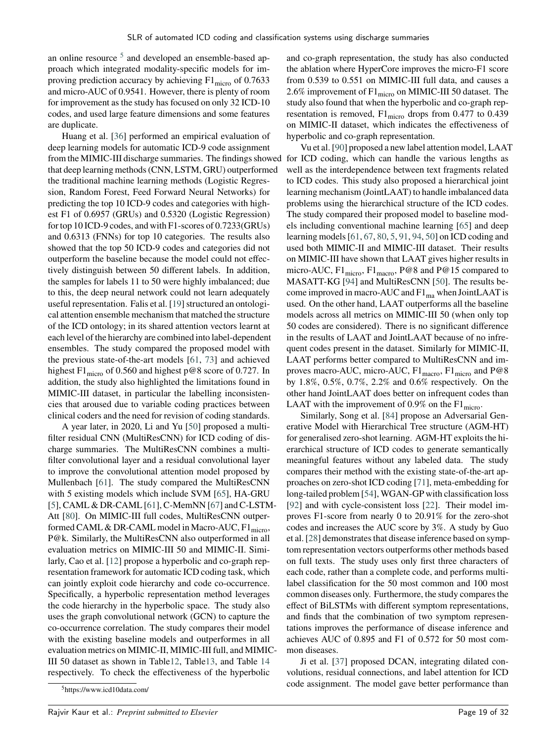an online resource  $5$  and developed an ensemble-based approach which integrated modality-specific models for improving prediction accuracy by achieving  $F1_{micro}$  of 0.7633 and micro-AUC of 0.9541. However, there is plenty of room for improvement as the study has focused on only 32 ICD-10 codes, and used large feature dimensions and some features are duplicate.

Huang et al. [\[36\]](#page-29-3) performed an empirical evaluation of deep learning models for automatic ICD-9 code assignment from the MIMIC-III discharge summaries. The findings showed for ICD coding, which can handle the various lengths as that deep learning methods (CNN, LSTM, GRU) outperformed the traditional machine learning methods (Logistic Regression, Random Forest, Feed Forward Neural Networks) for predicting the top 10 ICD-9 codes and categories with highest F1 of 0.6957 (GRUs) and 0.5320 (Logistic Regression) for top 10 ICD-9 codes, and with F1-scores of 0.7233(GRUs) and 0.6313 (FNNs) for top 10 categories. The results also showed that the top 50 ICD-9 codes and categories did not outperform the baseline because the model could not effectively distinguish between 50 different labels. In addition, the samples for labels 11 to 50 were highly imbalanced; due to this, the deep neural network could not learn adequately useful representation. Falis et al. [\[19\]](#page-29-12) structured an ontological attention ensemble mechanism that matched the structure of the ICD ontology; in its shared attention vectors learnt at each level of the hierarchy are combined into label-dependent ensembles. The study compared the proposed model with the previous state-of-the-art models [\[61,](#page-30-7) [73\]](#page-31-39) and achieved highest F1<sub>micro</sub> of 0.560 and highest p@8 score of 0.727. In addition, the study also highlighted the limitations found in MIMIC-III dataset, in particular the labelling inconsistencies that aroused due to variable coding practices between clinical coders and the need for revision of coding standards.

A year later, in 2020, Li and Yu [\[50\]](#page-30-8) proposed a multifilter residual CNN (MultiResCNN) for ICD coding of discharge summaries. The MultiResCNN combines a multifilter convolutional layer and a residual convolutional layer to improve the convolutional attention model proposed by Mullenbach [\[61\]](#page-30-7). The study compared the MultiResCNN with 5 existing models which include SVM [\[65\]](#page-30-11), HA-GRU [\[5\]](#page-28-5), CAML & DR-CAML [\[61\]](#page-30-7), C-MemNN [\[67\]](#page-30-6) and C-LSTM-Att [\[80\]](#page-31-40). On MIMIC-III full codes, MultiResCNN outperformed CAML  $\&$  DR-CAML model in Macro-AUC,  $F1_{micro}$ , P@k. Similarly, the MultiResCNN also outperformed in all evaluation metrics on MIMIC-III 50 and MIMIC-II. Similarly, Cao et al. [\[12\]](#page-28-6) propose a hyperbolic and co-graph representation framework for automatic ICD coding task, which can jointly exploit code hierarchy and code co-occurrence. Specifically, a hyperbolic representation method leverages the code hierarchy in the hyperbolic space. The study also uses the graph convolutional network (GCN) to capture the co-occurrence correlation. The study compares their model with the existing baseline models and outperformes in all evaluation metrics on MIMIC-II, MIMIC-III full, and MIMIC-III 50 dataset as shown in Tabl[e12,](#page-21-0) Tabl[e13,](#page-22-0) and Table [14](#page-23-0) respectively. To check the effectiveness of the hyperbolic

and co-graph representation, the study has also conducted the ablation where HyperCore improves the micro-F1 score from 0.539 to 0.551 on MIMIC-III full data, and causes a 2.6% improvement of  $F1_{micro}$  on MIMIC-III 50 dataset. The study also found that when the hyperbolic and co-graph representation is removed,  $F1_{micro}$  drops from 0.477 to 0.439 on MIMIC-II dataset, which indicates the effectiveness of hyperbolic and co-graph representation.

Vu et al. [\[90\]](#page-31-9) proposed a new label attention model, LAAT well as the interdependence between text fragments related to ICD codes. This study also proposed a hierarchical joint learning mechanism (JointLAAT) to handle imbalanced data problems using the hierarchical structure of the ICD codes. The study compared their proposed model to baseline models including conventional machine learning [\[65\]](#page-30-11) and deep learning models [\[61,](#page-30-7) [67,](#page-30-6) [80,](#page-31-40) [5,](#page-28-5) [91,](#page-31-41) [94,](#page-31-11) [50\]](#page-30-8) on ICD coding and used both MIMIC-II and MIMIC-III dataset. Their results on MIMIC-III have shown that LAAT gives higher results in micro-AUC,  $F1_{micro}$ ,  $F1_{macro}$ ,  $P@8$  and  $P@15$  compared to MASATT-KG [\[94\]](#page-31-11) and MultiResCNN [\[50\]](#page-30-8). The results become improved in macro-AUC and  $F1_{ma}$  when JointLAAT is used. On the other hand, LAAT outperforms all the baseline models across all metrics on MIMIC-III 50 (when only top 50 codes are considered). There is no significant difference in the results of LAAT and JointLAAT because of no infrequent codes present in the dataset. Similarly for MIMIC-II, LAAT performs better compared to MultiResCNN and improves macro-AUC, micro-AUC,  $F1_{macro}$ ,  $F1_{micro}$  and  $P@8$ by 1.8%, 0.5%, 0.7%, 2.2% and 0.6% respectively. On the other hand JointLAAT does better on infrequent codes than LAAT with the improvement of 0.9% on the  $F1_{micro}$ .

Similarly, Song et al. [\[84\]](#page-31-10) propose an Adversarial Generative Model with Hierarchical Tree structure (AGM-HT) for generalised zero-shot learning. AGM-HT exploits the hierarchical structure of ICD codes to generate semantically meaningful features without any labeled data. The study compares their method with the existing state-of-the-art approaches on zero-shot ICD coding [\[71\]](#page-31-12), meta-embedding for long-tailed problem [\[54\]](#page-30-39), WGAN-GP with classification loss [\[92\]](#page-31-42) and with cycle-consistent loss [\[22\]](#page-29-38). Their model improves F1-score from nearly 0 to 20.91% for the zero-shot codes and increases the AUC score by 3%. A study by Guo et al. [\[28\]](#page-29-14) demonstrates that disease inference based on symptom representation vectors outperforms other methods based on full texts. The study uses only first three characters of each code, rather than a complete code, and performs multilabel classification for the 50 most common and 100 most common diseases only. Furthermore, the study compares the effect of BiLSTMs with different symptom representations, and finds that the combination of two symptom representations improves the performance of disease inference and achieves AUC of 0.895 and F1 of 0.572 for 50 most common diseases.

Ji et al. [\[37\]](#page-29-10) proposed DCAN, integrating dilated convolutions, residual connections, and label attention for ICD code assignment. The model gave better performance than

<span id="page-19-0"></span><sup>5</sup>https://www.icd10data.com/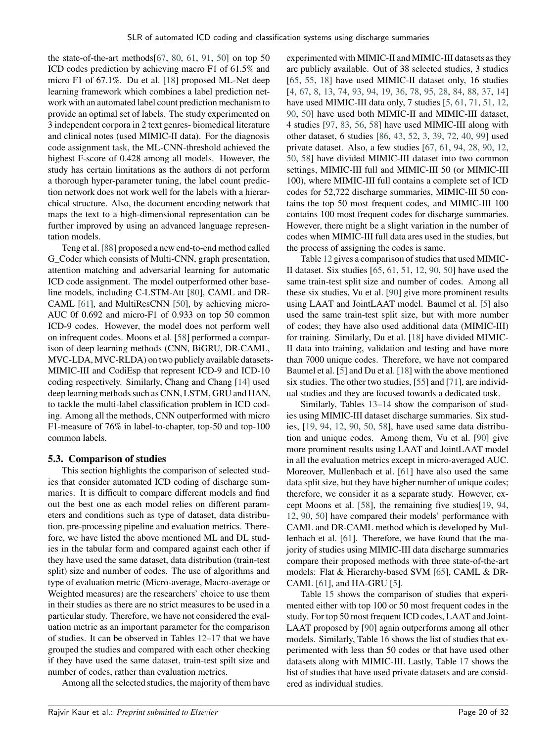the state-of-the-art methods $[67, 80, 61, 91, 50]$  $[67, 80, 61, 91, 50]$  $[67, 80, 61, 91, 50]$  $[67, 80, 61, 91, 50]$  $[67, 80, 61, 91, 50]$  $[67, 80, 61, 91, 50]$  $[67, 80, 61, 91, 50]$  $[67, 80, 61, 91, 50]$  $[67, 80, 61, 91, 50]$  on top  $50$ ICD codes prediction by achieving macro F1 of 61.5% and micro F1 of 67.1%. Du et al. [\[18\]](#page-29-13) proposed ML-Net deep learning framework which combines a label prediction network with an automated label count prediction mechanism to provide an optimal set of labels. The study experimented on 3 independent corpora in 2 text genres- biomedical literature and clinical notes (used MIMIC-II data). For the diagnosis code assignment task, the ML-CNN-threshold achieved the highest F-score of 0.428 among all models. However, the study has certain limitations as the authors di not perform a thorough hyper-parameter tuning, the label count prediction network does not work well for the labels with a hierarchical structure. Also, the document encoding network that maps the text to a high-dimensional representation can be further improved by using an advanced language representation models.

Teng et al. [\[88\]](#page-31-6) proposed a new end-to-end method called G\_Coder which consists of Multi-CNN, graph presentation, attention matching and adversarial learning for automatic ICD code assignment. The model outperformed other baseline models, including C-LSTM-Att [\[80\]](#page-31-40), CAML and DR-CAML [\[61\]](#page-30-7), and MultiResCNN [\[50\]](#page-30-8), by achieving micro-AUC 0f 0.692 and micro-F1 of 0.933 on top 50 common ICD-9 codes. However, the model does not perform well on infrequent codes. Moons et al. [\[58\]](#page-30-9) performed a comparison of deep learning methods (CNN, BiGRU, DR-CAML, MVC-LDA, MVC-RLDA) on two publicly available datasets-MIMIC-III and CodiEsp that represent ICD-9 and ICD-10 coding respectively. Similarly, Chang and Chang [\[14\]](#page-28-9) used deep learning methods such as CNN, LSTM, GRU and HAN, to tackle the multi-label classification problem in ICD coding. Among all the methods, CNN outperformed with micro F1-measure of 76% in label-to-chapter, top-50 and top-100 common labels.

#### **5.3. Comparison of studies**

This section highlights the comparison of selected studies that consider automated ICD coding of discharge summaries. It is difficult to compare different models and find out the best one as each model relies on different parameters and conditions such as type of dataset, data distribution, pre-processing pipeline and evaluation metrics. Therefore, we have listed the above mentioned ML and DL studies in the tabular form and compared against each other if they have used the same dataset, data distribution (train-test split) size and number of codes. The use of algorithms and type of evaluation metric (Micro-average, Macro-average or Weighted measures) are the researchers' choice to use them in their studies as there are no strict measures to be used in a particular study. Therefore, we have not considered the evaluation metric as an important parameter for the comparison of studies. It can be observed in Tables [12](#page-21-0)[–17](#page-26-0) that we have grouped the studies and compared with each other checking if they have used the same dataset, train-test spilt size and number of codes, rather than evaluation metrics.

Among all the selected studies, the majority of them have

experimented with MIMIC-II and MIMIC-III datasets as they are publicly available. Out of 38 selected studies, 3 studies [\[65,](#page-30-11) [55,](#page-30-12) [18\]](#page-29-13) have used MIMIC-II dataset only, 16 studies [\[4,](#page-28-7) [67,](#page-30-6) [8,](#page-28-8) [13,](#page-28-1) [74,](#page-31-8) [93,](#page-31-0) [94,](#page-31-11) [19,](#page-29-12) [36,](#page-29-3) [78,](#page-31-7) [95,](#page-31-5) [28,](#page-29-14) [84,](#page-31-10) [88,](#page-31-6) [37,](#page-29-10) [14\]](#page-28-9) have used MIMIC-III data only, 7 studies [\[5,](#page-28-5) [61,](#page-30-7) [71,](#page-31-12) [51,](#page-30-10) [12,](#page-28-6) [90,](#page-31-9) [50\]](#page-30-8) have used both MIMIC-II and MIMIC-III dataset, 4 studies [\[97,](#page-32-1) [83,](#page-31-14) [56,](#page-30-13) [58\]](#page-30-9) have used MIMIC-III along with other dataset, 6 studies [\[86,](#page-31-1) [43,](#page-29-11) [52,](#page-30-5) [3,](#page-28-4) [39,](#page-29-0) [72,](#page-31-13) [40,](#page-29-9) [99\]](#page-32-0) used private dataset. Also, a few studies [\[67,](#page-30-6) [61,](#page-30-7) [94,](#page-31-11) [28,](#page-29-14) [90,](#page-31-9) [12,](#page-28-6) [50,](#page-30-8) [58\]](#page-30-9) have divided MIMIC-III dataset into two common settings, MIMIC-III full and MIMIC-III 50 (or MIMIC-III 100), where MIMIC-III full contains a complete set of ICD codes for 52,722 discharge summaries, MIMIC-III 50 contains the top 50 most frequent codes, and MIMIC-III 100 contains 100 most frequent codes for discharge summaries. However, there might be a slight variation in the number of codes when MIMIC-III full data ares used in the studies, but the process of assigning the codes is same.

Table [12](#page-21-0) gives a comparison of studies that used MIMIC-II dataset. Six studies [\[65,](#page-30-11) [61,](#page-30-7) [51,](#page-30-10) [12,](#page-28-6) [90,](#page-31-9) [50\]](#page-30-8) have used the same train-test split size and number of codes. Among all these six studies, Vu et al. [\[90\]](#page-31-9) give more prominent results using LAAT and JointLAAT model. Baumel et al. [\[5\]](#page-28-5) also used the same train-test split size, but with more number of codes; they have also used additional data (MIMIC-III) for training. Similarly, Du et al. [\[18\]](#page-29-13) have divided MIMIC-II data into training, validation and testing and have more than 7000 unique codes. Therefore, we have not compared Baumel et al. [\[5\]](#page-28-5) and Du et al. [\[18\]](#page-29-13) with the above mentioned six studies. The other two studies, [\[55\]](#page-30-12) and [\[71\]](#page-31-12), are individual studies and they are focused towards a dedicated task.

Similarly, Tables [13–](#page-22-0)[14](#page-23-0) show the comparison of studies using MIMIC-III dataset discharge summaries. Six studies, [\[19,](#page-29-12) [94,](#page-31-11) [12,](#page-28-6) [90,](#page-31-9) [50,](#page-30-8) [58\]](#page-30-9), have used same data distribution and unique codes. Among them, Vu et al. [\[90\]](#page-31-9) give more prominent results using LAAT and JointLAAT model in all the evaluation metrics except in micro-averaged AUC. Moreover, Mullenbach et al. [\[61\]](#page-30-7) have also used the same data split size, but they have higher number of unique codes; therefore, we consider it as a separate study. However, except Moons et al. [\[58\]](#page-30-9), the remaining five studies[\[19,](#page-29-12) [94,](#page-31-11) [12,](#page-28-6) [90,](#page-31-9) [50\]](#page-30-8) have compared their models' performance with CAML and DR-CAML method which is developed by Mullenbach et al. [\[61\]](#page-30-7). Therefore, we have found that the majority of studies using MIMIC-III data discharge summaries compare their proposed methods with three state-of-the-art models: Flat & Hierarchy-based SVM [\[65\]](#page-30-11), CAML & DR-CAML [\[61\]](#page-30-7), and HA-GRU [\[5\]](#page-28-5).

Table [15](#page-24-0) shows the comparison of studies that experimented either with top 100 or 50 most frequent codes in the study. For top 50 most frequent ICD codes, LAAT and Joint-LAAT proposed by [\[90\]](#page-31-9) again outperforms among all other models. Similarly, Table [16](#page-25-0) shows the list of studies that experimented with less than 50 codes or that have used other datasets along with MIMIC-III. Lastly, Table [17](#page-26-0) shows the list of studies that have used private datasets and are considered as individual studies.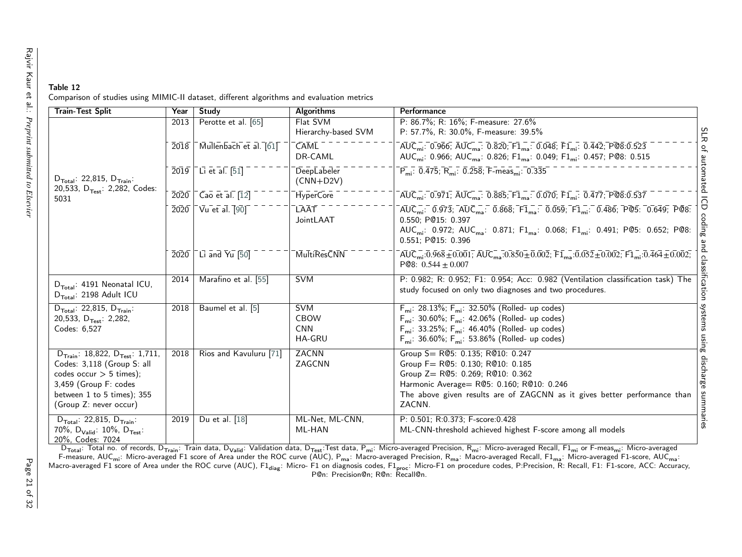<span id="page-21-0"></span>

| Table 12 |                                                                                           |  |
|----------|-------------------------------------------------------------------------------------------|--|
|          | Comparison of studies using MIMIC-II dataset, different algorithms and evaluation metrics |  |

| <b>Train-Test Split</b>                                                                                                                                                                             | Year | Study                                                                                          | <b>Algorithms</b>                                        | Performance                                                                                                                                                                                                                                                                                                                                      |                               |
|-----------------------------------------------------------------------------------------------------------------------------------------------------------------------------------------------------|------|------------------------------------------------------------------------------------------------|----------------------------------------------------------|--------------------------------------------------------------------------------------------------------------------------------------------------------------------------------------------------------------------------------------------------------------------------------------------------------------------------------------------------|-------------------------------|
|                                                                                                                                                                                                     | 2013 | Perotte et al. [65]                                                                            | Flat SVM                                                 | P: 86.7%; R: 16%; F-measure: 27.6%                                                                                                                                                                                                                                                                                                               |                               |
|                                                                                                                                                                                                     |      |                                                                                                | Hierarchy-based SVM                                      | P: 57.7%, R: 30.0%, F-measure: 39.5%                                                                                                                                                                                                                                                                                                             | SLR                           |
|                                                                                                                                                                                                     |      | $\overline{2018}$ $\overline{\phantom{0}}$ Mullenbach et al. $\overline{61}$                   | <b>CAML</b><br>DR-CAML                                   | $\overline{AUC_{mi}}$ : 0.966; $\overline{AUC_{ma}}$ : 0.820; $\overline{F1}_{ma}$ : 0.048; $\overline{F1}_{mi}$ : 0.442; $\overline{P@8:0.523}$<br>AUC <sub>mi</sub> : 0.966; AUC <sub>ma</sub> : 0.826; F1 <sub>ma</sub> : 0.049; F1 <sub>mi</sub> : 0.457; P@8: 0.515                                                                         |                               |
| $D_{\text{Total}}$ : 22,815, $D_{\text{Train}}$ :<br>20,533, D <sub>Test</sub> : 2,282, Codes:                                                                                                      |      | $\overline{2019}$ Li et al. [51]                                                               | DeepLabeler<br>$(CNN+D2V)$                               | $\overline{P_{mi}}$ : 0.475; $\overline{R_{mi}}$ : 0.258; F-meas <sub>mi</sub> : 0.335                                                                                                                                                                                                                                                           | of automated                  |
| 5031                                                                                                                                                                                                | 2020 | $\overline{C}$ ao et al. $\overline{12}$                                                       | HyperCore                                                | $\overline{AUC_{mi}}$ : 0.971; $\overline{AUC_{ma}}$ : 0.885; $\overline{F1_{ma}}$ : 0.070; $\overline{F1_{mi}}$ : 0.477; $\overline{P@8.0.537}$                                                                                                                                                                                                 |                               |
|                                                                                                                                                                                                     |      | $\overline{2020}$ $\overline{)}$ $\overline{V}$ u et al. $\overline{190}$ $\overline{)}$       | LAĀT<br>JointLAAT                                        | $\overline{AUC_{mi}}$ : 0.973; $\overline{AUC_{ma}}$ : 0.868; $\overline{F1_{ma}}$ : 0.059; $\overline{F1_{mi}}$ : 0.486; $\overline{P@5}$ : 0.649; $\overline{P@8}$ :<br>0.550; P@15: 0.397<br>AUC <sub>mi</sub> : 0.972; AUC <sub>ma</sub> : 0.871; F1 <sub>ma</sub> : 0.068; F1 <sub>mi</sub> : 0.491; P@5: 0.652; P@8:<br>0.551; P@15: 0.396 | $\overline{\Theta}$<br>coding |
|                                                                                                                                                                                                     |      | $\overline{2020}$ $\overline{\phantom{0}}$ Li and $\overline{\phantom{0}}$ Li $\overline{100}$ | <b>MultiResCNN</b>                                       | $\overline{AUC_{mi}}$ :0.968 $\overline{\pm}$ 0.001; $\overline{AUC_{ma}}$ :0.850 $\overline{\pm}$ 0.002; $\overline{F1}_{ma}$ :0.052 $\overline{\pm}$ 0.002; $\overline{F1}_{mi}$ :0.464 $\overline{\pm}$ 0.002;<br>PQ8: $0.544 \pm 0.007$                                                                                                      |                               |
| $D_{\text{Total}}$ : 4191 Neonatal ICU,<br>D <sub>Total</sub> : 2198 Adult ICU                                                                                                                      | 2014 | Marafino et al. [55]                                                                           | <b>SVM</b>                                               | P: 0.982; R: 0.952; F1: 0.954; Acc: 0.982 (Ventilation classification task) The<br>study focused on only two diagnoses and two procedures.                                                                                                                                                                                                       | and classification            |
| $D_{\text{Total}}$ : 22,815, $D_{\text{Train}}$ :<br>20,533, $D_{Test}$ : 2,282,<br>Codes: 6,527                                                                                                    | 2018 | Baumel et al. [5]                                                                              | <b>SVM</b><br><b>CBOW</b><br><b>CNN</b><br><b>HA-GRU</b> | $F_{mi}$ : 28.13%; $F_{mi}$ : 32.50% (Rolled- up codes)<br>$F_{mi}$ : 30.60%; $F_{mi}$ : 42.06% (Rolled- up codes)<br>$F_{mi}$ : 33.25%; $F_{mi}$ : 46.40% (Rolled- up codes)<br>$F_{mi}$ : 36.60%; $F_{mi}$ : 53.86% (Rolled- up codes)                                                                                                         | systems<br>auisn s            |
| $D_{\text{Train}}$ : 18,822, $D_{\text{Test}}$ : 1,711,<br>Codes: 3,118 (Group S: all<br>codes occur $>$ 5 times);<br>3,459 (Group F: codes<br>between 1 to 5 times); 355<br>(Group Z: never occur) | 2018 | Rios and Kavuluru [71]                                                                         | <b>ZACNN</b><br>ZAGCNN                                   | Group S= R@5: 0.135; R@10: 0.247<br>Group $F = R@5: 0.130; R@10: 0.185$<br>Group Z= R@5: 0.269; R@10: 0.362<br>Harmonic Average= R@5: 0.160; R@10: 0.246<br>The above given results are of ZAGCNN as it gives better performance than<br>ZACNN.                                                                                                  | discharge<br>summaries        |
| $D_{\text{Total}}$ : 22,815, $D_{\text{Train}}$ :<br>70%, $D_{\text{Valid}}$ : 10%, $D_{\text{Test}}$ :<br>20%, Codes: 7024                                                                         | 2019 | Du et al. [18]                                                                                 | ML-Net, ML-CNN,<br>ML-HAN                                | P: 0.501; R:0.373; F-score:0.428<br>ML-CNN-threshold achieved highest F-score among all models                                                                                                                                                                                                                                                   |                               |

D<sub>Total</sub>: Total no. of records, D<sub>Train</sub>: Train data, D<sub>Valid</sub>: Validation data, D<sub>Test</sub>:Test data, P<sub>mi</sub>: Micro-averaged Precision, R<sub>mi</sub>: Micro-averaged Recall, F1<sub>mi</sub> or F-meas<sub>mi</sub>: Micro-averaged<br>F-measure, AUC<sub>mi</sub>: Mi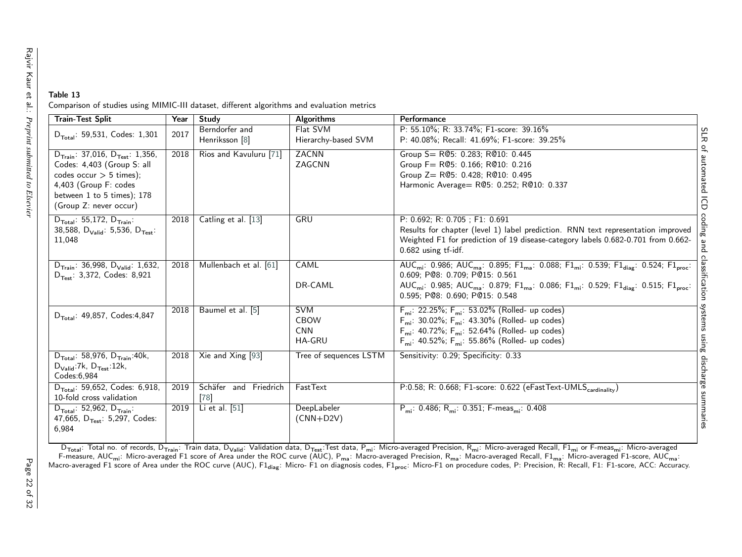#### Table 13Comparison of studies using MIMIC-III dataset, different algorithms and evaluation metrics

| <b>Train-Test Split</b>                                                                                                                                                                             | Year | Study                            | <b>Algorithms</b>                                        | Performance                                                                                                                                                                                                                                                                                                                                                                                  |
|-----------------------------------------------------------------------------------------------------------------------------------------------------------------------------------------------------|------|----------------------------------|----------------------------------------------------------|----------------------------------------------------------------------------------------------------------------------------------------------------------------------------------------------------------------------------------------------------------------------------------------------------------------------------------------------------------------------------------------------|
| $D_{\text{Total}}$ : 59,531, Codes: 1,301                                                                                                                                                           | 2017 | Berndorfer and<br>Henriksson [8] | Flat SVM<br>Hierarchy-based SVM                          | P: 55.10%; R: 33.74%; F1-score: 39.16%<br>P: 40.08%; Recall: 41.69%; F1-score: 39.25%<br>ᆽ                                                                                                                                                                                                                                                                                                   |
| $D_{\text{Train}}$ : 37,016, $D_{\text{Test}}$ : 1,356,<br>Codes: 4,403 (Group S: all<br>codes occur $> 5$ times);<br>4,403 (Group F: codes<br>between 1 to 5 times); 178<br>(Group Z: never occur) | 2018 | Rios and Kavuluru [71]           | <b>ZACNN</b><br>ZAGCNN                                   | Group S= R@5: 0.283; R@10: 0.445<br>utomated<br>Group F= R@5: 0.166; R@10: 0.216<br>Group Z= R@5: 0.428; R@10: 0.495<br>Harmonic Average= R@5: 0.252; R@10: 0.337<br>ā                                                                                                                                                                                                                       |
| $D_{\text{Total}}$ : 55,172, $D_{\text{Train}}$ :<br>38,588, $D_{\text{Valid}}$ : 5,536, $D_{\text{Test}}$ :<br>11,048                                                                              | 2018 | Catling et al. [13]              | GRU                                                      | P: 0.692; R: 0.705; F1: 0.691<br>Results for chapter (level 1) label prediction. RNN text representation improved<br>lm<br>B<br>Weighted F1 for prediction of 19 disease-category labels 0.682-0.701 from 0.662-<br>0.682 using tf-idf.                                                                                                                                                      |
| $D_{\text{Train}}$ : 36,998, $D_{\text{Valid}}$ : 1,632,<br>$D_{Test}$ : 3,372, Codes: 8,921                                                                                                        | 2018 | Mullenbach et al. [61]           | CAML<br>DR-CAML                                          | AUC <sub>mi</sub> : 0.986; AUC <sub>ma</sub> : 0.895; F1 <sub>ma</sub> : 0.088; F1 <sub>mi</sub> : 0.539; F1 <sub>diag</sub> : 0.524; F1 <sub>proc</sub> :<br>0.609: P@8: 0.709: P@15: 0.561<br>AUC <sub>mi</sub> : 0.985; AUC <sub>ma</sub> : 0.879; F1 <sub>ma</sub> : 0.086; F1 <sub>mi</sub> : 0.529; F1 <sub>diag</sub> : 0.515; F1 <sub>proc</sub> :<br>0.595; P@8: 0.690; P@15: 0.548 |
| $D_{\text{Total}}$ : 49,857, Codes:4,847                                                                                                                                                            | 2018 | Baumel et al. [5]                | <b>SVM</b><br><b>CBOW</b><br><b>CNN</b><br><b>HA-GRU</b> | $F_{mi}$ : 22.25%; $F_{mi}$ : 53.02% (Rolled- up codes)<br>ystems<br>$F_{mi}$ : 30.02%; $F_{mi}$ : 43.30% (Rolled- up codes)<br>$F_{mi}$ : 40.72%; $F_{mi}$ : 52.64% (Rolled- up codes)<br>usn<br>$F_{mi}$ : 40.52%; $F_{mi}$ : 55.86% (Rolled- up codes)                                                                                                                                    |
| $D_{\text{Total}}$ : 58,976, $D_{\text{Train}}$ :40k,<br>$D_{\text{Valid}}$ :7k, $D_{\text{Test}}$ :12k,<br>Codes: 6.984                                                                            | 2018 | Xie and Xing [93]                | Tree of sequences LSTM                                   | Sensitivity: 0.29; Specificity: 0.33<br>discharge                                                                                                                                                                                                                                                                                                                                            |
| $D_{\text{Total}}$ : 59,652, Codes: 6,918,<br>10-fold cross validation                                                                                                                              | 2019 | Schäfer and Friedrich<br>[78]    | FastText                                                 | P:0.58; R: 0.668; F1-score: 0.622 (eFastText-UMLS <sub>cardinality</sub> )<br>uuus                                                                                                                                                                                                                                                                                                           |
| $D_{\text{Total}}$ : 52,962, $D_{\text{Train}}$ :<br>47,665, D <sub>Test</sub> : 5,297, Codes:<br>6,984                                                                                             | 2019 | Li et al. [51]                   | DeepLabeler<br>$(CNN+D2V)$                               | $P_{mi}$ : 0.486; R <sub>mi</sub> : 0.351; F-meas <sub>mi</sub> : 0.408                                                                                                                                                                                                                                                                                                                      |

<span id="page-22-0"></span>D<sub>Total</sub>: Total no. of records, D<sub>Train</sub>: Train data, D<sub>Valid</sub>: Validation data, D<sub>Test</sub>:Test data, P<sub>mi</sub>: Micro-averaged Precision, R<sub>mi</sub>: Micro-averaged Recall, F1<sub>mi</sub> or F-meas<sub>mi</sub>: Micro-averaged F1 score of Area under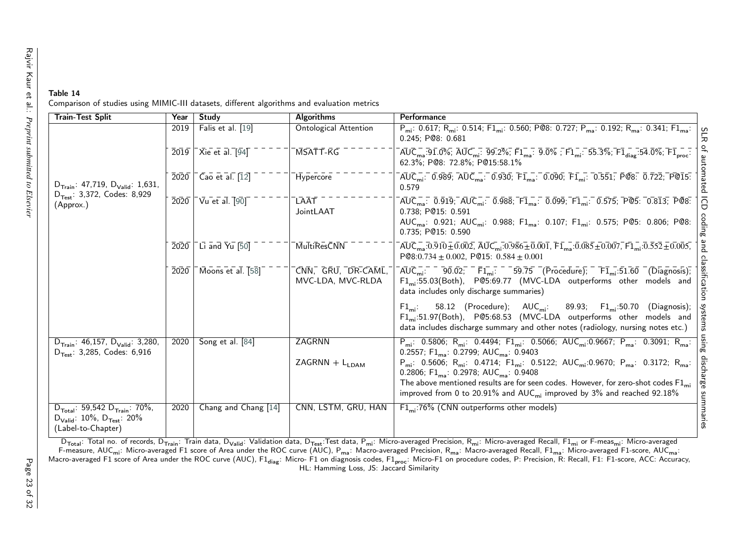#### Table 14Comparison of studies using MIMIC-III datasets, different algorithms and evaluation metrics

| <b>Train-Test Split</b>                                                                                                          | Year | Study                                                                  | <b>Algorithms</b>                       | Performance                                                                                                                                                                                                                                                                                                                                                      |
|----------------------------------------------------------------------------------------------------------------------------------|------|------------------------------------------------------------------------|-----------------------------------------|------------------------------------------------------------------------------------------------------------------------------------------------------------------------------------------------------------------------------------------------------------------------------------------------------------------------------------------------------------------|
|                                                                                                                                  | 2019 | Falis et al. [19]                                                      | <b>Ontological Attention</b>            | $P_{mi}$ : 0.617; R <sub>mi</sub> : 0.514; F1 <sub>mi</sub> : 0.560; P@8: 0.727; P <sub>ma</sub> : 0.192; R <sub>ma</sub> : 0.341; F1 <sub>ma</sub> :<br>S<br>$0.245:$ P@8: $0.681$                                                                                                                                                                              |
|                                                                                                                                  |      | $\overline{2019}$ $\overline{\phantom{0}}$ Xie et al. $\overline{194}$ | ĪMSĀTT-KG                               | $\overline{1}$ AUC $_{\sf ma}$ :91.0%; AUC $_{\sf mi}$ : 99.2%; F1 $_{\sf ma}$ : 9.0% ; F1 $_{\sf mi}$ : 55.3%; F1 $_{\sf dia}$ :54.0%; F1 $_{\sf no}$ .<br>62.3%: P@8: 72.8%: P@15:58.1%                                                                                                                                                                        |
| $D_{\text{Train}}$ : 47,719, $D_{\text{Valid}}$ : 1,631,                                                                         | 2020 | $\overline{\phantom{a}}$ Cao et al. $\overline{1}2\overline{1}$        | Hypercore                               | tomated<br>$\overline{AUC_{\mathsf{mi}}}\cdot\overline{0.989}$ ; $\overline{AUC_{\mathsf{ma}}}\cdot\overline{0.930}$ ; $\overline{\mathsf{F1}_{\mathsf{ma}}}\cdot\overline{0.090}$ ; $\overline{\mathsf{F1}_{\mathsf{mi}}}\cdot\overline{0.551}$ ; $\overline{\mathsf{P@8}}\cdot\overline{0.722}$ ; $\overline{\mathsf{P@15}}\cdot\overline{0.72}$<br>0.579      |
| $D_{Test}$ : 3,372, Codes: 8,929<br>(Approx.)                                                                                    | 2020 | $\sqrt{u}$ et al. $\sqrt{90}$                                          | LAAT<br>JointLAAT                       | $\overline{AUC}_{ma}$ : 0.919; $\overline{AUC}_{mi}$ : 0.988; $\overline{F1}_{ma}$ : 0.099; $\overline{F1}_{mi}$ : 0.575; $\overline{P}$ @5: 0.813; $\overline{P}$ @8:<br>ĞD<br>0.738; P@15: 0.591<br>coding<br>AUC <sub>ma</sub> : 0.921; AUC <sub>mi</sub> : 0.988; F1 <sub>ma</sub> : 0.107; F1 <sub>mi</sub> : 0.575; P@5: 0.806; P@8:<br>0.735: P@15: 0.590 |
|                                                                                                                                  | 2020 | Li and Yu [50]                                                         | <b>MultiResCNN</b>                      | pue<br>$\overline{AUC}_{ma}$ :0.910 $\pm$ 0.002, $\overline{AUC}_{mi}$ :0.986 $\pm$ 0.001, $\overline{FI}_{ma}$ :0.085 $\pm$ 0.007, $\overline{FI}_{mi}$ :0.552 $\pm$ 0.005,<br>$P@8:0.734 \pm 0.002$ , $P@15: 0.584 \pm 0.001$                                                                                                                                  |
|                                                                                                                                  | 2020 | Moons et al. [58]                                                      | CNN, GRU, DR-CAML,<br>MVC-LDA, MVC-RLDA | classil<br>$\overline{AUC_{mi}}$ : 90.02; $\overline{FI_{mi}}$ : 59.75 (Procedure); $\overline{FI_{mi}}$ :51.60 (Diagnosis);<br>ncation<br>$F1_m$ :55.03(Both), PQ5:69.77 (MVC-LDA outperforms other models and<br>data includes only discharge summaries)                                                                                                       |
|                                                                                                                                  |      |                                                                        |                                         | systems<br>58.12 (Procedure); $AUC_{mi}$ : 89.93; $F1_{mi}$ :50.70<br>(Diagnosis);<br>$F1_{\text{mi}}$ :<br>F1 <sub>mi</sub> :51.97(Both), P@5:68.53 (MVC-LDA outperforms other models and<br>data includes discharge summary and other notes (radiology, nursing notes etc.)                                                                                    |
| $D_{\text{Train}}$ : 46,157, $D_{\text{Valid}}$ : 3,280,<br>$D_{Test}$ : 3,285, Codes: 6,916                                     | 2020 | Song et al. [84]                                                       | ZAGRNN                                  | using<br>$P_{mi}$ : 0.5806; R <sub>mi</sub> : 0.4494; F1 <sub>mi</sub> : 0.5066; AUC <sub>mi</sub> :0.9667; P <sub>ma</sub> : 0.3091; R <sub>ma</sub> :<br>0.2557; $F1_{ma}$ : 0.2799; AUC <sub>ma</sub> : 0.9403                                                                                                                                                |
|                                                                                                                                  |      |                                                                        | $ZAGRNN + LLDAM$                        | osip<br>$P_{mi}$ : 0.5606; R <sub>mi</sub> : 0.4714; F1 <sub>mi</sub> : 0.5122; AUC <sub>mi</sub> :0.9670; P <sub>ma</sub> : 0.3172; R <sub>ma</sub> :<br>0.2806; $F1_{ma}$ : 0.2978; AUC <sub>ma</sub> : 0.9408                                                                                                                                                 |
|                                                                                                                                  |      |                                                                        |                                         | <b>uarge</b><br>The above mentioned results are for seen codes. However, for zero-shot codes $F1_{mi}$<br>improved from 0 to 20.91% and $AUC_{mi}$ improved by 3% and reached 92.18%                                                                                                                                                                             |
| $D_{\text{Total}}$ : 59,542 $D_{\text{Train}}$ : 70%,<br>$D_{\text{Valid}}$ : 10%, $D_{\text{Test}}$ : 20%<br>(Label-to-Chapter) | 2020 | Chang and Chang [14]                                                   | CNN, LSTM, GRU, HAN                     | summaries<br>$F1_{mi}$ :76% (CNN outperforms other models)                                                                                                                                                                                                                                                                                                       |

<span id="page-23-0"></span>D<sub>Total</sub>: Total no. of records, D<sub>Train</sub>: Train data, D<sub>Valid</sub>: Validation data, D<sub>Test</sub>:Test data, P<sub>mi</sub>: Micro-averaged Precision, R<sub>mi</sub>: Micro-averaged Recall, F1<sub>mi</sub> or F-meas<sub>mi</sub>: Micro-averaged<br>F-measure, AUC<sub>mi</sub>: Mi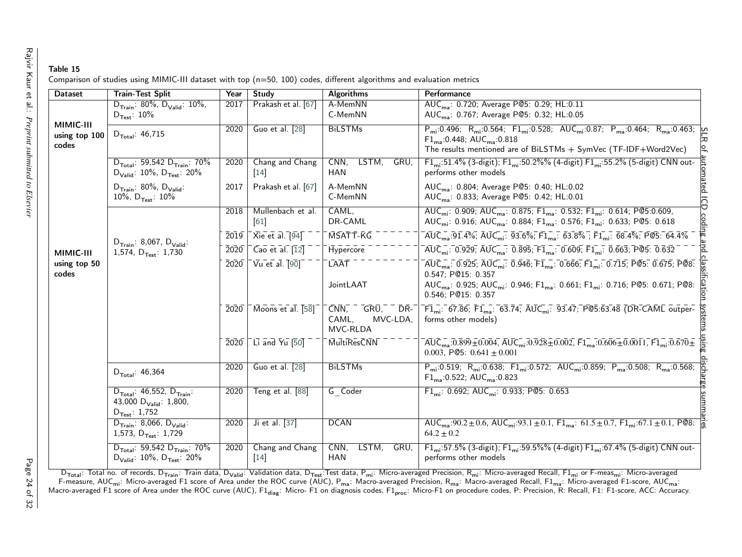| Table 15                                                                                                              |  |  |  |
|-----------------------------------------------------------------------------------------------------------------------|--|--|--|
| Comparison of studies using MIMIC-III dataset with top (n=50, 100) codes, different algorithms and evaluation metrics |  |  |  |

| <b>Dataset</b>                      | <b>Train-Test Split</b>                                                                                      | Year                         | <b>Study</b>                                | <b>Algorithms</b>                                                    | Performance                                                                                                                                                                                                                                                                                                                                                     |
|-------------------------------------|--------------------------------------------------------------------------------------------------------------|------------------------------|---------------------------------------------|----------------------------------------------------------------------|-----------------------------------------------------------------------------------------------------------------------------------------------------------------------------------------------------------------------------------------------------------------------------------------------------------------------------------------------------------------|
|                                     | $D_{\text{Train}}$ : 80%, $D_{\text{Valid}}$ : 10%,<br>$D_{Test}: 10\%$                                      | 2017                         | Prakash et al. [67]                         | A-MemNN<br>C-MemNN                                                   | AUC <sub>ma</sub> : 0.720; Average P@5: 0.29; HL:0.11<br>AUC <sub>ma</sub> : 0.767; Average P@5: 0.32; HL:0.05                                                                                                                                                                                                                                                  |
| MIMIC-III<br>using top 100<br>codes | $D_{\text{Total}}$ : 46,715                                                                                  | 2020                         | Guo et al. [28]                             | <b>BiLSTMs</b>                                                       | $P_{mi}$ :0.496; R <sub>mi</sub> :0.564; F1 <sub>mi</sub> :0.528; AUC <sub>mi</sub> :0.87; P <sub>ma</sub> :0.464; R <sub>ma</sub> :0.463; <u>O</u><br>$F1_{ma}: 0.448; AUC_{ma}: 0.818$<br>The results mentioned are of BiLSTMs + SymVec (TF-IDF+Word2Vec)                                                                                                     |
|                                     | $D_{\text{Total}}$ : 59,542 $D_{\text{Train}}$ : 70%<br>$D_{\text{Valid}}$ : 10%, $D_{\text{Test}}$ : 20%    | 2020                         | Chang and Chang<br>$[14]$                   | CNN,<br>LSTM,<br>GRU.<br><b>HAN</b>                                  | iutomated<br>F1 <sub>mi</sub> :51.4% (3-digit); F1 <sub>mi</sub> :50.2%% (4-digit) F1 <sub>mi</sub> :55.2% (5-digit) CNN out-<br>performs other models                                                                                                                                                                                                          |
|                                     | $D_{\text{Train}}$ : 80%, $D_{\text{Valid}}$ :<br>10%, $D_{Test}$ : 10%                                      | 2017                         | Prakash et al. [67]                         | A-MemNN<br>C-MemNN                                                   | AUC <sub>ma</sub> : 0.804; Average P@5: 0.40; HL:0.02<br>AUC <sub>ma</sub> : 0.833; Average P@5: 0.42; HL:0.01                                                                                                                                                                                                                                                  |
|                                     |                                                                                                              | 2018                         | Mullenbach et al.<br>$[61]$                 | CAML,<br>DR-CAML                                                     | ICD coding and<br>AUC <sub>mi</sub> : 0.909; AUC <sub>ma</sub> : 0.875; F1 <sub>ma</sub> : 0.532; F1 <sub>mi</sub> : 0.614; P@5:0.609,<br>AUC <sub>mi</sub> : 0.916; AUC <sub>ma</sub> : 0.884; F1 <sub>ma</sub> : 0.576; F1 <sub>mi</sub> : 0.633; P@5: 0.618                                                                                                  |
|                                     | $D_{\text{Train}}$ : 8,067, $D_{\text{Valid}}$ :<br>1,574, $D_{Test}$ : 1,730                                | $\overline{2019}$            | $\overline{X}$ ie et al. $\overline{94}$    | MSATT-KG                                                             | $\overline{AUC}_{ma}$ :91.4%; $\overline{AUC}_{mi}$ : 93.6%; $\overline{F1}_{ma}$ : 63.8%; $\overline{F1}_{mi}$ : 68.4%; PC5: 64.4%                                                                                                                                                                                                                             |
| MIMIC-III<br>using top 50<br>codes  |                                                                                                              | $\bar{2}0\bar{2}0$           | $\overline{Cao}$ et al. $\overline{12}$     | Hypercore                                                            | $\overline{AUC_{mi}}$ : 0.929; $\overline{AUC_{ma}}$ : 0.895; $\overline{F1}_{ma}$ : 0.609; $\overline{F1}_{mi}$ : 0.663; P@5: 0.632                                                                                                                                                                                                                            |
|                                     |                                                                                                              | $\overline{2}0\overline{2}0$ | $\overline{\mathsf{Var}}$ et al. [90]       | <b>LAAT</b><br>JointLAAT                                             | $rac{1}{2}$<br>$\overline{AUC}_{ma}$ : 0.925; $\overline{AUC}_{mi}$ : 0.946; $\overline{F1}_{ma}$ : 0.666; $\overline{F1}_{mi}$ : 0.715; $\overline{P@5}$ : 0.675; $\overline{P@8}$ :<br>0.547; P@15: 0.357<br>AUC <sub>ma</sub> : 0.925; AUC <sub>mi</sub> : 0.946; F1 <sub>ma</sub> : 0.661; F1 <sub>mi</sub> : 0.716; P@5: 0.671; P@8:<br>0.546; P@15: 0.357 |
|                                     |                                                                                                              | $\bar{2}0\bar{2}0$           | $\sqrt{100}$ Moons et al. $\sqrt{58}$       | -grū," <sup>=</sup> dr."<br>$CNN$ ,<br>MVC-LDA,<br>CAML,<br>MVC-RLDA | systems<br>$\overline{F1}_{mi}$ : 67.86; $\overline{F1}_{ma}$ : 63.74; $\overline{AUC}_{mi}$ : 93.47; P@5.63.48 (DR-CAML outper-<br>forms other models)                                                                                                                                                                                                         |
|                                     |                                                                                                              | $\overline{2020}$            | $\overline{C}$ Li and $\overline{Y}$ u [50] | MultiResCNN                                                          | $\overline{AUC}_{ma}$ :0.899 $\overline{\pm}$ 0.004, $\overline{AUC}_{mi}$ :0.928 $\overline{\pm}$ 0.002, $\overline{F1}_{ma}$ :0.606 $\overline{\pm}$ 0.0011, $\overline{F1}_{mi}$ :0.670 $\overline{\pm}$<br>0.003, P@5: $0.641 \pm 0.001$                                                                                                                    |
|                                     | $D_{\text{Total}}$ : 46,364                                                                                  | 2020                         | Guo et al. [28]                             | <b>BiLSTMs</b>                                                       | $P_{mi}:0.519; R_{mi}:0.638; F1_{mi}:0.572; AUC_{mi}:0.859; P_{ma}:0.508; R_{ma}:0.568;$<br>$F1_{ma}: 0.522; AUC_{ma}: 0.823$                                                                                                                                                                                                                                   |
|                                     | $D_{\text{Total}}$ : 46,552, $D_{\text{Train}}$ :<br>43,000 $D_{\text{Valid}}$ : 1,800,<br>$D_{Test}: 1,752$ | 2020                         | Teng et al. [88]                            | G Coder                                                              | arge summ<br>$F1_{mi}$ : 0.692; AUC <sub>mi</sub> : 0.933; PC5: 0.653                                                                                                                                                                                                                                                                                           |
|                                     | $D_{\text{Train}}$ : 8,066, $D_{\text{Valid}}$ :<br>1,573, $D_{Test}: 1,729$                                 | 2020                         | Ji et al. [37]                              | <b>DCAN</b>                                                          | AUC <sub>ma</sub> : $\frac{1}{90.2 \pm 0.6}$ , AUC <sub>mi</sub> : $\frac{93.1 \pm 0.1}{1.5 \pm 0.1}$ , F1 <sub>mi</sub> : $61.5 \pm 0.7$ , F1 <sub>mi</sub> : $67.1 \pm 0.1$ , PC8:<br>$64.2 \pm 0.2$                                                                                                                                                          |
|                                     | $D_{\text{Total}}$ : 59,542 $D_{\text{Train}}$ : 70%<br>$D_{\text{Valid}}$ : 10%, $D_{\text{Test}}$ : 20%    | 2020                         | Chang and Chang<br>$[14]$                   | CNN,<br>LSTM,<br>GRU,<br>HAN                                         | F1 <sub>mi</sub> :57.5% (3-digit); F1 <sub>mi</sub> :59.5%% (4-digit) F1 <sub>mi</sub> :67.4% (5-digit) CNN out-<br>performs other models                                                                                                                                                                                                                       |

<span id="page-24-0"></span> $D_{\text{Total}}$ : Total no. of records, D<sub>Train</sub>: Train data, D<sub>Valid</sub>: Validation data, D<sub>Test</sub>: Test data, P<sub>mi</sub>: Micro-averaged Precision, R<sub>mi</sub>: Micro-averaged Recall, F1<sub>mi</sub> or F-meas<sub>mi</sub>: Micro-averaged F1 score of Area un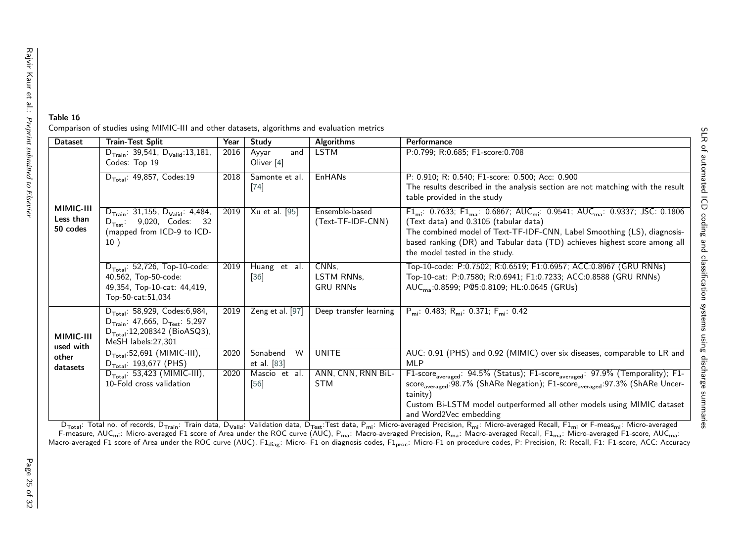| <b>Dataset</b>                     | <b>Train-Test Split</b>                                                                                                                                                                         | Year | Study                                 | <b>Algorithms</b>                      | Performance                                                                                                                                                                                                                                                                                                                                    |  |  |  |
|------------------------------------|-------------------------------------------------------------------------------------------------------------------------------------------------------------------------------------------------|------|---------------------------------------|----------------------------------------|------------------------------------------------------------------------------------------------------------------------------------------------------------------------------------------------------------------------------------------------------------------------------------------------------------------------------------------------|--|--|--|
|                                    | $D_{\text{Train}}$ : 39,541, $D_{\text{Valid}}$ :13,181,<br>Codes: Top 19                                                                                                                       | 2016 | and<br>Ayyar<br>Oliver <sup>[4]</sup> | <b>LSTM</b>                            | P:0.799; R:0.685; F1-score:0.708                                                                                                                                                                                                                                                                                                               |  |  |  |
| MIMIC-III<br>Less than<br>50 codes | $D_{\text{Total}}$ : 49,857, Codes:19                                                                                                                                                           | 2018 | Samonte et al.<br>$[74]$              | <b>EnHANs</b>                          | P: 0.910; R: 0.540; F1-score: 0.500; Acc: 0.900<br>The results described in the analysis section are not matching with the result<br>table provided in the study                                                                                                                                                                               |  |  |  |
|                                    | Xu et al. [95]<br>Ensemble-based<br>$D_{\text{Train}}$ : 31,155, $D_{\text{Valid}}$ : 4,484,<br>2019<br>(Text-TF-IDF-CNN)<br>$D_{Test}$ : 9,020, Codes: 32<br>(mapped from ICD-9 to ICD-<br>10) |      |                                       |                                        | $F1_{mi}$ : 0.7633; $F1_{ma}$ : 0.6867; AUC <sub>mi</sub> : 0.9541; AUC <sub>ma</sub> : 0.9337; JSC: 0.1806<br>(Text data) and 0.3105 (tabular data)<br>The combined model of Text-TF-IDF-CNN, Label Smoothing (LS), diagnosis-<br>based ranking (DR) and Tabular data (TD) achieves highest score among all<br>the model tested in the study. |  |  |  |
|                                    | $D_{\text{Total}}$ : $\overline{52,726}$ , Top-10-code:<br>40,562, Top-50-code:<br>49,354, Top-10-cat: 44,419,<br>Top-50-cat:51,034                                                             | 2019 | Huang et al.<br>$[36]$                | CNNs,<br>LSTM RNNs.<br><b>GRU RNNs</b> | Top-10-code: P:0.7502; R:0.6519; F1:0.6957; ACC:0.8967 (GRU RNNs)<br>Top-10-cat: P:0.7580; R:0.6941; F1:0.7233; ACC:0.8588 (GRU RNNs)<br>AUC <sub>ma</sub> :0.8599; P@5:0.8109; HL:0.0645 (GRUs)                                                                                                                                               |  |  |  |
| MIMIC-III<br>used with             | $D_{\text{Total}}$ : 58,929, Codes:6,984,<br>$D_{\text{Train}}$ : 47,665, $D_{\text{Test}}$ : 5,297<br>$D_{\text{Total}}$ :12,208342 (BioASQ3),<br>MeSH labels:27,301                           | 2019 | Zeng et al. [97]                      | Deep transfer learning                 | $P_{mi}$ : 0.483; R <sub>mi</sub> : 0.371; F <sub>mi</sub> : 0.42                                                                                                                                                                                                                                                                              |  |  |  |
| other<br>datasets                  | $D_{\text{Total}}$ :52,691 (MIMIC-III),<br>$D_{\text{Total}}$ : 193,677 (PHS)                                                                                                                   | 2020 | W<br>Sonabend<br>et al. [83]          | <b>UNITE</b>                           | AUC: 0.91 (PHS) and 0.92 (MIMIC) over six diseases, comparable to LR and<br><b>MLP</b>                                                                                                                                                                                                                                                         |  |  |  |
|                                    | $D_{\text{Total}}$ : 53,423 (MIMIC-III),<br>10-Fold cross validation                                                                                                                            | 2020 | Mascio et al.<br>$[56]$               | ANN, CNN, RNN BiL-<br><b>STM</b>       | F1-score <sub>averaged</sub> : 94.5% (Status); F1-score <sub>averaged</sub> : 97.9% (Temporality); F1-<br>score <sub>averaged</sub> :98.7% (ShARe Negation); F1-score <sub>averaged</sub> :97.3% (ShARe Uncer-<br>tainity)<br>Custom Bi-LSTM model outperformed all other models using MIMIC dataset<br>and Word Wer embedding                 |  |  |  |

Comparison of studies using MIMIC-III and other datasets, algorithms and evaluation metrics

<span id="page-25-0"></span>and Word2Vec embedding and Word2Vec embedding and Word Exercision, F1<sub>mi</sub> or F-meas<sub>mi</sub>: Micro-averaged Precision, Total no. of records, D<sub>Train</sub>: Train data, D<sub>Valid</sub>: Validation data, D<sub>Test</sub>:Test data, P<sub>mi</sub>: Micro-aver

Table 16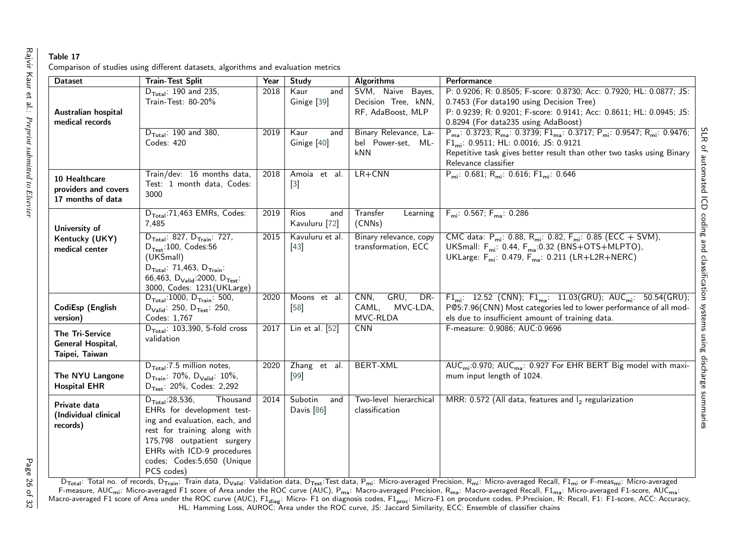## Table 17

| Comparison of studies using different datasets, algorithms and evaluation metrics |  |  |  |  |  |  |  |  |
|-----------------------------------------------------------------------------------|--|--|--|--|--|--|--|--|
|-----------------------------------------------------------------------------------|--|--|--|--|--|--|--|--|

| <b>Dataset</b>                                             | <b>Train-Test Split</b>                                                                                                                                                                                                                         | Year | Study                                   | <b>Algorithms</b>                                             | Performance                                                                                                                                                                                                                                                                                              |
|------------------------------------------------------------|-------------------------------------------------------------------------------------------------------------------------------------------------------------------------------------------------------------------------------------------------|------|-----------------------------------------|---------------------------------------------------------------|----------------------------------------------------------------------------------------------------------------------------------------------------------------------------------------------------------------------------------------------------------------------------------------------------------|
| Australian hospital<br>medical records                     | $D_{\text{Total}}$ : 190 and 235,<br>Train-Test: 80-20%                                                                                                                                                                                         | 2018 | Kaur<br>and<br>Ginige [39]              | SVM, Naive Bayes,<br>Decision Tree, kNN,<br>RF, AdaBoost, MLP | P: 0.9206; R: 0.8505; F-score: 0.8730; Acc: 0.7920; HL: 0.0877; JS:<br>0.7453 (For data190 using Decision Tree)<br>P: 0.9239; R: 0.9201; F-score: 0.9141; Acc: 0.8611; HL: 0.0945; JS:<br>0.8294 (For data235 using AdaBoost)                                                                            |
|                                                            | $D_{\text{Total}}$ : 190 and 380,<br>Codes: 420                                                                                                                                                                                                 | 2019 | Kaur<br>and<br>Ginige [40]              | Binary Relevance, La-<br>bel Power-set, ML-<br>kNN            | SLR<br>$P_{ma}$ : 0.3723; R <sub>ma</sub> : 0.3739; F1 <sub>ma</sub> : 0.3717; P <sub>mi</sub> : 0.9547; R <sub>mi</sub> : 0.9476;<br>$F1_{mi}$ : 0.9511; HL: 0.0016; JS: 0.9121<br>$\overline{\sigma}$<br>Repetitive task gives better result than other two tasks using Binary<br>Relevance classifier |
| 10 Healthcare<br>providers and covers<br>17 months of data | Train/dev: 16 months data,<br>Test: 1 month data, Codes:<br>3000                                                                                                                                                                                | 2018 | Amoia et al.<br>$[3]$                   | $LR + CNN$                                                    | automated<br>$P_{mi}$ : 0.681; R <sub>mi</sub> : 0.616; F1 <sub>mi</sub> : 0.646<br>$\overline{\Theta}$                                                                                                                                                                                                  |
| University of                                              | $D_{\text{Total}}$ :71,463 EMRs, Codes:<br>7,485                                                                                                                                                                                                | 2019 | <b>Rios</b><br>and<br>Kavuluru [72]     | Transfer<br>Learning<br>(CNNs)                                | $F_{mi}$ : 0.567; $F_{ma}$ : 0.286                                                                                                                                                                                                                                                                       |
| Kentucky (UKY)<br>medical center                           | $D_{\text{Total}}$ : 827, $D_{\text{Train}}$ : 727,<br>$D_{Test}:100$ , Codes:56<br>(UKSmall)<br>$D_{\text{Total}}$ : 71,463, $D_{\text{Train}}$ :<br>66,463, $D_{\text{Valid}}$ :2000, $D_{\text{Test}}$ :<br>3000, Codes: 1231(UKLarge)       | 2015 | Kavuluru et al.<br>$[43]$               | Binary relevance, copy<br>transformation, ECC                 | coding and classification<br>CMC data: $P_{mi}$ : 0.88, $R_{mi}$ : 0.82, $F_{mi}$ : 0.85 (ECC + SVM),<br>UKSmall: $F_{mi}$ : 0.44, $F_{ma}$ :0.32 (BNS+OTS+MLPTO),<br>UKLarge: F <sub>mi</sub> : 0.479, F <sub>ma</sub> : 0.211 (LR+L2R+NERC)                                                            |
| CodiEsp (English<br>version)                               | $D_{\text{Total}}:1000, D_{\text{Train}}: 500,$<br>$D_{\text{Valid}}$ : 250, $D_{\text{Test}}$ : 250,<br>Codes: 1,767                                                                                                                           | 2020 | Moons et al.<br>$[58]$                  | GRU,<br>CNN,<br>DR-<br>CAML,<br>MVC-LDA,<br>MVC-RLDA          | $F1_{mi}$ : 12.52 (CNN); $F1_{ma}$ : 11.03(GRU); AUC <sub>mi</sub> : 50.54(GRU);<br>PC5:7.96(CNN) Most categories led to lower performance of all mod-<br>els due to insufficient amount of training data.                                                                                               |
| The Tri-Service<br>General Hospital,<br>Taipei, Taiwan     | $D_{\text{Total}}$ : 103,390, 5-fold cross<br>validation                                                                                                                                                                                        | 2017 | Lin et al. [52]                         | <b>CNN</b>                                                    | systems using discharge<br>F-measure: 0.9086; AUC:0.9696                                                                                                                                                                                                                                                 |
| The NYU Langone<br><b>Hospital EHR</b>                     | $D_{\text{Total}}$ :7.5 million notes,<br>$D_{\text{Train}}$ : 70%, $D_{\text{Valid}}$ : 10%,<br>$D_{Test}$ : 20%, Codes: 2,292                                                                                                                 | 2020 | Zhang et al.<br>$[99]$                  | <b>BERT-XML</b>                                               | $AUC_{mi}$ :0.970; $AUC_{ma}$ : 0.927 For EHR BERT Big model with maxi-<br>mum input length of 1024.                                                                                                                                                                                                     |
| Private data<br>(Individual clinical<br>records)           | $D_{\text{Total}}$ :28,536,<br>Thousand<br>EHRs for development test-<br>ing and evaluation, each, and<br>rest for training along with<br>175,798 outpatient surgery<br>EHRs with ICD-9 procedures<br>codes; Codes: 5,650 (Unique<br>PCS codes) | 2014 | Subotin<br>and<br>Davis <sup>[86]</sup> | Two-level hierarchical<br>classification                      | summaries<br>MRR: 0.572 (All data, features and $I_2$ regularization                                                                                                                                                                                                                                     |

<span id="page-26-0"></span>PCS codes)<br>D<sub>Total</sub>: Total no. of records, D<sub>Train</sub>: Train data, D<sub>Valid</sub>: Validation data, D<sub>Test</sub>:Test data, P<sub>mi</sub>: Micro-averaged Precision, R<sub>mi</sub>: Micro-averaged Recall, F1<sub>mi</sub> or F-meas<sub>mi</sub>: Micro-averaged<br>F-measure,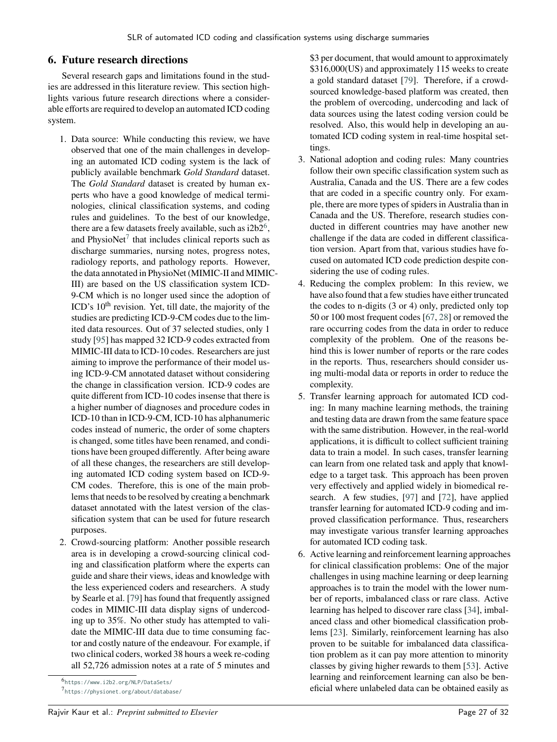## **6. Future research directions**

Several research gaps and limitations found in the studies are addressed in this literature review. This section highlights various future research directions where a considerable efforts are required to develop an automated ICD coding system.

- 1. Data source: While conducting this review, we have observed that one of the main challenges in developing an automated ICD coding system is the lack of publicly available benchmark *Gold Standard* dataset. The *Gold Standard* dataset is created by human experts who have a good knowledge of medical terminologies, clinical classification systems, and coding rules and guidelines. To the best of our knowledge, there are a few datasets freely available, such as  $i2b2^6$  $i2b2^6$ , and PhysioNet $^7$  $^7$  that includes clinical reports such as discharge summaries, nursing notes, progress notes, radiology reports, and pathology reports. However, the data annotated in PhysioNet (MIMIC-II and MIMIC-III) are based on the US classification system ICD-9-CM which is no longer used since the adoption of ICD's 10<sup>th</sup> revision. Yet, till date, the majority of the studies are predicting ICD-9-CM codes due to the limited data resources. Out of 37 selected studies, only 1 study [\[95\]](#page-31-5) has mapped 32 ICD-9 codes extracted from MIMIC-III data to ICD-10 codes. Researchers are just aiming to improve the performance of their model using ICD-9-CM annotated dataset without considering the change in classification version. ICD-9 codes are quite different from ICD-10 codes insense that there is a higher number of diagnoses and procedure codes in ICD-10 than in ICD-9-CM, ICD-10 has alphanumeric codes instead of numeric, the order of some chapters is changed, some titles have been renamed, and conditions have been grouped differently. After being aware of all these changes, the researchers are still developing automated ICD coding system based on ICD-9- CM codes. Therefore, this is one of the main problems that needs to be resolved by creating a benchmark dataset annotated with the latest version of the classification system that can be used for future research purposes.
- 2. Crowd-sourcing platform: Another possible research area is in developing a crowd-sourcing clinical coding and classification platform where the experts can guide and share their views, ideas and knowledge with the less experienced coders and researchers. A study by Searle et al. [\[79\]](#page-31-43) has found that frequently assigned codes in MIMIC-III data display signs of undercoding up to 35%. No other study has attempted to validate the MIMIC-III data due to time consuming factor and costly nature of the endeavour. For example, if two clinical coders, worked 38 hours a week re-coding all 52,726 admission notes at a rate of 5 minutes and

<span id="page-27-0"></span>6 <https://www.i2b2.org/NLP/DataSets/>

\$3 per document, that would amount to approximately \$316,000(US) and approximately 115 weeks to create a gold standard dataset [\[79\]](#page-31-43). Therefore, if a crowdsourced knowledge-based platform was created, then the problem of overcoding, undercoding and lack of data sources using the latest coding version could be resolved. Also, this would help in developing an automated ICD coding system in real-time hospital settings.

- 3. National adoption and coding rules: Many countries follow their own specific classification system such as Australia, Canada and the US. There are a few codes that are coded in a specific country only. For example, there are more types of spiders in Australia than in Canada and the US. Therefore, research studies conducted in different countries may have another new challenge if the data are coded in different classification version. Apart from that, various studies have focused on automated ICD code prediction despite considering the use of coding rules.
- 4. Reducing the complex problem: In this review, we have also found that a few studies have either truncated the codes to n-digits (3 or 4) only, predicted only top 50 or 100 most frequent codes [\[67,](#page-30-6) [28\]](#page-29-14) or removed the rare occurring codes from the data in order to reduce complexity of the problem. One of the reasons behind this is lower number of reports or the rare codes in the reports. Thus, researchers should consider using multi-modal data or reports in order to reduce the complexity.
- 5. Transfer learning approach for automated ICD coding: In many machine learning methods, the training and testing data are drawn from the same feature space with the same distribution. However, in the real-world applications, it is difficult to collect sufficient training data to train a model. In such cases, transfer learning can learn from one related task and apply that knowledge to a target task. This approach has been proven very effectively and applied widely in biomedical research. A few studies, [\[97\]](#page-32-1) and [\[72\]](#page-31-13), have applied transfer learning for automated ICD-9 coding and improved classification performance. Thus, researchers may investigate various transfer learning approaches for automated ICD coding task.
- 6. Active learning and reinforcement learning approaches for clinical classification problems: One of the major challenges in using machine learning or deep learning approaches is to train the model with the lower number of reports, imbalanced class or rare class. Active learning has helped to discover rare class [\[34\]](#page-29-39), imbalanced class and other biomedical classification problems [\[23\]](#page-29-40). Similarly, reinforcement learning has also proven to be suitable for imbalanced data classification problem as it can pay more attention to minority classes by giving higher rewards to them [\[53\]](#page-30-40). Active learning and reinforcement learning can also be beneficial where unlabeled data can be obtained easily as

<span id="page-27-1"></span><sup>7</sup> <https://physionet.org/about/database/>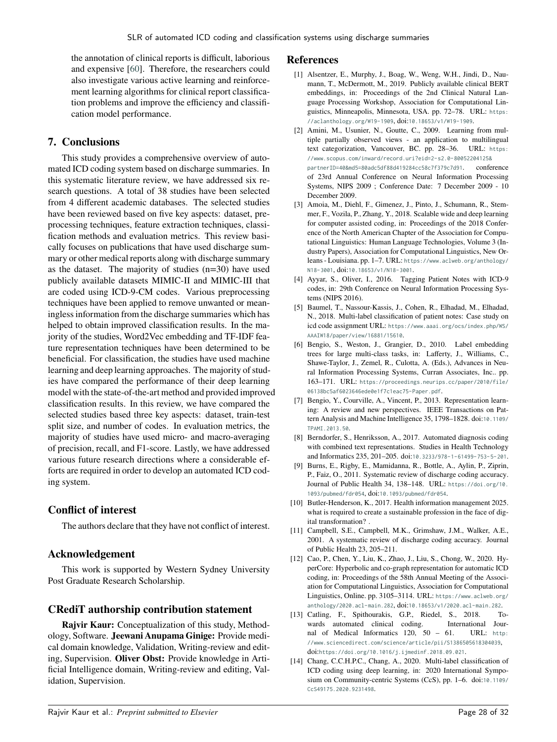the annotation of clinical reports is difficult, laborious and expensive [\[60\]](#page-30-0). Therefore, the researchers could also investigate various active learning and reinforcement learning algorithms for clinical report classification problems and improve the efficiency and classification model performance.

### **7. Conclusions**

<span id="page-28-15"></span>This study provides a comprehensive overview of automated ICD coding system based on discharge summaries. In this systematic literature review, we have addressed six research questions. A total of 38 studies have been selected from 4 different academic databases. The selected studies have been reviewed based on five key aspects: dataset, preprocessing techniques, feature extraction techniques, classification methods and evaluation metrics. This review basically focuses on publications that have used discharge summary or other medical reports along with discharge summary as the dataset. The majority of studies (n=30) have used publicly available datasets MIMIC-II and MIMIC-III that are coded using ICD-9-CM codes. Various preprocessing techniques have been applied to remove unwanted or meaningless information from the discharge summaries which has helped to obtain improved classification results. In the majority of the studies, Word2Vec embedding and TF-IDF feature representation techniques have been determined to be beneficial. For classification, the studies have used machine learning and deep learning approaches. The majority of studies have compared the performance of their deep learning model with the state-of-the-art method and provided improved classification results. In this review, we have compared the selected studies based three key aspects: dataset, train-test split size, and number of codes. In evaluation metrics, the majority of studies have used micro- and macro-averaging of precision, recall, and F1-score. Lastly, we have addressed various future research directions where a considerable efforts are required in order to develop an automated ICD coding system.

## **Conflict of interest**

The authors declare that they have not conflict of interest.

## **Acknowledgement**

This work is supported by Western Sydney University Post Graduate Research Scholarship.

## **CRediT authorship contribution statement**

**Rajvir Kaur:** Conceptualization of this study, Methodology, Software. **Jeewani Anupama Ginige:** Provide medical domain knowledge, Validation, Writing-review and editing, Supervision. **Oliver Obst:** Provide knowledge in Artificial Intelligence domain, Writing-review and editing, Validation, Supervision.

#### **References**

- <span id="page-28-17"></span>[1] Alsentzer, E., Murphy, J., Boag, W., Weng, W.H., Jindi, D., Naumann, T., McDermott, M., 2019. Publicly available clinical BERT embeddings, in: Proceedings of the 2nd Clinical Natural Language Processing Workshop, Association for Computational Linguistics, Minneapolis, Minnesota, USA. pp. 72–78. URL: [https:](https://aclanthology.org/W19-1909) [//aclanthology.org/W19-1909](https://aclanthology.org/W19-1909), doi:[10.18653/v1/W19-1909](http://dx.doi.org/10.18653/v1/W19-1909).
- <span id="page-28-18"></span>[2] Amini, M., Usunier, N., Goutte, C., 2009. Learning from multiple partially observed views - an application to multilingual text categorization, Vancouver, BC. pp. 28–36. URL: [https:](https://www.scopus.com/inward/record.uri?eid=2-s2.0-80052204125&partnerID=40&md5=80adc5df88d419284cc58c7f379c7d91) [//www.scopus.com/inward/record.uri?eid=2-s2.0-80052204125&](https://www.scopus.com/inward/record.uri?eid=2-s2.0-80052204125&partnerID=40&md5=80adc5df88d419284cc58c7f379c7d91) [partnerID=40&md5=80adc5df88d419284cc58c7f379c7d91](https://www.scopus.com/inward/record.uri?eid=2-s2.0-80052204125&partnerID=40&md5=80adc5df88d419284cc58c7f379c7d91). conference of 23rd Annual Conference on Neural Information Processing Systems, NIPS 2009 ; Conference Date: 7 December 2009 - 10 December 2009.
- <span id="page-28-4"></span>[3] Amoia, M., Diehl, F., Gimenez, J., Pinto, J., Schumann, R., Stemmer, F., Vozila, P., Zhang, Y., 2018. Scalable wide and deep learning for computer assisted coding, in: Proceedings of the 2018 Conference of the North American Chapter of the Association for Computational Linguistics: Human Language Technologies, Volume 3 (Industry Papers), Association for Computational Linguistics, New Orleans - Louisiana. pp. 1–7. URL: [https://www.aclweb.org/anthology/](https://www.aclweb.org/anthology/N18-3001) [N18-3001](https://www.aclweb.org/anthology/N18-3001), doi:[10.18653/v1/N18-3001](http://dx.doi.org/10.18653/v1/N18-3001).
- <span id="page-28-12"></span><span id="page-28-7"></span>[4] Ayyar, S., Oliver, I., 2016. Tagging Patient Notes with ICD-9 codes, in: 29th Conference on Neural Information Processing Systems (NIPS 2016).
- <span id="page-28-20"></span><span id="page-28-16"></span><span id="page-28-14"></span><span id="page-28-13"></span><span id="page-28-11"></span><span id="page-28-10"></span><span id="page-28-5"></span>[5] Baumel, T., Nassour-Kassis, J., Cohen, R., Elhadad, M., Elhadad, N., 2018. Multi-label classification of patient notes: Case study on icd code assignment URL: [https://www.aaai.org/ocs/index.php/WS/](https://www.aaai.org/ocs/index.php/WS/AAAIW18/paper/view/16881/15610) [AAAIW18/paper/view/16881/15610](https://www.aaai.org/ocs/index.php/WS/AAAIW18/paper/view/16881/15610).
- <span id="page-28-21"></span>[6] Bengio, S., Weston, J., Grangier, D., 2010. Label embedding trees for large multi-class tasks, in: Lafferty, J., Williams, C., Shawe-Taylor, J., Zemel, R., Culotta, A. (Eds.), Advances in Neural Information Processing Systems, Curran Associates, Inc.. pp. 163–171. URL: [https://proceedings.neurips.cc/paper/2010/file/](https://proceedings.neurips.cc/paper/2010/file/06138bc5af6023646ede0e1f7c1eac75-Paper.pdf) [06138bc5af6023646ede0e1f7c1eac75-Paper.pdf](https://proceedings.neurips.cc/paper/2010/file/06138bc5af6023646ede0e1f7c1eac75-Paper.pdf).
- <span id="page-28-19"></span>[7] Bengio, Y., Courville, A., Vincent, P., 2013. Representation learning: A review and new perspectives. IEEE Transactions on Pattern Analysis and Machine Intelligence 35, 1798–1828. doi:[10.1109/](http://dx.doi.org/10.1109/TPAMI.2013.50) [TPAMI.2013.50](http://dx.doi.org/10.1109/TPAMI.2013.50).
- <span id="page-28-8"></span>[8] Berndorfer, S., Henriksson, A., 2017. Automated diagnosis coding with combined text representations. Studies in Health Technology and Informatics 235, 201–205. doi:[10.3233/978-1-61499-753-5-201](http://dx.doi.org/10.3233/978-1-61499-753-5-201).
- <span id="page-28-2"></span>[9] Burns, E., Rigby, E., Mamidanna, R., Bottle, A., Aylin, P., Ziprin, P., Faiz, O., 2011. Systematic review of discharge coding accuracy. Journal of Public Health 34, 138–148. URL: [https://doi.org/10.](https://doi.org/10.1093/pubmed/fdr054) [1093/pubmed/fdr054](https://doi.org/10.1093/pubmed/fdr054), doi:[10.1093/pubmed/fdr054](http://dx.doi.org/10.1093/pubmed/fdr054).
- <span id="page-28-0"></span>[10] Butler-Henderson, K., 2017. Health information management 2025. what is required to create a sustainable profession in the face of digital transformation? .
- <span id="page-28-3"></span>[11] Campbell, S.E., Campbell, M.K., Grimshaw, J.M., Walker, A.E., 2001. A systematic review of discharge coding accuracy. Journal of Public Health 23, 205–211.
- <span id="page-28-6"></span>[12] Cao, P., Chen, Y., Liu, K., Zhao, J., Liu, S., Chong, W., 2020. HyperCore: Hyperbolic and co-graph representation for automatic ICD coding, in: Proceedings of the 58th Annual Meeting of the Association for Computational Linguistics, Association for Computational Linguistics, Online. pp. 3105–3114. URL: [https://www.aclweb.org/](https://www.aclweb.org/anthology/2020.acl-main.282) [anthology/2020.acl-main.282](https://www.aclweb.org/anthology/2020.acl-main.282), doi:[10.18653/v1/2020.acl-main.282](http://dx.doi.org/10.18653/v1/2020.acl-main.282).
- <span id="page-28-1"></span>[13] Catling, F., Spithourakis, G.P., Riedel, S., 2018. Towards automated clinical coding. International Journal of Medical Informatics 120, 50 – 61. URL: [http:](http://www.sciencedirect.com/science/article/pii/S1386505618304039) [//www.sciencedirect.com/science/article/pii/S1386505618304039](http://www.sciencedirect.com/science/article/pii/S1386505618304039), doi:[https://doi.org/10.1016/j.ijmedinf.2018.09.021](http://dx.doi.org/https://doi.org/10.1016/j.ijmedinf.2018.09.021).
- <span id="page-28-9"></span>[14] Chang, C.C.H.P.C., Chang, A., 2020. Multi-label classification of ICD coding using deep learning, in: 2020 International Sympo-sium on Community-centric Systems (CcS), pp. 1-6. doi:[10.1109/](http://dx.doi.org/10.1109/CcS49175.2020.9231498) [CcS49175.2020.9231498](http://dx.doi.org/10.1109/CcS49175.2020.9231498).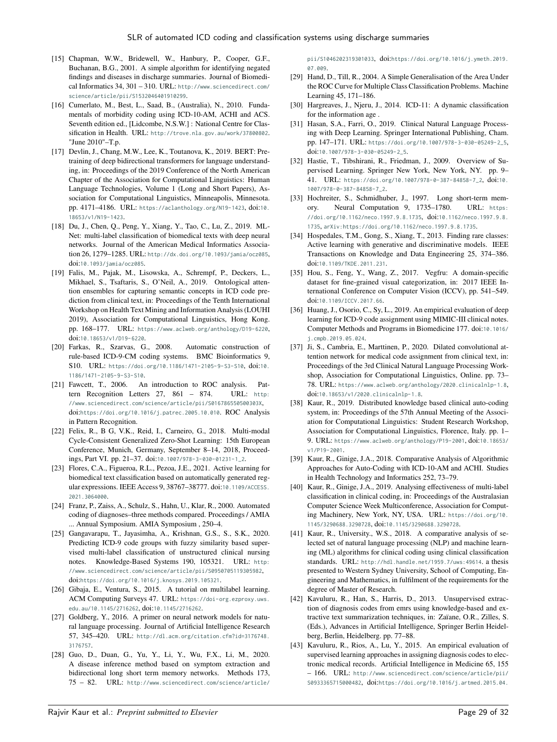- <span id="page-29-22"></span><span id="page-29-4"></span>[15] Chapman, W.W., Bridewell, W., Hanbury, P., Cooper, G.F., Buchanan, B.G., 2001. A simple algorithm for identifying negated findings and diseases in discharge summaries. Journal of Biomedical Informatics 34, 301 – 310. URL: [http://www.sciencedirect.com/](http://www.sciencedirect.com/science/article/pii/S1532046401910299) [science/article/pii/S1532046401910299](http://www.sciencedirect.com/science/article/pii/S1532046401910299).
- <span id="page-29-7"></span>[16] Cumerlato, M., Best, L., Saad, B., (Australia), N., 2010. Fundamentals of morbidity coding using ICD-10-AM, ACHI and ACS. Seventh edition ed., [Lidcombe, N.S.W.] : National Centre for Classification in Health. URL: <http://trove.nla.gov.au/work/37800802>. "June 2010"–T.p.
- <span id="page-29-23"></span>[17] Devlin, J., Chang, M.W., Lee, K., Toutanova, K., 2019. BERT: Pretraining of deep bidirectional transformers for language understanding, in: Proceedings of the 2019 Conference of the North American Chapter of the Association for Computational Linguistics: Human Language Technologies, Volume 1 (Long and Short Papers), Association for Computational Linguistics, Minneapolis, Minnesota. pp. 4171–4186. URL: <https://aclanthology.org/N19-1423>, doi:[10.](http://dx.doi.org/10.18653/v1/N19-1423) [18653/v1/N19-1423](http://dx.doi.org/10.18653/v1/N19-1423).
- <span id="page-29-13"></span>[18] Du, J., Chen, Q., Peng, Y., Xiang, Y., Tao, C., Lu, Z., 2019. ML-Net: multi-label classification of biomedical texts with deep neural networks. Journal of the American Medical Informatics Association 26, 1279–1285. URL: <http://dx.doi.org/10.1093/jamia/ocz085>, doi:[10.1093/jamia/ocz085](http://dx.doi.org/10.1093/jamia/ocz085).
- <span id="page-29-33"></span><span id="page-29-19"></span><span id="page-29-12"></span>[19] Falis, M., Pajak, M., Lisowska, A., Schrempf, P., Deckers, L., Mikhael, S., Tsaftaris, S., O'Neil, A., 2019. Ontological attention ensembles for capturing semantic concepts in ICD code prediction from clinical text, in: Proceedings of the Tenth International Workshop on Health Text Mining and Information Analysis (LOUHI 2019), Association for Computational Linguistics, Hong Kong. pp. 168–177. URL: <https://www.aclweb.org/anthology/D19-6220>, doi:[10.18653/v1/D19-6220](http://dx.doi.org/10.18653/v1/D19-6220).
- <span id="page-29-1"></span>[20] Farkas, R., Szarvas, G., 2008. Automatic construction of rule-based ICD-9-CM coding systems. BMC Bioinformatics 9, S10. URL: <https://doi.org/10.1186/1471-2105-9-S3-S10>, doi:[10.](http://dx.doi.org/10.1186/1471-2105-9-S3-S10) [1186/1471-2105-9-S3-S10](http://dx.doi.org/10.1186/1471-2105-9-S3-S10).
- <span id="page-29-29"></span>[21] Fawcett, T., 2006. An introduction to ROC analysis. Pattern Recognition Letters 27, 861 – 874. URL: [http:](http://www.sciencedirect.com/science/article/pii/S016786550500303X) [//www.sciencedirect.com/science/article/pii/S016786550500303X](http://www.sciencedirect.com/science/article/pii/S016786550500303X), doi:[https://doi.org/10.1016/j.patrec.2005.10.010](http://dx.doi.org/https://doi.org/10.1016/j.patrec.2005.10.010). ROC Analysis in Pattern Recognition.
- <span id="page-29-38"></span>[22] Felix, R., B G, V.K., Reid, I., Carneiro, G., 2018. Multi-modal Cycle-Consistent Generalized Zero-Shot Learning: 15th European Conference, Munich, Germany, September 8–14, 2018, Proceedings, Part VI. pp. 21–37. doi:[10.1007/978-3-030-01231-1\\_2](http://dx.doi.org/10.1007/978-3-030-01231-1_2).
- <span id="page-29-40"></span>[23] Flores, C.A., Figueroa, R.L., Pezoa, J.E., 2021. Active learning for biomedical text classification based on automatically generated regular expressions. IEEE Access 9, 38767–38777. doi:[10.1109/ACCESS.](http://dx.doi.org/10.1109/ACCESS.2021.3064000) [2021.3064000](http://dx.doi.org/10.1109/ACCESS.2021.3064000).
- <span id="page-29-35"></span>[24] Franz, P., Zaiss, A., Schulz, S., Hahn, U., Klar, R., 2000. Automated coding of diagnoses–three methods compared. Proceedings / AMIA ... Annual Symposium. AMIA Symposium , 250–4.
- <span id="page-29-5"></span>[25] Gangavarapu, T., Jayasimha, A., Krishnan, G.S., S., S.K., 2020. Predicting ICD-9 code groups with fuzzy similarity based supervised multi-label classification of unstructured clinical nursing notes. Knowledge-Based Systems 190, 105321. URL: [http:](http://www.sciencedirect.com/science/article/pii/S0950705119305982) [//www.sciencedirect.com/science/article/pii/S0950705119305982](http://www.sciencedirect.com/science/article/pii/S0950705119305982), doi:[https://doi.org/10.1016/j.knosys.2019.105321](http://dx.doi.org/https://doi.org/10.1016/j.knosys.2019.105321).
- <span id="page-29-30"></span>[26] Gibaja, E., Ventura, S., 2015. A tutorial on multilabel learning. ACM Computing Surveys 47. URL: [https://doi-org.ezproxy.uws.](https://doi-org.ezproxy.uws.edu.au/10.1145/2716262) [edu.au/10.1145/2716262](https://doi-org.ezproxy.uws.edu.au/10.1145/2716262), doi:[10.1145/2716262](http://dx.doi.org/10.1145/2716262).
- <span id="page-29-26"></span>[27] Goldberg, Y., 2016. A primer on neural network models for natural language processing. Journal of Artificial Intelligence Research 57, 345–420. URL: [http://dl.acm.org/citation.cfm?id=3176748.](http://dl.acm.org/citation.cfm?id=3176748.3176757) [3176757](http://dl.acm.org/citation.cfm?id=3176748.3176757).
- <span id="page-29-14"></span>[28] Guo, D., Duan, G., Yu, Y., Li, Y., Wu, F.X., Li, M., 2020. A disease inference method based on symptom extraction and bidirectional long short term memory networks. Methods 173, 75 – 82. URL: [http://www.sciencedirect.com/science/article/](http://www.sciencedirect.com/science/article/pii/S1046202319301033)

<span id="page-29-34"></span><span id="page-29-17"></span><span id="page-29-16"></span>[pii/S1046202319301033](http://www.sciencedirect.com/science/article/pii/S1046202319301033), doi:[https://doi.org/10.1016/j.ymeth.2019.](http://dx.doi.org/https://doi.org/10.1016/j.ymeth.2019.07.009) [07.009](http://dx.doi.org/https://doi.org/10.1016/j.ymeth.2019.07.009)

- <span id="page-29-32"></span><span id="page-29-28"></span>[29] Hand, D., Till, R., 2004. A Simple Generalisation of the Area Under the ROC Curve for Multiple Class Classification Problems. Machine Learning 45, 171–186.
- <span id="page-29-8"></span>[30] Hargreaves, J., Njeru, J., 2014. ICD-11: A dynamic classification for the information age .
- <span id="page-29-25"></span>[31] Hasan, S.A., Farri, O., 2019. Clinical Natural Language Processing with Deep Learning. Springer International Publishing, Cham. pp. 147–171. URL: [https://doi.org/10.1007/978-3-030-05249-2\\_5](https://doi.org/10.1007/978-3-030-05249-2_5), doi:[10.1007/978-3-030-05249-2\\_5](http://dx.doi.org/10.1007/978-3-030-05249-2_5).
- <span id="page-29-24"></span>[32] Hastie, T., Tibshirani, R., Friedman, J., 2009. Overview of Supervised Learning. Springer New York, New York, NY. pp. 9– 41. URL: [https://doi.org/10.1007/978-0-387-84858-7\\_2](https://doi.org/10.1007/978-0-387-84858-7_2), doi:[10.](http://dx.doi.org/10.1007/978-0-387-84858-7_2) [1007/978-0-387-84858-7\\_2](http://dx.doi.org/10.1007/978-0-387-84858-7_2).
- <span id="page-29-27"></span>[33] Hochreiter, S., Schmidhuber, J., 1997. Long short-term memory. Neural Computation 9, 1735–1780. URL: [https:](https://doi.org/10.1162/neco.1997.9.8.1735) [//doi.org/10.1162/neco.1997.9.8.1735](https://doi.org/10.1162/neco.1997.9.8.1735), doi:[10.1162/neco.1997.9.8.](http://dx.doi.org/10.1162/neco.1997.9.8.1735) [1735](http://dx.doi.org/10.1162/neco.1997.9.8.1735), [arXiv:https://doi.org/10.1162/neco.1997.9.8.1735](http://arxiv.org/abs/https://doi.org/10.1162/neco.1997.9.8.1735).
- <span id="page-29-39"></span>[34] Hospedales, T.M., Gong, S., Xiang, T., 2013. Finding rare classes: Active learning with generative and discriminative models. IEEE Transactions on Knowledge and Data Engineering 25, 374–386. doi:[10.1109/TKDE.2011.231](http://dx.doi.org/10.1109/TKDE.2011.231).
- <span id="page-29-37"></span>[35] Hou, S., Feng, Y., Wang, Z., 2017. Vegfru: A domain-specific dataset for fine-grained visual categorization, in: 2017 IEEE International Conference on Computer Vision (ICCV), pp. 541–549. doi:[10.1109/ICCV.2017.66](http://dx.doi.org/10.1109/ICCV.2017.66).
- <span id="page-29-31"></span><span id="page-29-21"></span><span id="page-29-20"></span><span id="page-29-18"></span><span id="page-29-15"></span><span id="page-29-3"></span>[36] Huang, J., Osorio, C., Sy, L., 2019. An empirical evaluation of deep learning for ICD-9 code assignment using MIMIC-III clinical notes. Computer Methods and Programs in Biomedicine 177. doi:[10.1016/](http://dx.doi.org/10.1016/j.cmpb.2019.05.024) [j.cmpb.2019.05.024](http://dx.doi.org/10.1016/j.cmpb.2019.05.024).
- <span id="page-29-10"></span>[37] Ji, S., Cambria, E., Marttinen, P., 2020. Dilated convolutional attention network for medical code assignment from clinical text, in: Proceedings of the 3rd Clinical Natural Language Processing Workshop, Association for Computational Linguistics, Online. pp. 73– 78. URL: <https://www.aclweb.org/anthology/2020.clinicalnlp-1.8>, doi:[10.18653/v1/2020.clinicalnlp-1.8](http://dx.doi.org/10.18653/v1/2020.clinicalnlp-1.8).
- <span id="page-29-2"></span>[38] Kaur, R., 2019. Distributed knowledge based clinical auto-coding system, in: Proceedings of the 57th Annual Meeting of the Association for Computational Linguistics: Student Research Workshop, Association for Computational Linguistics, Florence, Italy. pp. 1– 9. URL: <https://www.aclweb.org/anthology/P19-2001>, doi:[10.18653/](http://dx.doi.org/10.18653/v1/P19-2001) [v1/P19-2001](http://dx.doi.org/10.18653/v1/P19-2001).
- <span id="page-29-0"></span>[39] Kaur, R., Ginige, J.A., 2018. Comparative Analysis of Algorithmic Approaches for Auto-Coding with ICD-10-AM and ACHI. Studies in Health Technology and Informatics 252, 73–79.
- <span id="page-29-9"></span>[40] Kaur, R., Ginige, J.A., 2019. Analysing effectiveness of multi-label classification in clinical coding, in: Proceedings of the Australasian Computer Science Week Multiconference, Association for Computing Machinery, New York, NY, USA. URL: [https://doi.org/10.](https://doi.org/10.1145/3290688.3290728) [1145/3290688.3290728](https://doi.org/10.1145/3290688.3290728), doi:[10.1145/3290688.3290728](http://dx.doi.org/10.1145/3290688.3290728).
- <span id="page-29-6"></span>[41] Kaur, R., University., W.S., 2018. A comparative analysis of selected set of natural language processing (NLP) and machine learning (ML) algorithms for clinical coding using clinical classification standards. URL: <http://hdl.handle.net/1959.7/uws:49614>. a thesis presented to Western Sydney University, School of Computing, Engineering and Mathematics, in fulfilment of the requirements for the degree of Master of Research.
- <span id="page-29-36"></span>[42] Kavuluru, R., Han, S., Harris, D., 2013. Unsupervised extraction of diagnosis codes from emrs using knowledge-based and extractive text summarization techniques, in: Zaïane, O.R., Zilles, S. (Eds.), Advances in Artificial Intelligence, Springer Berlin Heidelberg, Berlin, Heidelberg. pp. 77–88.
- <span id="page-29-11"></span>[43] Kavuluru, R., Rios, A., Lu, Y., 2015. An empirical evaluation of supervised learning approaches in assigning diagnosis codes to electronic medical records. Artificial Intelligence in Medicine 65, 155 – 166. URL: [http://www.sciencedirect.com/science/article/pii/](http://www.sciencedirect.com/science/article/pii/S0933365715000482) [S0933365715000482](http://www.sciencedirect.com/science/article/pii/S0933365715000482), doi:[https://doi.org/10.1016/j.artmed.2015.04.](http://dx.doi.org/https://doi.org/10.1016/j.artmed.2015.04.007)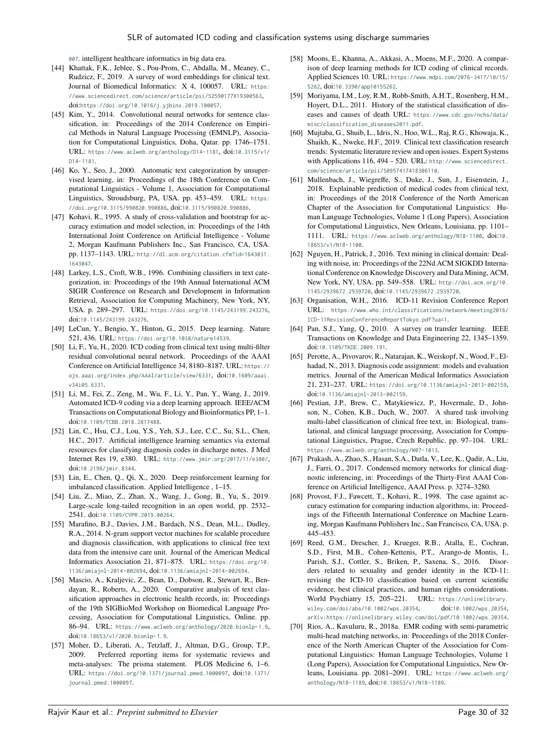<span id="page-30-16"></span>[007](http://dx.doi.org/https://doi.org/10.1016/j.artmed.2015.04.007). intelligent healthcare informatics in big data era.

- <span id="page-30-23"></span>[44] Khattak, F.K., Jeblee, S., Pou-Prom, C., Abdalla, M., Meaney, C., Rudzicz, F., 2019. A survey of word embeddings for clinical text. Journal of Biomedical Informatics: X 4, 100057. URL: [https:](https://www.sciencedirect.com/science/article/pii/S2590177X19300563) [//www.sciencedirect.com/science/article/pii/S2590177X19300563](https://www.sciencedirect.com/science/article/pii/S2590177X19300563), doi:[https://doi.org/10.1016/j.yjbinx.2019.100057](http://dx.doi.org/https://doi.org/10.1016/j.yjbinx.2019.100057).
- <span id="page-30-28"></span>[45] Kim, Y., 2014. Convolutional neural networks for sentence classification, in: Proceedings of the 2014 Conference on Empirical Methods in Natural Language Processing (EMNLP), Association for Computational Linguistics, Doha, Qatar. pp. 1746–1751. URL: <https://www.aclweb.org/anthology/D14-1181>, doi:[10.3115/v1/](http://dx.doi.org/10.3115/v1/D14-1181) [D14-1181](http://dx.doi.org/10.3115/v1/D14-1181).
- <span id="page-30-24"></span>[46] Ko, Y., Seo, J., 2000. Automatic text categorization by unsupervised learning, in: Proceedings of the 18th Conference on Computational Linguistics - Volume 1, Association for Computational Linguistics, Stroudsburg, PA, USA. pp. 453–459. URL: [https:](https://doi.org/10.3115/990820.990886) [//doi.org/10.3115/990820.990886](https://doi.org/10.3115/990820.990886), doi:[10.3115/990820.990886](http://dx.doi.org/10.3115/990820.990886).
- <span id="page-30-26"></span>[47] Kohavi, R., 1995. A study of cross-validation and bootstrap for accuracy estimation and model selection, in: Proceedings of the 14th International Joint Conference on Artificial Intelligence - Volume 2, Morgan Kaufmann Publishers Inc., San Francisco, CA, USA. pp. 1137–1143. URL: [http://dl.acm.org/citation.cfm?id=1643031.](http://dl.acm.org/citation.cfm?id=1643031.1643047) [1643047](http://dl.acm.org/citation.cfm?id=1643031.1643047).
- <span id="page-30-36"></span><span id="page-30-33"></span>[48] Larkey, L.S., Croft, W.B., 1996. Combining classifiers in text categorization, in: Proceedings of the 19th Annual International ACM SIGIR Conference on Research and Development in Information Retrieval, Association for Computing Machinery, New York, NY, USA. p. 289–297. URL: <https://doi.org/10.1145/243199.243276>, doi:[10.1145/243199.243276](http://dx.doi.org/10.1145/243199.243276).
- <span id="page-30-27"></span>[49] LeCun, Y., Bengio, Y., Hinton, G., 2015. Deep learning. Nature 521, 436. URL: <https://doi.org/10.1038/nature14539>.
- <span id="page-30-8"></span>[50] Li, F., Yu, H., 2020. ICD coding from clinical text using multi-filter residual convolutional neural network. Proceedings of the AAAI Conference on Artificial Intelligence 34, 8180–8187. URL: [https://](https://ojs.aaai.org/index.php/AAAI/article/view/6331) [ojs.aaai.org/index.php/AAAI/article/view/6331](https://ojs.aaai.org/index.php/AAAI/article/view/6331), doi:[10.1609/aaai.](http://dx.doi.org/10.1609/aaai.v34i05.6331) [v34i05.6331](http://dx.doi.org/10.1609/aaai.v34i05.6331).
- <span id="page-30-10"></span>[51] Li, M., Fei, Z., Zeng, M., Wu, F., Li, Y., Pan, Y., Wang, J., 2019. Automated ICD-9 coding via a deep learning approach. IEEE/ACM Transactions on Computational Biology and Bioinformatics PP, 1–1. doi:[10.1109/TCBB.2018.2817488](http://dx.doi.org/10.1109/TCBB.2018.2817488).
- <span id="page-30-5"></span>[52] Lin, C., Hsu, C.J., Lou, Y.S., Yeh, S.J., Lee, C.C., Su, S.L., Chen, H.C., 2017. Artificial intelligence learning semantics via external resources for classifying diagnosis codes in discharge notes. J Med Internet Res 19, e380. URL: <http://www.jmir.org/2017/11/e380/>, doi:[10.2196/jmir.8344](http://dx.doi.org/10.2196/jmir.8344).
- <span id="page-30-40"></span>[53] Lin, E., Chen, Q., Qi, X., 2020. Deep reinforcement learning for imbalanced classification. Applied Intelligence , 1–15.
- <span id="page-30-39"></span>[54] Liu, Z., Miao, Z., Zhan, X., Wang, J., Gong, B., Yu, S., 2019. Large-scale long-tailed recognition in an open world, pp. 2532– 2541. doi:[10.1109/CVPR.2019.00264](http://dx.doi.org/10.1109/CVPR.2019.00264).
- <span id="page-30-12"></span>[55] Marafino, B.J., Davies, J.M., Bardach, N.S., Dean, M.L., Dudley, R.A., 2014. N-gram support vector machines for scalable procedure and diagnosis classification, with applications to clinical free text data from the intensive care unit. Journal of the American Medical Informatics Association 21, 871–875. URL: [https://doi.org/10.](https://doi.org/10.1136/amiajnl-2014-002694) [1136/amiajnl-2014-002694](https://doi.org/10.1136/amiajnl-2014-002694), doi:[10.1136/amiajnl-2014-002694](http://dx.doi.org/10.1136/amiajnl-2014-002694).
- <span id="page-30-13"></span>[56] Mascio, A., Kraljevic, Z., Bean, D., Dobson, R., Stewart, R., Bendayan, R., Roberts, A., 2020. Comparative analysis of text classification approaches in electronic health records, in: Proceedings of the 19th SIGBioMed Workshop on Biomedical Language Processing, Association for Computational Linguistics, Online. pp. 86–94. URL: <https://www.aclweb.org/anthology/2020.bionlp-1.9>, doi:[10.18653/v1/2020.bionlp-1.9](http://dx.doi.org/10.18653/v1/2020.bionlp-1.9).
- <span id="page-30-4"></span>[57] Moher, D., Liberati, A., Tetzlaff, J., Altman, D.G., Group, T.P., 2009. Preferred reporting items for systematic reviews and meta-analyses: The prisma statement. PLOS Medicine 6, 1–6. URL: <https://doi.org/10.1371/journal.pmed.1000097>, doi:[10.1371/](http://dx.doi.org/10.1371/journal.pmed.1000097) [journal.pmed.1000097](http://dx.doi.org/10.1371/journal.pmed.1000097).
- <span id="page-30-35"></span><span id="page-30-34"></span><span id="page-30-31"></span><span id="page-30-22"></span><span id="page-30-21"></span><span id="page-30-19"></span><span id="page-30-17"></span><span id="page-30-9"></span>[58] Moons, E., Khanna, A., Akkasi, A., Moens, M.F., 2020. A comparison of deep learning methods for ICD coding of clinical records. Applied Sciences 10. URL: [https://www.mdpi.com/2076-3417/10/15/](https://www.mdpi.com/2076-3417/10/15/5262) [5262](https://www.mdpi.com/2076-3417/10/15/5262), doi:[10.3390/app10155262](http://dx.doi.org/10.3390/app10155262).
- <span id="page-30-1"></span>[59] Moriyama, I.M., Loy, R.M., Robb-Smith, A.H.T., Rosenberg, H.M., Hoyert, D.L., 2011. History of the statistical classification of diseases and causes of death URL: [https://www.cdc.gov/nchs/data/](https://www.cdc.gov/nchs/data/misc/classification_diseases2011.pdf) [misc/classification\\_diseases2011.pdf](https://www.cdc.gov/nchs/data/misc/classification_diseases2011.pdf).
- <span id="page-30-0"></span>[60] Mujtaba, G., Shuib, L., Idris, N., Hoo, W.L., Raj, R.G., Khowaja, K., Shaikh, K., Nweke, H.F., 2019. Clinical text classification research trends: Systematic literature review and open issues. Expert Systems with Applications 116, 494 – 520. URL: [http://www.sciencedirect.](http://www.sciencedirect.com/science/article/pii/S0957417418306110) [com/science/article/pii/S0957417418306110](http://www.sciencedirect.com/science/article/pii/S0957417418306110).
- <span id="page-30-7"></span>[61] Mullenbach, J., Wiegreffe, S., Duke, J., Sun, J., Eisenstein, J., 2018. Explainable prediction of medical codes from clinical text, in: Proceedings of the 2018 Conference of the North American Chapter of the Association for Computational Linguistics: Human Language Technologies, Volume 1 (Long Papers), Association for Computational Linguistics, New Orleans, Louisiana. pp. 1101– 1111. URL: <https://www.aclweb.org/anthology/N18-1100>, doi:[10.](http://dx.doi.org/10.18653/v1/N18-1100) [18653/v1/N18-1100](http://dx.doi.org/10.18653/v1/N18-1100).
- <span id="page-30-29"></span>[62] Nguyen, H., Patrick, J., 2016. Text mining in clinical domain: Dealing with noise, in: Proceedings of the 22Nd ACM SIGKDD International Conference on Knowledge Discovery and Data Mining, ACM, New York, NY, USA. pp. 549–558. URL: [http://doi.acm.org/10.](http://doi.acm.org/10.1145/2939672.2939720) [1145/2939672.2939720](http://doi.acm.org/10.1145/2939672.2939720), doi:[10.1145/2939672.2939720](http://dx.doi.org/10.1145/2939672.2939720).
- <span id="page-30-32"></span><span id="page-30-20"></span><span id="page-30-18"></span><span id="page-30-15"></span><span id="page-30-14"></span><span id="page-30-2"></span>[63] Organisation, W.H., 2016. ICD-11 Revision Conference Report URL: [https://www.who.int/classifications/network/meeting2016/](https://www.who.int/classifications/network/meeting2016/ICD-11RevisionConferenceReportTokyo.pdf?ua=1) [ICD-11RevisionConferenceReportTokyo.pdf?ua=1](https://www.who.int/classifications/network/meeting2016/ICD-11RevisionConferenceReportTokyo.pdf?ua=1).
- <span id="page-30-25"></span>[64] Pan, S.J., Yang, Q., 2010. A survey on transfer learning. IEEE Transactions on Knowledge and Data Engineering 22, 1345–1359. doi:[10.1109/TKDE.2009.191](http://dx.doi.org/10.1109/TKDE.2009.191).
- <span id="page-30-11"></span>[65] Perotte, A., Pivovarov, R., Natarajan, K., Weiskopf, N., Wood, F., Elhadad, N., 2013. Diagnosis code assignment: models and evaluation metrics. Journal of the American Medical Informatics Association 21, 231–237. URL: <https://doi.org/10.1136/amiajnl-2013-002159>, doi:[10.1136/amiajnl-2013-002159](http://dx.doi.org/10.1136/amiajnl-2013-002159).
- <span id="page-30-37"></span>[66] Pestian, J.P., Brew, C., Matykiewicz, P., Hovermale, D., Johnson, N., Cohen, K.B., Duch, W., 2007. A shared task involving multi-label classification of clinical free text, in: Biological, translational, and clinical language processing, Association for Computational Linguistics, Prague, Czech Republic. pp. 97–104. URL: <https://www.aclweb.org/anthology/W07-1013>.
- <span id="page-30-6"></span>[67] Prakash, A., Zhao, S., Hasan, S.A., Datla, V., Lee, K., Qadir, A., Liu, J., Farri, O., 2017. Condensed memory networks for clinical diagnostic inferencing, in: Proceedings of the Thirty-First AAAI Conference on Artificial Intelligence, AAAI Press. p. 3274–3280.
- <span id="page-30-30"></span>[68] Provost, F.J., Fawcett, T., Kohavi, R., 1998. The case against accuracy estimation for comparing induction algorithms, in: Proceedings of the Fifteenth International Conference on Machine Learning, Morgan Kaufmann Publishers Inc., San Francisco, CA, USA. p. 445–453.
- <span id="page-30-3"></span>[69] Reed, G.M., Drescher, J., Krueger, R.B., Atalla, E., Cochran, S.D., First, M.B., Cohen-Kettenis, P.T., Arango-de Montis, I., Parish, S.J., Cottler, S., Briken, P., Saxena, S., 2016. Disorders related to sexuality and gender identity in the ICD-11: revising the ICD-10 classification based on current scientific evidence, best clinical practices, and human rights considerations. World Psychiatry 15, 205–221. URL: [https://onlinelibrary.](https://onlinelibrary.wiley.com/doi/abs/10.1002/wps.20354) [wiley.com/doi/abs/10.1002/wps.20354](https://onlinelibrary.wiley.com/doi/abs/10.1002/wps.20354), doi:[10.1002/wps.20354](http://dx.doi.org/10.1002/wps.20354), [arXiv:https://onlinelibrary.wiley.com/doi/pdf/10.1002/wps.20354](http://arxiv.org/abs/https://onlinelibrary.wiley.com/doi/pdf/10.1002/wps.20354).
- <span id="page-30-38"></span>[70] Rios, A., Kavuluru, R., 2018a. EMR coding with semi-parametric multi-head matching networks, in: Proceedings of the 2018 Conference of the North American Chapter of the Association for Computational Linguistics: Human Language Technologies, Volume 1 (Long Papers), Association for Computational Linguistics, New Orleans, Louisiana. pp. 2081–2091. URL: [https://www.aclweb.org/](https://www.aclweb.org/anthology/N18-1189) [anthology/N18-1189](https://www.aclweb.org/anthology/N18-1189), doi:[10.18653/v1/N18-1189](http://dx.doi.org/10.18653/v1/N18-1189).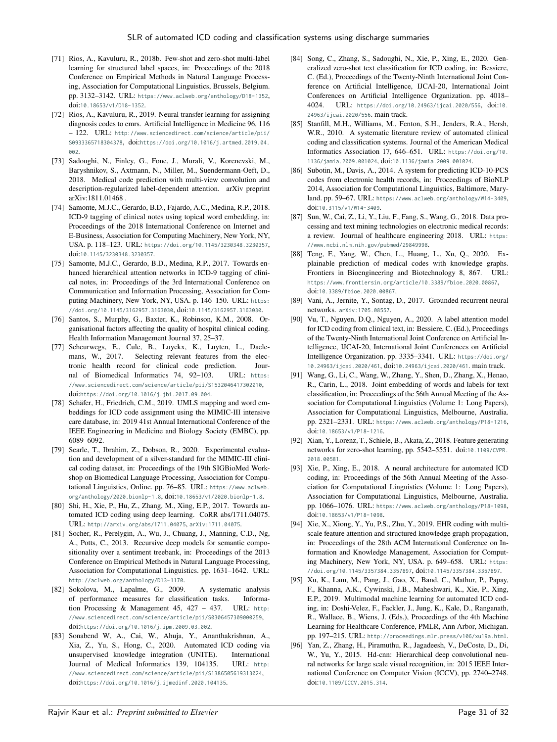- <span id="page-31-23"></span><span id="page-31-12"></span>[71] Rios, A., Kavuluru, R., 2018b. Few-shot and zero-shot multi-label learning for structured label spaces, in: Proceedings of the 2018 Conference on Empirical Methods in Natural Language Processing, Association for Computational Linguistics, Brussels, Belgium. pp. 3132–3142. URL: <https://www.aclweb.org/anthology/D18-1352>, doi:[10.18653/v1/D18-1352](http://dx.doi.org/10.18653/v1/D18-1352).
- <span id="page-31-13"></span>[72] Rios, A., Kavuluru, R., 2019. Neural transfer learning for assigning diagnosis codes to emrs. Artificial Intelligence in Medicine 96, 116 – 122. URL: [http://www.sciencedirect.com/science/article/pii/](http://www.sciencedirect.com/science/article/pii/S0933365718304378) [S0933365718304378](http://www.sciencedirect.com/science/article/pii/S0933365718304378), doi:[https://doi.org/10.1016/j.artmed.2019.04.](http://dx.doi.org/https://doi.org/10.1016/j.artmed.2019.04.002) [002](http://dx.doi.org/https://doi.org/10.1016/j.artmed.2019.04.002)
- <span id="page-31-39"></span>[73] Sadoughi, N., Finley, G., Fone, J., Murali, V., Korenevski, M., Baryshnikov, S., Axtmann, N., Miller, M., Suendermann-Oeft, D., 2018. Medical code prediction with multi-view convolution and description-regularized label-dependent attention. arXiv preprint arXiv:1811.01468 .
- <span id="page-31-8"></span>[74] Samonte, M.J.C., Gerardo, B.D., Fajardo, A.C., Medina, R.P., 2018. ICD-9 tagging of clinical notes using topical word embedding, in: Proceedings of the 2018 International Conference on Internet and E-Business, Association for Computing Machinery, New York, NY, USA. p. 118–123. URL: <https://doi.org/10.1145/3230348.3230357>, doi:[10.1145/3230348.3230357](http://dx.doi.org/10.1145/3230348.3230357).
- <span id="page-31-28"></span>[75] Samonte, M.J.C., Gerardo, B.D., Medina, R.P., 2017. Towards enhanced hierarchical attention networks in ICD-9 tagging of clinical notes, in: Proceedings of the 3rd International Conference on Communication and Information Processing, Association for Computing Machinery, New York, NY, USA. p. 146–150. URL: [https:](https://doi.org/10.1145/3162957.3163030) [//doi.org/10.1145/3162957.3163030](https://doi.org/10.1145/3162957.3163030), doi:[10.1145/3162957.3163030](http://dx.doi.org/10.1145/3162957.3163030).
- <span id="page-31-32"></span><span id="page-31-17"></span><span id="page-31-2"></span>[76] Santos, S., Murphy, G., Baxter, K., Robinson, K.M., 2008. Organisational factors affecting the quality of hospital clinical coding. Health Information Management Journal 37, 25–37.
- [77] Scheurwegs, E., Cule, B., Luyckx, K., Luyten, L., Daelemans, W., 2017. Selecting relevant features from the electronic health record for clinical code prediction. Journal of Biomedical Informatics 74, 92–103. URL: [https:](https://www.sciencedirect.com/science/article/pii/S1532046417302010) [//www.sciencedirect.com/science/article/pii/S1532046417302010](https://www.sciencedirect.com/science/article/pii/S1532046417302010), doi:[https://doi.org/10.1016/j.jbi.2017.09.004](http://dx.doi.org/https://doi.org/10.1016/j.jbi.2017.09.004).
- <span id="page-31-7"></span>[78] Schäfer, H., Friedrich, C.M., 2019. UMLS mapping and word embeddings for ICD code assignment using the MIMIC-III intensive care database, in: 2019 41st Annual International Conference of the IEEE Engineering in Medicine and Biology Society (EMBC), pp. 6089–6092.
- <span id="page-31-43"></span>[79] Searle, T., Ibrahim, Z., Dobson, R., 2020. Experimental evaluation and development of a silver-standard for the MIMIC-III clinical coding dataset, in: Proceedings of the 19th SIGBioMed Workshop on Biomedical Language Processing, Association for Computational Linguistics, Online. pp. 76–85. URL: [https://www.aclweb.](https://www.aclweb.org/anthology/2020.bionlp-1.8) [org/anthology/2020.bionlp-1.8](https://www.aclweb.org/anthology/2020.bionlp-1.8), doi:[10.18653/v1/2020.bionlp-1.8](http://dx.doi.org/10.18653/v1/2020.bionlp-1.8).
- <span id="page-31-40"></span>[80] Shi, H., Xie, P., Hu, Z., Zhang, M., Xing, E.P., 2017. Towards automated ICD coding using deep learning. CoRR abs/1711.04075. URL: <http://arxiv.org/abs/1711.04075>, [arXiv:1711.04075](http://arxiv.org/abs/1711.04075).
- <span id="page-31-27"></span>[81] Socher, R., Perelygin, A., Wu, J., Chuang, J., Manning, C.D., Ng, A., Potts, C., 2013. Recursive deep models for semantic compositionality over a sentiment treebank, in: Proceedings of the 2013 Conference on Empirical Methods in Natural Language Processing, Association for Computational Linguistics. pp. 1631–1642. URL: <http://aclweb.org/anthology/D13-1170>.
- <span id="page-31-29"></span>[82] Sokolova, M., Lapalme, G., 2009. A systematic analysis of performance measures for classification tasks. Information Processing & Management 45, 427 – 437. URL: [http:](http://www.sciencedirect.com/science/article/pii/S0306457309000259) [//www.sciencedirect.com/science/article/pii/S0306457309000259](http://www.sciencedirect.com/science/article/pii/S0306457309000259), doi:[https://doi.org/10.1016/j.ipm.2009.03.002](http://dx.doi.org/https://doi.org/10.1016/j.ipm.2009.03.002).
- <span id="page-31-14"></span>[83] Sonabend W, A., Cai, W., Ahuja, Y., Ananthakrishnan, A., Xia, Z., Yu, S., Hong, C., 2020. Automated ICD coding via unsupervised knowledge integration (UNITE). International Journal of Medical Informatics 139, 104135. URL: [http:](http://www.sciencedirect.com/science/article/pii/S1386505619313024) [//www.sciencedirect.com/science/article/pii/S1386505619313024](http://www.sciencedirect.com/science/article/pii/S1386505619313024), doi:[https://doi.org/10.1016/j.ijmedinf.2020.104135](http://dx.doi.org/https://doi.org/10.1016/j.ijmedinf.2020.104135).
- <span id="page-31-34"></span><span id="page-31-31"></span><span id="page-31-30"></span><span id="page-31-24"></span><span id="page-31-21"></span><span id="page-31-20"></span><span id="page-31-15"></span><span id="page-31-10"></span>[84] Song, C., Zhang, S., Sadoughi, N., Xie, P., Xing, E., 2020. Generalized zero-shot text classification for ICD coding, in: Bessiere, C. (Ed.), Proceedings of the Twenty-Ninth International Joint Conference on Artificial Intelligence, IJCAI-20, International Joint Conferences on Artificial Intelligence Organization. pp. 4018– 4024. URL: <https://doi.org/10.24963/ijcai.2020/556>, doi:[10.](http://dx.doi.org/10.24963/ijcai.2020/556) [24963/ijcai.2020/556](http://dx.doi.org/10.24963/ijcai.2020/556). main track.
- <span id="page-31-4"></span>[85] Stanfill, M.H., Williams, M., Fenton, S.H., Jenders, R.A., Hersh, W.R., 2010. A systematic literature review of automated clinical coding and classification systems. Journal of the American Medical Informatics Association 17, 646–651. URL: [https://doi.org/10.](https://doi.org/10.1136/jamia.2009.001024) [1136/jamia.2009.001024](https://doi.org/10.1136/jamia.2009.001024), doi:[10.1136/jamia.2009.001024](http://dx.doi.org/10.1136/jamia.2009.001024).
- <span id="page-31-1"></span>[86] Subotin, M., Davis, A., 2014. A system for predicting ICD-10-PCS codes from electronic health records, in: Proceedings of BioNLP 2014, Association for Computational Linguistics, Baltimore, Maryland. pp. 59–67. URL: <https://www.aclweb.org/anthology/W14-3409>, doi:[10.3115/v1/W14-3409](http://dx.doi.org/10.3115/v1/W14-3409).
- <span id="page-31-3"></span>[87] Sun, W., Cai, Z., Li, Y., Liu, F., Fang, S., Wang, G., 2018. Data processing and text mining technologies on electronic medical records: a review. Journal of healthcare engineering 2018. URL: [https:](https://www.ncbi.nlm.nih.gov/pubmed/29849998) [//www.ncbi.nlm.nih.gov/pubmed/29849998](https://www.ncbi.nlm.nih.gov/pubmed/29849998).
- <span id="page-31-6"></span>[88] Teng, F., Yang, W., Chen, L., Huang, L., Xu, Q., 2020. Explainable prediction of medical codes with knowledge graphs. Frontiers in Bioengineering and Biotechnology 8, 867. URL: <https://www.frontiersin.org/article/10.3389/fbioe.2020.00867>, doi:[10.3389/fbioe.2020.00867](http://dx.doi.org/10.3389/fbioe.2020.00867).
- <span id="page-31-38"></span><span id="page-31-36"></span><span id="page-31-35"></span><span id="page-31-33"></span><span id="page-31-26"></span><span id="page-31-25"></span><span id="page-31-22"></span><span id="page-31-19"></span><span id="page-31-18"></span><span id="page-31-16"></span>[89] Vani, A., Jernite, Y., Sontag, D., 2017. Grounded recurrent neural networks. [arXiv:1705.08557](http://arxiv.org/abs/1705.08557).
- <span id="page-31-9"></span>[90] Vu, T., Nguyen, D.Q., Nguyen, A., 2020. A label attention model for ICD coding from clinical text, in: Bessiere, C. (Ed.), Proceedings of the Twenty-Ninth International Joint Conference on Artificial Intelligence, IJCAI-20, International Joint Conferences on Artificial Intelligence Organization. pp. 3335–3341. URL: [https://doi.org/](https://doi.org/10.24963/ijcai.2020/461) [10.24963/ijcai.2020/461](https://doi.org/10.24963/ijcai.2020/461), doi:[10.24963/ijcai.2020/461](http://dx.doi.org/10.24963/ijcai.2020/461). main track.
- <span id="page-31-41"></span>[91] Wang, G., Li, C., Wang, W., Zhang, Y., Shen, D., Zhang, X., Henao, R., Carin, L., 2018. Joint embedding of words and labels for text classification, in: Proceedings of the 56th Annual Meeting of the Association for Computational Linguistics (Volume 1: Long Papers), Association for Computational Linguistics, Melbourne, Australia. pp. 2321–2331. URL: <https://www.aclweb.org/anthology/P18-1216>, doi:[10.18653/v1/P18-1216](http://dx.doi.org/10.18653/v1/P18-1216).
- <span id="page-31-42"></span>[92] Xian, Y., Lorenz, T., Schiele, B., Akata, Z., 2018. Feature generating networks for zero-shot learning, pp. 5542–5551. doi:[10.1109/CVPR.](http://dx.doi.org/10.1109/CVPR.2018.00581) [2018.00581](http://dx.doi.org/10.1109/CVPR.2018.00581).
- <span id="page-31-0"></span>[93] Xie, P., Xing, E., 2018. A neural architecture for automated ICD coding, in: Proceedings of the 56th Annual Meeting of the Association for Computational Linguistics (Volume 1: Long Papers), Association for Computational Linguistics, Melbourne, Australia. pp. 1066–1076. URL: <https://www.aclweb.org/anthology/P18-1098>, doi:[10.18653/v1/P18-1098](http://dx.doi.org/10.18653/v1/P18-1098).
- <span id="page-31-11"></span>[94] Xie, X., Xiong, Y., Yu, P.S., Zhu, Y., 2019. EHR coding with multiscale feature attention and structured knowledge graph propagation, in: Proceedings of the 28th ACM International Conference on Information and Knowledge Management, Association for Computing Machinery, New York, NY, USA. p. 649–658. URL: [https:](https://doi.org/10.1145/3357384.3357897) [//doi.org/10.1145/3357384.3357897](https://doi.org/10.1145/3357384.3357897), doi:[10.1145/3357384.3357897](http://dx.doi.org/10.1145/3357384.3357897).
- <span id="page-31-5"></span>[95] Xu, K., Lam, M., Pang, J., Gao, X., Band, C., Mathur, P., Papay, F., Khanna, A.K., Cywinski, J.B., Maheshwari, K., Xie, P., Xing, E.P., 2019. Multimodal machine learning for automated ICD coding, in: Doshi-Velez, F., Fackler, J., Jung, K., Kale, D., Ranganath, R., Wallace, B., Wiens, J. (Eds.), Proceedings of the 4th Machine Learning for Healthcare Conference, PMLR, Ann Arbor, Michigan. pp. 197–215. URL: <http://proceedings.mlr.press/v106/xu19a.html>.
- <span id="page-31-37"></span>[96] Yan, Z., Zhang, H., Piramuthu, R., Jagadeesh, V., DeCoste, D., Di, W., Yu, Y., 2015. Hd-cnn: Hierarchical deep convolutional neural networks for large scale visual recognition, in: 2015 IEEE International Conference on Computer Vision (ICCV), pp. 2740–2748. doi:[10.1109/ICCV.2015.314](http://dx.doi.org/10.1109/ICCV.2015.314).